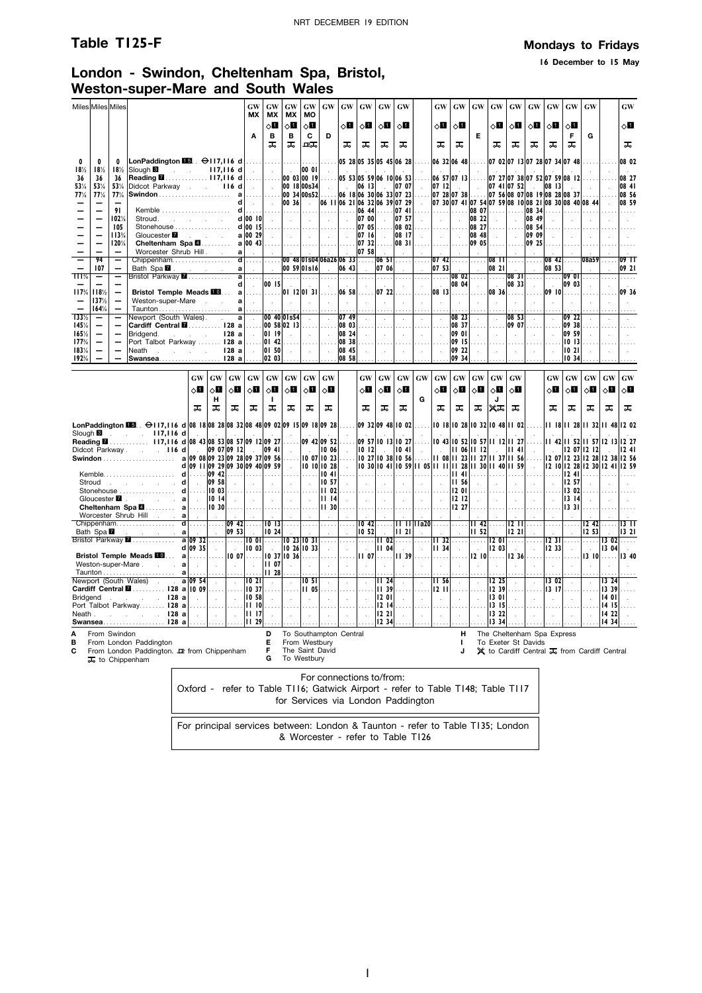### **Table T125-F Mondays to Fridays**

**16 December to 15 May**

### **London - Swindon, Cheltenham Spa, Bristol, Weston-super-Mare and South Wales**

| Miles Miles Miles        |                                                      |                                                                           |                                                                                            |                                        |                        |                            |                                                                                 | GW<br>МX                                   | GW<br>МX                         | GW<br><b>MX</b>                                                                 | GW<br>MO                                        | GW                                    | GW                               | <b>GW</b>                      | <b>GW</b>                              | <b>GW</b>                                                |                                                                 | <b>GW</b>                                        | GW                                                     | <b>GW</b>                                        | <b>GW</b>                 | <b>GW</b>                 | <b>GW</b>                                                                                                  | <b>GW</b>             | GW                                               | <b>GW</b>                                                                 |                               | <b>GW</b>          |
|--------------------------|------------------------------------------------------|---------------------------------------------------------------------------|--------------------------------------------------------------------------------------------|----------------------------------------|------------------------|----------------------------|---------------------------------------------------------------------------------|--------------------------------------------|----------------------------------|---------------------------------------------------------------------------------|-------------------------------------------------|---------------------------------------|----------------------------------|--------------------------------|----------------------------------------|----------------------------------------------------------|-----------------------------------------------------------------|--------------------------------------------------|--------------------------------------------------------|--------------------------------------------------|---------------------------|---------------------------|------------------------------------------------------------------------------------------------------------|-----------------------|--------------------------------------------------|---------------------------------------------------------------------------|-------------------------------|--------------------|
|                          |                                                      |                                                                           |                                                                                            |                                        |                        |                            |                                                                                 | A                                          | $\diamond$ l<br>B                | $\Diamond$ l<br>B                                                               | 80<br>C                                         | D                                     | $\Diamond \blacksquare$          | ◇П                             | ◇Ш                                     | ்∐                                                       |                                                                 | 8П                                               | ⊘Ш                                                     | E                                                | ⊘П                        | $\diamond$ l              | ू∏                                                                                                         | $\Diamond$ ii         | 8П<br>F                                          | G                                                                         |                               | √⊔                 |
|                          |                                                      |                                                                           |                                                                                            |                                        |                        |                            |                                                                                 |                                            | ᠼ                                | ᠼ                                                                               | ᇟ                                               |                                       | ᠼ                                | ᠼ                              | ᠼ                                      | ᠼ                                                        |                                                                 | ᠼ                                                | ᅚ                                                      |                                                  | ᠼ                         | ᠼ                         | ᠼ                                                                                                          | ᠼ                     | ᠼ                                                |                                                                           |                               | ᠼ                  |
| 0<br>18%                 | 0<br>18%                                             | 0<br>18%                                                                  | LonPaddington $\blacksquare$ . $\Theta$ 117,116 d<br>Slough <sup>3</sup>                   | <b>Service</b>                         |                        |                            | $117,116$ d                                                                     | 1.1.1<br>$\sim$                            | .<br>$\sim$                      | $\sim$                                                                          | .<br> 00 01                                     |                                       |                                  |                                |                                        | 05 28 05 35 05 45 06 28                                  |                                                                 |                                                  | 06 32 06 48                                            |                                                  |                           |                           | 07 02 07 13 07 28 07 34 07 48                                                                              |                       |                                                  |                                                                           |                               | 08 02              |
| 36<br>53%                | 36<br>53%                                            | 36<br>53%                                                                 | Reading <b>M</b> 117.116 d<br>Didcot Parkway                                               |                                        |                        |                            | 116d                                                                            | .<br>$\sim$                                | $\cdots$<br>$\sim$               |                                                                                 | 00030019<br>00 18 00 s 34                       | $\sim$                                | $\sim$                           | 06 13                          | 05 53 05 59 06 10 06 53<br>$\sim$      | 07 07                                                    | $\sim$                                                          | 07 12                                            | 06 57 07 13<br><b>Contract</b>                         | $\sim$                                           |                           | 07 41 07 52               | 07 27 07 38 07 52 07 59 08 12<br>$\sim$                                                                    | 08 13                 | $\sim 10^{-1}$                                   | $\sim$                                                                    |                               | 08 27<br> 08 41    |
| 77%                      | 77%                                                  | 77%                                                                       |                                                                                            |                                        |                        |                            |                                                                                 | $\sim$                                     | .<br>$\sim$                      | 00 36                                                                           | 00 34 00 s 52<br>$\sim$                         |                                       |                                  |                                |                                        | 06 18 06 30 06 33 07 23<br>06 11 06 21 06 32 06 39 07 29 | .<br>$\sim$                                                     |                                                  | $ 07 \t28 07 \t38 $                                    |                                                  |                           |                           | $ 07 \t56 08 \t07 08 \t19 08 \t28 08 \t37$<br> 07 30 07 41 07 54 07 59 08 10 08 21 08 30 08 40 08 44       |                       |                                                  |                                                                           |                               | 08 56<br>08 59     |
|                          |                                                      | 91<br>102%                                                                | Kemble<br>Stroud.                                                                          |                                        |                        | and the state of the state |                                                                                 | d 00 10                                    | 1.11<br>$\sim$                   | 1.1.1.1<br>$\sim$                                                               | $\sim$                                          | 1.                                    | 1.1.1.1<br>$\mathcal{L}$         | 06 44 <br> 07 00               | .                                      | 074 <br>07 57                                            | $\sim$                                                          | .<br>$\sim$                                      | 1.1.1.                                                 | 08 07<br>08 22                                   | .<br>$\mathcal{L}$        | $\cdots$                  | 08 34<br>08 49                                                                                             | $\sim$                | .                                                |                                                                           |                               |                    |
|                          |                                                      | 105<br>113%                                                               | Stonehouse<br>Gloucester <b>7</b>                                                          |                                        |                        | <b>Carl Carl Carl</b>      |                                                                                 | a 100 29                                   | $\sim$                           | $\ \cdot\ _{\infty}$                                                            |                                                 | and the state                         | .<br>$\sim$                      | 07 05<br>07 16                 | .<br>$\sim$                            | 08 02<br>08 17                                           | $\sim$                                                          | .<br>$\sim 10^{-1}$                              | $\cdots$<br>$\sim$                                     | 08 27<br>08 48                                   | a sa s<br>$\sim$          | .<br>$\sim$               | $ 08, 54 $<br> 09 09                                                                                       | $\sim$                | $\sim$                                           |                                                                           |                               |                    |
|                          |                                                      | 120%                                                                      | Cheltenham Spa <b>4</b><br>Worcester Shrub Hill. .                                         |                                        |                        |                            | al                                                                              | a   00 43  <br>$\sim 10^{-1}$              | $\sim 10^{-1}$                   | . 1<br>$\sim 10^7$                                                              | $\sim$                                          |                                       | $\sim$                           | $ 07 \; 32 $<br>07 58          |                                        | 08 31<br>$\mathcal{L}$                                   |                                                                 |                                                  |                                                        | 09 05                                            |                           |                           | 09 25                                                                                                      |                       |                                                  |                                                                           |                               |                    |
|                          | 94<br>107                                            | -<br>$\qquad \qquad -$                                                    | Chippenham<br>Bath Spa <b>Z</b>                                                            |                                        |                        | and a state of             | a l                                                                             | $\overline{\mathsf{d}}$<br>$\sim 10^{-1}$  | .<br>$\sim$                      |                                                                                 | 00 59 0 s16                                     | 00, 48 01s04 06a26 06, 33 <br>$\sim$  | 06 43                            | $\sim$                         | 0651<br>07 06                          | .                                                        | .                                                               | 07 42 $\ldots$<br>$ 07 \t53 $                    |                                                        | .                                                | $08$ $11$<br>08 21        |                           | .<br>$\sim$                                                                                                | 0842<br>08 53         |                                                  | 08a59                                                                     |                               | $09$ $11$<br>09 21 |
| $\overline{111\%}$       |                                                      | Ξ                                                                         | Bristol Parkway <b>M</b>                                                                   |                                        |                        |                            | d                                                                               | $a$ 1<br>$\sim 10^7$                       | 00 15                            | $\sim$                                                                          | $\sim$                                          |                                       | .<br>$\sim$                      | 1.1.1.1<br>$\sim$              | .<br>$\sim$                            | .                                                        | .<br>$\sim$                                                     | $\sim$ 10 $\sim$                                 | $\overline{\cdots}$ 08 02 $\overline{\cdots}$<br>08 04 | $\sim$                                           | $\sim 10^{-1}$            | .   08 31  <br>08 33      | $\sim 10^{-1}$                                                                                             | $\sim$                | $\ldots$ . 09 01<br> 0903                        | .                                                                         |                               | .                  |
| 117%                     | 118%<br>137%<br>164%                                 | $\qquad \qquad -$<br>$\overline{\phantom{m}}$<br>$\overline{\phantom{0}}$ | <b>Bristol Temple Meads FOL</b><br>Weston-super-Mare<br>Taunton                            |                                        |                        | <b>Service State</b>       | al<br>a                                                                         | .<br>al.<br>.                              | $\ldots$ .<br>$\sim$             | 01 12 01 31<br>$\sim$                                                           | $\mathcal{L}$                                   |                                       | 06 58<br>$\sim$                  |                                | 07 22<br>$\sim$                        |                                                          | $\sim$                                                          | 08 13<br>$\cdot$                                 | .<br>$\sim$                                            |                                                  | 08 36<br>$\mathcal{L}$    | .<br>$\ddot{\phantom{a}}$ | $\mathcal{L}$                                                                                              | 09 10                 |                                                  |                                                                           |                               | 09 36              |
| $133\frac{1}{2}$<br>145% | $\overline{\phantom{m}}$<br>$\overline{\phantom{m}}$ | $\qquad \qquad -$                                                         | Newport (South Wales).<br>Cardiff Central <b>M</b> 128 a  00 58 02 13                      |                                        |                        |                            | $\overline{a}$                                                                  | $\sim$                                     |                                  | 00 40 0 Is54                                                                    |                                                 | .                                     | 07 49<br>$ 08 \t03 $             | $\mathbf{r}$                   | $\sim$<br>.                            | .                                                        | $\mathcal{L}_{\mathcal{A}}$<br>.                                | 20000                                            | 08 23<br>$ 08 \ 37 $                                   |                                                  | ÷<br>.                    | 08 53<br>09 07            | $\mathbf{r}$<br>.                                                                                          | $\mathbf{r}$<br>.     | 109 22<br>09 38                                  |                                                                           |                               |                    |
| 165%<br>177%             | $\overline{\phantom{0}}$<br>$\overline{\phantom{0}}$ | $\overline{\phantom{m}}$                                                  | Bridgend.<br>Port Talbot Parkway  128 a                                                    |                                        | and the control of     |                            | 128a                                                                            | $\sim 10^{-1}$<br>$\ldots$ .               | $ 0119\rangle$<br>$ 0142\rangle$ | $\sim$                                                                          | $\sim$                                          | $\sim$                                | 08 24<br>08 38                   | $\sim$<br>$\ddot{\phantom{a}}$ | $\sim 10^{-1}$<br>$\mathbf{r}$         | $\sim$                                                   | $\sim$                                                          |                                                  | 09 01<br>09 15                                         | $\sim$                                           | $\sim$                    | $\sim$                    | $\sim$                                                                                                     | $\sim$                | 09 59<br>10 13                                   |                                                                           |                               |                    |
| 1831/4<br>192%           | $\overline{\phantom{0}}$                             | $\overline{\phantom{m}}$                                                  | Neath<br>the company of the company<br>Swansea                                             |                                        |                        |                            | 28a <br> 28a                                                                    | $\sim$                                     | 01, 50 <br>02 03                 | $\sim$<br>$\ldots$ .                                                            | $\sim 10^{-1}$<br>.                             | $\mathbf{L}$                          | 08 45<br>08 58                   | $\sim$<br>.                    | $\sim$<br>.                            | $\sim$                                                   | $\sim$<br>$\cdots$                                              | $\sim$                                           | $ 09\;22 $<br>09 34                                    | $\sim$                                           | $\sim$<br>$\ldots$        | $\sim$                    | $\sim$                                                                                                     | $\sim$                | 1021<br>1034                                     |                                                                           |                               |                    |
|                          |                                                      |                                                                           |                                                                                            |                                        | <b>GW</b>              | GW                         | $\boldsymbol{\mathbf{G}}\boldsymbol{\mathbf{W}}$                                | <b>GW</b>                                  | GW                               | $\boldsymbol{\mathbf{G}}\boldsymbol{\mathbf{W}}$                                | GW                                              | GW                                    |                                  | <b>GW</b>                      | <b>GW</b>                              | GW                                                       | <b>GW</b>                                                       | $\boldsymbol{\mathbf{G}}\boldsymbol{\mathbf{W}}$ | $\boldsymbol{\mathbf{G}}\boldsymbol{\mathbf{W}}$       | $\boldsymbol{\mathsf{G}}\boldsymbol{\mathsf{W}}$ | GW                        | GW                        |                                                                                                            | GW                    | $\boldsymbol{\mathbf{G}}\boldsymbol{\mathbf{W}}$ | $\boldsymbol{\mathbf{G}}\boldsymbol{\mathbf{W}}$                          | GW                            | <b>GW</b>          |
|                          |                                                      |                                                                           |                                                                                            |                                        | √∎                     | ⊘⊡                         | $\circ$ l                                                                       | 0П                                         | $\Diamond$ l                     | 8П                                                                              | $\Diamond \blacksquare$                         | ⊘П                                    |                                  | δП                             | оШ                                     | √∎                                                       |                                                                 | $\Diamond$ l                                     | $\circ$ l                                              | $\Diamond \blacksquare$                          | $\Diamond$ l              | ◇П                        |                                                                                                            | оП                    | 8П                                               | $\Diamond$ i                                                              | $\circ$ l                     | $\circ$ l          |
|                          |                                                      |                                                                           |                                                                                            |                                        | ᠼ                      | н<br>ᠼ                     | ᠼ                                                                               | ᠼ                                          | -1<br>ᠼ                          | ᠼ                                                                               | ᠼ                                               | ᠼ                                     |                                  | ᠼ                              | ᠼ                                      | ᠼ                                                        | G                                                               | ᠼ                                                | ᠼ                                                      | ᠼ                                                | J<br>≭ಸ                   | ᠼ                         |                                                                                                            | ᠼ                     | ᠼ                                                | ᠼ                                                                         | ᠼ                             | ᠼ                  |
|                          |                                                      |                                                                           |                                                                                            |                                        |                        |                            |                                                                                 |                                            |                                  |                                                                                 |                                                 |                                       | .                                |                                |                                        | 09 32 09 48 10 02                                        | .                                                               |                                                  | 10 18 10 28 10 32 10 48 11 02                          |                                                  |                           |                           | .                                                                                                          |                       |                                                  | 11 18 11 28 11 32 11 48 12 02                                             |                               |                    |
| Slough <b>B</b>          |                                                      |                                                                           | $117,116$ d<br>and the control<br>Reading <b>M</b> 117,116 d 08 43 08 53 08 57 09 12 09 27 |                                        |                        |                            |                                                                                 | $\sim$                                     |                                  |                                                                                 |                                                 | 09 42 09 52                           |                                  |                                |                                        | 09 57 10 13 10 27                                        |                                                                 |                                                  | 10 43 10 52 10 57 11 12 11 27                          |                                                  |                           |                           |                                                                                                            |                       |                                                  | 11 42 11 52 11 57 12 13 12 27                                             |                               |                    |
|                          |                                                      |                                                                           | Didcot Parkway 116 d                                                                       |                                        | $\sim 10^{-1}$         |                            | 09070912 <br>a 09 08 09 23 09 28 09 37 09 56<br>d 09 11 09 29 09 30 09 40 09 59 | $\sim 10^{-1}$                             | 09, 41                           | $\sim$<br>.<br>$\sim$                                                           | $\sim 10$                                       | 10 06<br>$1007$ $1023$<br>10 10 10 28 | $\sim$<br>$\cdots$<br>$\sim$     | 012                            | $\sim$                                 | $\vert$ 10 41<br>$ 10 \t27 10 \t38 10 \t56 $             | $\sim$<br>10 30 10 41 10 59 11 05 11 11 11 28 11 30 11 40 11 59 | $\sim 10^{-1}$                                   | 06     2 <br>11 08 11 23 11 27 11 37 11 56             |                                                  | $\sim$                    | $   \cdot   $ 41          | $\sim$<br>.<br>$\sim$                                                                                      | $\sim$                |                                                  | 2 07  2   2<br>12 07 12 23 12 28 12 38 12 56<br>  2   0  2 28  2 30  2 41 |                               | 1241<br>  259      |
|                          |                                                      |                                                                           | Stroud discussed and stroud                                                                | d                                      | $\sim$                 | $\ldots$ 09 42<br>09 58    | <b>College</b>                                                                  | $\sim$ $\sim$                              | $\sim$ 1                         | .      <br>$\sim$                                                               | 1.1.1<br>$\sim$                                 | $\parallel$ 10 41<br>  057            | .<br>$\sim$                      | 1.<br>$\sim 10^7$              | .<br>$\sim$                            | $\sim 10^{-1}$                                           | .<br>$\sim$                                                     |                                                  | $   $ 41. 1<br>11, 56                                  | $\sim 10^{-1}$                                   | .<br>$\sim$               | . 1<br>$\sim$             | .<br>$\sim$                                                                                                | $\sim$                | $\ldots$ . 1241<br>12 57                         |                                                                           |                               |                    |
|                          |                                                      |                                                                           | Stonehouse<br>Gloucester <b>1 a</b>                                                        | d                                      | .<br>$\sim$            | 10 03<br>1014              |                                                                                 | .<br>and the contract of the contract      | .                                |                                                                                 | $\sim$                                          | III 02<br><b>III</b> 14               | $\sim$                           | 1.1.1<br>$\sim 10^7$           | $\sim$                                 | $\sim 10$                                                | .<br>$\sim$                                                     | $\sim$                                           | 1201<br>12  12                                         | $\sim$                                           | $\sim$<br>$\sim$          | .<br>$\sim 10^{-11}$      | $\ldots$ .<br>$\sim$                                                                                       | $\sim$                | 13 02<br>  13   14                               |                                                                           |                               |                    |
|                          |                                                      |                                                                           | Cheltenham Spa <b>4</b> a<br>Worcester Shrub Hill                                          | a                                      | .<br>$\sim$            | 10 30<br>$\sim$            | . 1                                                                             | . 1<br>$\sim$                              | .<br>$\sim$                      | .<br>$\sim$                                                                     | .                                               | <b>II</b> 30                          |                                  | .                              | .<br>$\sim$                            |                                                          | .                                                               |                                                  | 1227                                                   | .                                                | .                         | .                         | $\cdots$<br>$\mathcal{L}^{\mathcal{L}}$                                                                    | .                     | 1331                                             |                                                                           |                               |                    |
|                          | Bath Spa <b>M</b>                                    |                                                                           | Chippenham                                                                                 | $\overline{\mathsf{d}}$<br>$\mathbf a$ | .<br>$\sim 10^{-1}$    | .<br>$\sim$                | 09 53                                                                           | $\overline{09}$ 42 $\dots$                 | 10 24                            | $\overline{10}$ $\overline{13}$ $\overline{}$ $\overline{}$                     | .                                               | .                                     | .                                | 10,52                          | $\overline{10}$ 42 $\overline{\ldots}$ | $   \cdot   $ 21                                         | n.                                                              | $\sim$                                           | .<br>$\sim$                                            | III 421<br> II 52                                | .                         | 1221                      | $\overline{12}$ $\overline{11}$<br>$\sim$                                                                  | .                     | .                                                | $12 \, 42$<br>1253                                                        | 1.1.1.1                       | 13   11<br>1321    |
|                          |                                                      |                                                                           | Bristol Parkway <b>M</b>                                                                   |                                        | a 09 32 <br>$d$  09 35 | .<br>$\sim 10^{-1}$        | .<br>$\sim 10^{-1}$                                                             | $\overline{1001}$<br>$\vert$ 10 03 $\vert$ | .<br>$\sim$                      |                                                                                 | 10231031<br>$ 10 \t26 10 \t33 $                 | $\sim$                                | $\sim$                           | .<br>$\sim$                    | 1102<br>$   \ 04$                      | .<br>$\sim$                                              | $\ldots$<br>$\sim$                                              | 1132<br><b>III</b> 34                            | .<br>$\sim$ $\sim$                                     | .<br>$\sim 10^{-1}$                              | 1201<br>12 03             | .                         | $\cdots$<br>$\mathcal{L}$                                                                                  | 1231<br>12.33         | $\cdots$<br>$\sim$                               |                                                                           | .   3 02<br>$\parallel$ 13 04 | .                  |
|                          |                                                      |                                                                           | <b>Bristol Temple Meads ID</b><br>Weston-super-Mare a                                      |                                        | $a$<br>$\sim 10^{-1}$  | $\sim$                     | $\sim 10^{-1}$                                                                  | $\sim$                                     | <b>III 07</b>                    | $1007$ $ 1037 1036 $                                                            | .                                               |                                       | $\cdots$                         |                                | $11 \t07$                              | II 39                                                    |                                                                 | $\ldots$ .                                       | .                                                      | 12 10                                            |                           | 12, 36                    |                                                                                                            | .                     |                                                  | $13$ 10 $\dots$                                                           |                               | 13 40              |
|                          |                                                      |                                                                           | Taunton a<br>Newport (South Wales) . a 09 54                                               |                                        |                        | $\sim$                     | $\sim$                                                                          | 02                                         | 28<br>$\ddot{\phantom{a}}$       | $\mathcal{L}$                                                                   | 10 51 I                                         | $\sim$                                | $\sim$                           | $\sim$                         | 1124                                   | $\sim$                                                   | $\mathcal{L}$                                                   | II 56                                            | $\sim$                                                 | $\sim$                                           | 12 25                     | $\sim$                    | $\mathcal{L}$                                                                                              | 13 02                 | $\mathcal{L}$                                    | $\mathcal{L}$                                                             | 3 24                          |                    |
| <b>Bridgend</b>          |                                                      |                                                                           | Cardiff Central <b>M</b> 128 a 10 09<br>. 128 a                                            |                                        | $\sim$                 | .<br>$\sim$                | $\sim$                                                                          | $\ldots$ . 110 37<br>10 58                 | a sa s                           | .                                                                               | 11 05                                           | $\cdots$                              | .<br>$\mathcal{L}_{\mathcal{A}}$ | 1.111                          | <b>II</b> 39<br><b>12 OI</b>           | .<br>$\sim$                                              | .<br>$\sim$                                                     | 1211<br>$\sim$                                   | .                                                      | .<br>$\sim$                                      | 12 39<br>13 01<br>13   15 | .                         | $\sim 100$<br>$\sim$                                                                                       | 13 17<br>$\mathbf{r}$ | $\cdots$                                         | .                                                                         | 13 39<br>14 01                |                    |
| Neath .                  |                                                      |                                                                           | Port Talbot Parkway 128 a<br>$\sim$ 128 a<br><b>Swansea</b>                                | 128a                                   | .<br>$\sim 10^{-11}$   | .<br>$\sim$                | 1.1.1.1<br>$\sim$                                                               | 10 <br>III 17<br>'II 29                    | $\sim 100$<br>$\sim$             | .<br>$\sim$                                                                     | .<br>$\sim$                                     |                                       | .<br>$\sim$                      |                                | 1221<br>12 34                          | $12 \, 14$<br>$\sim$                                     | 1.1.1.<br>$\sim$                                                | 1.1.1.1<br>$\sim$                                | $\sim$                                                 |                                                  | 13 22<br>13 34            |                           | $\sim$                                                                                                     | .<br>$\sim$           |                                                  |                                                                           | 14 15<br>14 22<br>14 34       |                    |
| А                        |                                                      | From Swindon                                                              |                                                                                            |                                        |                        |                            |                                                                                 |                                            | D                                |                                                                                 |                                                 | To Southampton Central                |                                  |                                |                                        |                                                          |                                                                 |                                                  | н                                                      |                                                  |                           |                           | The Cheltenham Spa Express                                                                                 |                       |                                                  |                                                                           |                               |                    |
| в<br>С                   |                                                      |                                                                           | From London Paddington<br>From London Paddington. De from Chippenham                       |                                        |                        |                            |                                                                                 |                                            | Е<br>F<br>G                      |                                                                                 | From Westbury<br>The Saint David<br>To Westbury |                                       |                                  |                                |                                        |                                                          |                                                                 |                                                  |                                                        |                                                  |                           |                           | To Exeter St Davids<br>$\mathsf{\mathsf{X}}$ to Cardiff Central $\mathsf{\mathsf{I}}$ from Cardiff Central |                       |                                                  |                                                                           |                               |                    |
|                          |                                                      |                                                                           | 其 to Chippenham                                                                            |                                        |                        |                            |                                                                                 |                                            |                                  |                                                                                 |                                                 |                                       |                                  |                                |                                        |                                                          |                                                                 |                                                  |                                                        |                                                  |                           |                           |                                                                                                            |                       |                                                  |                                                                           |                               |                    |
|                          |                                                      |                                                                           |                                                                                            |                                        |                        |                            |                                                                                 |                                            |                                  | Oxford - refer to Table T116; Gatwick Airport - refer to Table T148; Table T117 |                                                 | For connections to/from:              |                                  |                                |                                        |                                                          |                                                                 |                                                  |                                                        |                                                  |                           |                           |                                                                                                            |                       |                                                  |                                                                           |                               |                    |
|                          |                                                      |                                                                           |                                                                                            |                                        |                        |                            |                                                                                 |                                            |                                  | for Services via London Paddington                                              |                                                 |                                       |                                  |                                |                                        |                                                          |                                                                 |                                                  |                                                        |                                                  |                           |                           |                                                                                                            |                       |                                                  |                                                                           |                               |                    |
|                          |                                                      |                                                                           |                                                                                            |                                        |                        |                            |                                                                                 |                                            |                                  | For principal services between: London & Taunton - refer to Table T135; London  |                                                 |                                       |                                  |                                |                                        |                                                          |                                                                 |                                                  |                                                        |                                                  |                           |                           |                                                                                                            |                       |                                                  |                                                                           |                               |                    |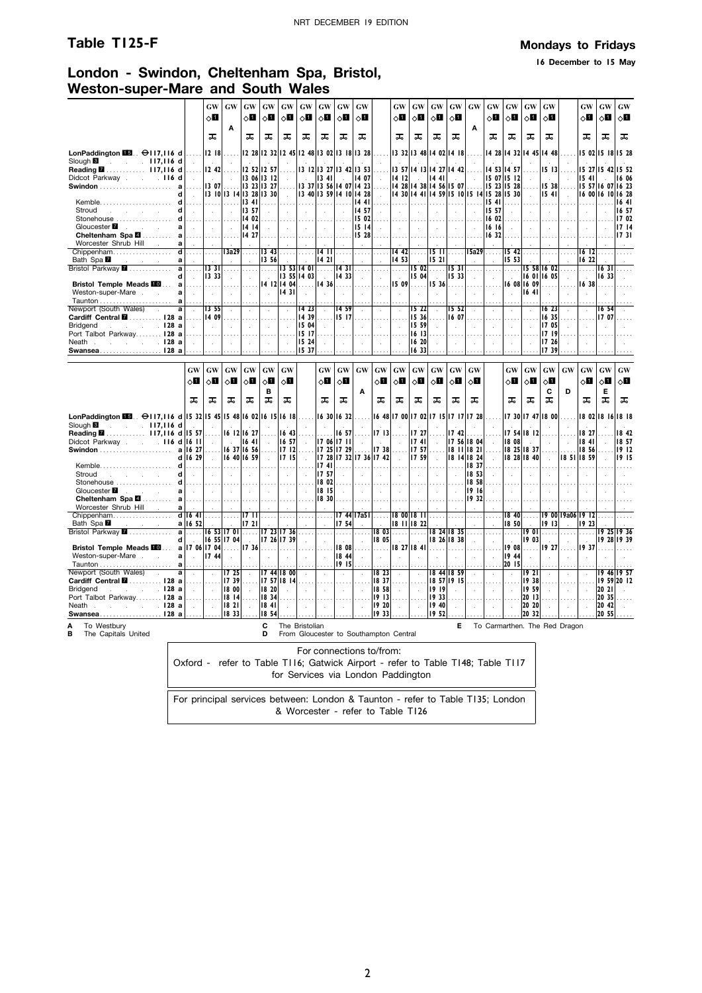### **Table T125-F Mondays to Fridays**

**16 December to 15 May**

### **London - Swindon, Cheltenham Spa, Bristol, Weston-super-Mare and South Wales**

|                                                                                          |                         |                         | <b>GW</b><br>8П                                  | GW                       | <b>GW</b><br>$\Diamond \blacksquare$             | GW<br>8П                     | <b>GW</b><br>◇О             | <b>GW</b><br>⊘Ш                  | <b>GW</b><br>$\circ$ l                                   | <b>GW</b><br>⊘Ш                                  | <b>GW</b><br>⊘Ш                                  |                                                  | <b>GW</b><br>◇Ш            | <b>GW</b><br>8П                                                                 | <b>GW</b><br>ू∏                                                                             | <b>GW</b><br>$\Diamond$ l        | <b>GW</b>                   | <b>GW</b><br>⊘Ш                            | GW<br>$\Diamond \blacksquare$ | <b>GW</b><br>8П                | <b>GW</b><br>$\circ$ 0 |                                                  | <b>GW</b><br>$\Diamond \blacksquare$             | <b>GW</b><br>⊘П                | <b>GW</b><br>ू∏      |
|------------------------------------------------------------------------------------------|-------------------------|-------------------------|--------------------------------------------------|--------------------------|--------------------------------------------------|------------------------------|-----------------------------|----------------------------------|----------------------------------------------------------|--------------------------------------------------|--------------------------------------------------|--------------------------------------------------|----------------------------|---------------------------------------------------------------------------------|---------------------------------------------------------------------------------------------|----------------------------------|-----------------------------|--------------------------------------------|-------------------------------|--------------------------------|------------------------|--------------------------------------------------|--------------------------------------------------|--------------------------------|----------------------|
|                                                                                          |                         |                         | ᠼ                                                | Α                        | ᠼ                                                | ᠼ                            | ᠼ                           | ᠼ                                | ᠼ                                                        | ᠼ                                                | ᠼ                                                |                                                  | ᠼ                          | ᠼ                                                                               | ᠼ                                                                                           | ᠼ                                | Α                           | ᠼ                                          | ᠼ                             | ᠼ                              | ᠼ                      |                                                  | ᠼ                                                | ᅚ                              | ᠼ                    |
| LonPaddington $\blacksquare$ . $\Theta$ 117,116 d                                        |                         | .                       | $ 12 \t18 $                                      | .                        |                                                  |                              |                             |                                  | 12 28 12 32 12 45 12 48 13 02 13 18 13 28                |                                                  |                                                  |                                                  |                            | 13 32 13 48 14 02 14 18                                                         |                                                                                             |                                  |                             |                                            |                               | 14 28 14 32 14 45 14 48        |                        |                                                  |                                                  | 15 02 15 18 15 28              |                      |
| Slough <b>6</b> 117, 116 d<br>Reading 2 117,116 d                                        |                         | $\ddot{\phantom{a}}$    | $\sim 10^{-1}$<br>12.42                          |                          |                                                  | 12 52 12 57                  |                             |                                  | $13$ $12$ $13$ $27$ $13$ $42$ $13$ 53                    |                                                  |                                                  |                                                  |                            | 13 57 14 13 14 27 14 42                                                         |                                                                                             |                                  |                             | 14 53                                      | 14 57                         |                                | 1513                   |                                                  |                                                  | 15 27 15 42                    | 15 52                |
| Didcot Parkway<br>.116d                                                                  | a                       |                         | $\sim$ $\sim$<br> 1307                           | $\sim$                   | 13 23 13 27                                      | 1306 1312                    | $\mathcal{L}_{\mathcal{A}}$ | $\sim 10^{-1}$                   | $\parallel$ 13 41 $\parallel$<br>13 37 13 56 14 07 14 23 | $\sim$                                           | 14 07                                            | $\mathcal{L}$                                    | 14   12                    | $\sim$<br>  14 28 14 38 14 56 15 07                                             | 14 41                                                                                       | $\sim$                           | $\bar{z}$                   | 15 07 15 12<br>$\ldots$ 15 23 15 28        |                               | $\sim$                         | $\sim$<br>$ 15 \ 38 $  | $\sim$                                           | 1541                                             | 15 57 16 07 16 23              | 16 06                |
| Kemble.                                                                                  | d<br>d                  | $\sim$                  |                                                  | 3   0  3   4  3 28  3 30 |                                                  |                              | $\mathcal{L}_{\mathcal{A}}$ |                                  | 3 40  3 59  4 10  4 28                                   |                                                  | 1441                                             | $\sim$                                           |                            | 4 30  4 41  4 59  5 10  5 14  5 28  5 30                                        |                                                                                             |                                  |                             | 15 41                                      | .                             | $\sim$                         | 541                    | $\sim$                                           |                                                  | 16 00 16 10 16 28              | 1641                 |
| Stroud<br>and the company of the state                                                   | d                       |                         | $\sim$                                           |                          | $13 \t41$<br>13 57                               | $\sim$                       | $\sim$                      | $\sim$                           |                                                          | $\sim$                                           | 14 57                                            | $\sim$                                           |                            | $\lambda$                                                                       |                                                                                             |                                  |                             | 15 57                                      | $\mathbf{r}$                  |                                | $\sim$                 |                                                  | $\sim$                                           |                                | 16 57                |
| Stonehouse                                                                               | d<br>a                  | $\sim$                  | $\sim$                                           | $\sim$                   | 1402<br>14  4                                    | $\sim$                       | 1.1.1.1<br>$\sim 10^{-1}$   | 1111<br>$\sim$ $\sim$            | $\sim$                                                   | $\sim 10$                                        | 1502<br> 15 14                                   | $\sim$                                           | $\sim$                     | $\sim$                                                                          | $\sim$                                                                                      | $\sim$                           | $\mathcal{L}_{\mathbf{r}}$  | 6 02 <br> 16 16                            | $\sim$                        | $\sim$                         | $\sim$                 | $\sim$                                           | $\sim$                                           | $\sim$                         | 17 02<br>1714        |
| Cheltenham Spa <b>2</b> a<br>Worcester Shrub Hill .                                      | a                       |                         | .                                                | .                        | 1427                                             | .                            | .                           | $\cdots$                         | .                                                        | .                                                | 15 28                                            |                                                  |                            | $\cdots$                                                                        |                                                                                             | $\sim$                           |                             | 1632                                       |                               |                                |                        |                                                  | $\sim$                                           |                                | 1731                 |
| Chippenham<br>Bath Spa                                                                   | $\overline{\mathbf{d}}$ | .                       | .                                                | 13a29                    | .                                                | $\overline{13}$ 43<br>  3 56 | .                           | 1.1.1.1                          | $14$ $11$                                                |                                                  |                                                  | .                                                | 1442                       | .                                                                               | $\overline{15}$ $\overline{11}$ $\overline{1}$ $\overline{1}$ $\overline{2}$ $\overline{2}$ |                                  | 15a29                       | .                                          | 15 53                         | $15 \, 42$                     |                        |                                                  | $16$ 12                                          |                                |                      |
| and a strategic<br>Bristol Parkway <b>2</b>                                              | a<br>a                  | $\mathcal{A}$<br>.      | 1331                                             | $\sim$<br>$\cdots$       |                                                  | .                            |                             |                                  | $ 14 \t21 $<br>$13\;53\;14\;01$                          | 1431                                             | $\cdots$                                         |                                                  | 14 53<br>.                 | 15 02                                                                           | 521 <br>$\ldots$ .                                                                          | 1531                             |                             |                                            | .                             |                                | 15 58 16 02            |                                                  | 1622<br>$\cdots$                                 | 1631                           |                      |
| Bristol Temple Meads <b>10</b> a                                                         | d                       |                         | 3 33 <br>.                                       | $\sim$                   | $\sim$                                           |                              | 13 55 14 03<br>14 12 14 04  | $\cdots$                         | ∣14 36∣……                                                | 14 33                                            | $\sim$                                           | $\sim$<br>$\sim$                                 | 15 09                      | 15 04<br>.                                                                      | 5 36                                                                                        | 15 33<br>.                       |                             | $\mathcal{L}$                              |                               | 16 08 16 09                    | 16 01 16 05            |                                                  |                                                  | 16 33<br>1638                  |                      |
| Weston-super-Mare                                                                        | a<br>al                 | $\sim$                  | $\sim$                                           | $\sim$                   | $\sim$                                           | $\mathcal{L}_{\mathcal{A}}$  | 1431                        | $\sim$                           |                                                          | $\sim$                                           | $\mathbf{r}$                                     |                                                  | $\overline{a}$             | $\mathbf{r}$                                                                    |                                                                                             | $\mathbf{r}$                     |                             | $\sim$                                     | $\mathbf{r}$                  | 16 41                          | ÷                      |                                                  | $\mathbf{r}$                                     | $\sim$                         |                      |
| Newport (South Wales).<br>Cardiff Central <b>M</b> 128 a                                 | a                       | $\sim$                  | 13 55<br>.    4 09                               | $\sim$                   | $\sim$                                           | $\sim$                       | $\mathcal{L}$<br>.          | 14 23<br>1439                    | $\sim$                                                   | 1459<br>15 17                                    | $\mathcal{L}_{\mathcal{A}}$                      | $\sim$                                           | $\sim$<br>a sa             | 15 22<br>15 36                                                                  | $\sim$<br><b>College</b>                                                                    | 15 52<br>16 07                   | $\mathcal{L}_{\mathcal{A}}$ | $\sim$                                     | $\sim$                        | $\mathcal{L}$                  | 16 23<br>1635          | $\mathcal{L}$                                    | $\sim$                                           | 16, 54<br>  7 07               |                      |
| <b>Bridgend</b><br><u>. 128 а</u>                                                        |                         |                         | $\sim$                                           | .                        | $\cdots$<br>n.                                   | .<br>$\sim$                  | $\mathcal{L}$               | 15 04                            | $\cdots$<br>$\mathcal{L}$                                |                                                  | $\cdots$                                         | .<br>$\sim$                                      | n.                         | 15 59                                                                           |                                                                                             | $\mathcal{L}$                    |                             | $\cdots$<br>$\mathcal{L}$                  | .<br>$\sim$                   | n.                             | 17 05                  | $\ldots$<br>$\mathbf{r}$                         | $\cdots$<br>$\mathcal{L}_{\mathcal{A}}$          |                                |                      |
| Port Talbot Parkway 128 a<br>Neath Neath 128 a                                           |                         | $\sim$                  | $\sim$                                           | $\mathcal{L}$            | $\ddot{\phantom{a}}$                             | $\sim$                       | $\cdot$                     | 15 17<br>15 24                   | $\sim$                                                   | $\sim$                                           |                                                  | $\mathcal{A}$                                    | $\sim$                     | 1613<br>16 20                                                                   | $\mathcal{L}_{\mathbf{a}}$                                                                  | $\cdot$                          |                             |                                            | $\bar{z}$                     | $\cdot$                        | 1719<br>17 26          | $\mathcal{L}$                                    | $\bar{z}$                                        |                                |                      |
| Swansea128 a                                                                             |                         |                         |                                                  |                          |                                                  |                              |                             | 15 37                            |                                                          |                                                  |                                                  |                                                  |                            | 1633                                                                            |                                                                                             |                                  |                             |                                            |                               |                                | 1739                   |                                                  |                                                  |                                |                      |
|                                                                                          |                         | GW                      | $\boldsymbol{\mathsf{G}}\boldsymbol{\mathsf{W}}$ | GW                       | $\boldsymbol{\mathsf{G}}\boldsymbol{\mathsf{W}}$ | GW                           | GW                          |                                  | $\boldsymbol{\mathbf{G}}\boldsymbol{\mathbf{W}}$         | $\boldsymbol{\mathbf{G}}\boldsymbol{\mathbf{W}}$ | $\boldsymbol{\mathsf{G}}\boldsymbol{\mathsf{W}}$ | $\boldsymbol{\mathsf{G}}\boldsymbol{\mathsf{W}}$ | $\boldsymbol{\mathrm{GW}}$ | $\boldsymbol{\mathrm{GW}}$                                                      | GW                                                                                          | <b>GW</b>                        | GW                          |                                            |                               | $GW$ $GW$                      | GW                     | $\boldsymbol{\mathsf{G}}\boldsymbol{\mathsf{W}}$ | $\boldsymbol{\mathsf{G}}\boldsymbol{\mathsf{W}}$ | GW                             | GW                   |
|                                                                                          |                         | 8П                      | 8П                                               | ⊘Ш                       | ू∏                                               | $\diamond$ l                 | $\Diamond \blacksquare$     |                                  | 0П                                                       | ू∏                                               |                                                  | ⊘Ш                                               | ू∏                         | √∐                                                                              | ू∏                                                                                          | ू∐                               | оΩ                          |                                            | ⊘П                            | $\diamond$ l                   | ⊘⊡                     |                                                  | $\diamond$ li                                    | ⊘∐                             | ू∏                   |
|                                                                                          |                         | ᠼ                       | ᠼ                                                | ᠼ                        | ᠼ                                                | B<br>ᠼ                       | ᠼ                           |                                  | ᠼ                                                        | ᅚ                                                | Α                                                | ᠼ                                                | ᅚ                          | ᠼ                                                                               | ᅚ                                                                                           | ᅚ                                | ᠼ                           |                                            | ᠼ                             | ᠼ                              | C<br>ᅚ                 | D                                                | ᠼ                                                | Е<br>ᠼ                         | ᅚ                    |
| LonPaddington $\overline{113}$ . $\ominus$ 117,116 d 15 32 15 45 15 48 16 02 16 15 16 18 |                         |                         |                                                  |                          |                                                  |                              |                             |                                  | 1630 1632                                                |                                                  |                                                  |                                                  |                            | 16 48 17 00 17 02 17 15 17 17 17 28                                             |                                                                                             |                                  |                             |                                            |                               | $17.30$ $17.47$ $18.00$        |                        |                                                  |                                                  | 18 02 18 16 18 18              |                      |
| $\sim$ 117,116 d<br>Slough <b>B</b>                                                      |                         |                         | $\sim$                                           |                          | 16 12 16 27                                      |                              | 16 43                       |                                  | $\sim$                                                   | 16 57                                            | $\sim$                                           | 1713                                             |                            | 17 27                                                                           |                                                                                             | 1742                             |                             |                                            |                               |                                |                        | $\mathbf{r}$                                     | 18 27                                            |                                | 18 42                |
| Reading 2 117,116 d 15 57<br>Didcot Parkway 116 d 16 11                                  |                         |                         | .<br>$\sim$                                      | $\sim 10^{-1}$           | 1641                                             | $\sim$                       | 16 57                       | $\sim$                           | 7 06  7 11                                               |                                                  | .                                                | $\sim$                                           | $\sim$                     | 1741                                                                            | $\sim$                                                                                      |                                  | 17 56 18 04                 | $\sim$                                     | 18 08                         | 17 54 18 12<br>$\sim 10^{-1}$  | $\sim$                 | $\sim$                                           | 1841                                             | <b>State</b>                   | 18 57                |
|                                                                                          |                         | a 16 27<br>d 16 29      | $\ldots$<br>$\sim$                               |                          | 16 37 16 56<br>16 40 16 59                       | $\mathcal{L}_{\mathcal{A}}$  | 1712<br>1715                | $\mathcal{L}_{\mathcal{A}}$      | 17 25 17 29                                              |                                                  | 7 28  7 32  7 36  7 42                           | 1738                                             | $\sim$                     | 17 57<br>17 59                                                                  | $\mathcal{L}_{\mathbf{r}}$                                                                  |                                  | 18 11 18 21<br>18 14 18 24  | $\mathbf{r}$<br>$\mathcal{L}_{\mathbf{r}}$ |                               | 18 25 18 37<br>$18$ 28 $18$ 40 | $\mathcal{L}$          |                                                  | 18,56<br>18 51 18 59                             |                                | 1912<br>1915         |
| Kemble<br>Stroud<br>and the contract of                                                  | d<br>d                  | .<br>$\sim$             | $\sim$                                           | .                        | .                                                | $\mathcal{A}$                | $\mathcal{L}_{\mathcal{A}}$ | $\mathcal{L}_{\mathcal{A}}$      | 1741  <br>1757                                           | .<br>$\mathcal{L}$                               | .<br>$\mathcal{L}$                               | .<br>$\mathcal{L}$                               |                            | .<br>$\sim$                                                                     |                                                                                             | .<br>$\mathcal{L}_{\mathcal{A}}$ | 18 37<br>  18 53            | $\sim$<br>$\bar{z}$                        | .<br>$\mathcal{L}$            |                                |                        |                                                  |                                                  |                                |                      |
| Stonehouse                                                                               | d                       |                         |                                                  |                          |                                                  |                              |                             |                                  | 18 02                                                    |                                                  |                                                  |                                                  |                            |                                                                                 |                                                                                             |                                  | 18 58                       |                                            |                               |                                |                        |                                                  |                                                  |                                |                      |
|                                                                                          | a                       | $\sim$                  | $\sim$<br>.                                      | $\sim$                   | $\sim 10^7$<br>.                                 | $\sim$                       |                             | $\sim$                           | 8  5 <br>  8 30                                          | $\sim$                                           | $\sim$ $\sim$                                    | $\sim$                                           | $\sim$ 10                  | $\sim 10^{-1}$<br>.                                                             | $\sim$                                                                                      | $\sim$                           | 1916<br>  932               | $\sim$                                     | $\sim$                        |                                |                        |                                                  |                                                  |                                |                      |
| Worcester Shrub Hill .<br>Chippenham                                                     | a                       | $d$ 16 41               | .                                                | $\cdots$                 | $\overline{17}$ $\overline{11}$                  |                              |                             | .                                | .                                                        |                                                  |                                                  |                                                  |                            | $17$ 44 $17a51$ 18 00 18 11                                                     | l                                                                                           | 1.1.1                            |                             | $\sim$                                     |                               | $1840$                         |                        |                                                  | 19 00 19a06 19 12                                |                                |                      |
| Bath Spa <b>M</b><br>Bristol Parkway <b>7</b>                                            | al                      | a   16 52  <br>$\cdots$ |                                                  | 16 53 17 01              | 1721<br>1.111                                    |                              | 7 23  7 36                  |                                  |                                                          | 17 54<br>$\cdots$                                |                                                  | 1803                                             | .                          | 8     8 22<br>.                                                                 |                                                                                             | 18 24 18 35                      |                             |                                            | 18 50<br>.                    | 19 OI                          | 1913<br>.              |                                                  | 19 23                                            | 19 25 19 36                    |                      |
|                                                                                          | d                       |                         |                                                  | 16 55 17 04              |                                                  |                              | 7 26  7 39                  | $\mathcal{L}$                    | чù.                                                      |                                                  | $\mathcal{L}^{\mathcal{L}}$                      | 18 05                                            |                            |                                                                                 |                                                                                             | 18 26 18 38                      | $\sim$                      | $\sim$                                     |                               | 1903                           |                        |                                                  |                                                  | 19 28 19 39                    |                      |
| Bristol Temple Meads <b>10</b> a 17 06 17 04                                             |                         | $\sim$ $\sim$           | 17 44                                            | .<br>$\sim$              | $1736$                                           |                              | 1.                          | $\sim$                           | .<br>$\sim$                                              | 18 44                                            | $1808$<br>$\sim$                                 | .<br>$\sim$                                      |                            | 8 27  8 41                                                                      | .                                                                                           | .                                |                             | $\sim$                                     | 19 44                         | $1908$<br>$\mathcal{L}$        | 19 27                  |                                                  | 1937                                             |                                |                      |
| Weston-super-Mare                                                                        | a                       |                         |                                                  |                          |                                                  |                              |                             |                                  |                                                          |                                                  |                                                  |                                                  |                            |                                                                                 |                                                                                             |                                  |                             |                                            | 20 15                         |                                |                        |                                                  |                                                  |                                |                      |
|                                                                                          | al<br>a                 |                         |                                                  | 1725                     |                                                  |                              | 7 44  8 00                  |                                  |                                                          | 19 15                                            |                                                  | 18 23                                            | $\mathbf{r}$               |                                                                                 |                                                                                             | 18 44 18 59                      | $\mathbf{r}$                |                                            |                               | <b>1921</b>                    | ÷                      |                                                  |                                                  |                                |                      |
| Newport (South Wales) .<br>Cardiff Central <b>M</b> 128 a                                |                         | $\mathcal{L}$<br>.      | $\mathcal{L}$<br>.                               | 739                      | $\sim$                                           |                              | .   7 57  8 14              | $\mathcal{L}_{\mathcal{A}}$<br>. | $\mathcal{L}$                                            | $\bar{z}$<br>.                                   | $\mathcal{L}$<br>.                               |                                                  | $18.37$                    | $\mathcal{L}_{\mathbf{r}}$<br>.                                                 | 8 57  9 15                                                                                  |                                  |                             | $\mathcal{L}$<br>1.1.1                     | $\lambda$<br>.                | 938                            | 1.111                  | $\mathcal{L}$                                    | $\mathcal{A}$<br>$\cdots$                        | $19$ 46 19 57<br>  9 59  20 12 |                      |
| $\sim$ $\sim$ $\sim$ 128 a<br>Bridgend<br>Port Talbot Parkway 128 a                      |                         | $\sim$<br>.             | $\sim$<br>.                                      | 18 00<br>18 14           | $\sim$<br>.                                      | 18 20<br> 1834               | $\mathbf{r}$                | $\sim$                           | $\sim$                                                   | $\sim$                                           | $\mathbf{r}$                                     | 18 58<br>$19$ $13$                               | $\sim$                     | $\mathcal{L}_{\mathbf{r}}$                                                      | 1919<br>19 33                                                                               | $\sim$                           | $\sim$                      | $\sim$                                     | $\mathbf{r}$                  | 1959  <br>2013                 | n.                     | $\mathcal{L}$                                    | $\sim$                                           | 20 21<br>20 35                 | $\sim$<br>$\sim 100$ |
| Neath .<br><u>. 128 а</u><br>Swansea128 a                                                |                         | $\sim$                  | $\sim$                                           | 1821<br>18 33            | $\sim$                                           | 1841<br> 1854                | $\overline{a}$              | $\mathcal{A}$                    | $\mathcal{L}^{\mathcal{L}}$                              | $\sim$<br>$\cdots$                               |                                                  | 19 20<br>1933                                    |                            |                                                                                 | 19 40<br>1952                                                                               | $\mathbf{r}$                     | $\overline{a}$              | $\mathcal{L}$                              |                               | 20 20<br>20 32                 |                        |                                                  | $\mathcal{L}$                                    | 20 42<br>20 55                 |                      |
| To Westbury<br>A                                                                         |                         |                         |                                                  |                          |                                                  | C                            | The Bristolian              |                                  |                                                          |                                                  |                                                  |                                                  |                            |                                                                                 |                                                                                             | Е                                |                             | To Carmarthen. The Red Dragon              |                               |                                |                        |                                                  |                                                  |                                |                      |
| В<br>The Capitals United                                                                 |                         |                         |                                                  |                          |                                                  | n                            |                             |                                  | From Gloucester to Southampton Central                   |                                                  |                                                  |                                                  |                            |                                                                                 |                                                                                             |                                  |                             |                                            |                               |                                |                        |                                                  |                                                  |                                |                      |
|                                                                                          |                         |                         |                                                  |                          |                                                  |                              |                             |                                  | For connections to/from:                                 |                                                  |                                                  |                                                  |                            | Oxford - refer to Table TI16; Gatwick Airport - refer to Table TI48; Table TI17 |                                                                                             |                                  |                             |                                            |                               |                                |                        |                                                  |                                                  |                                |                      |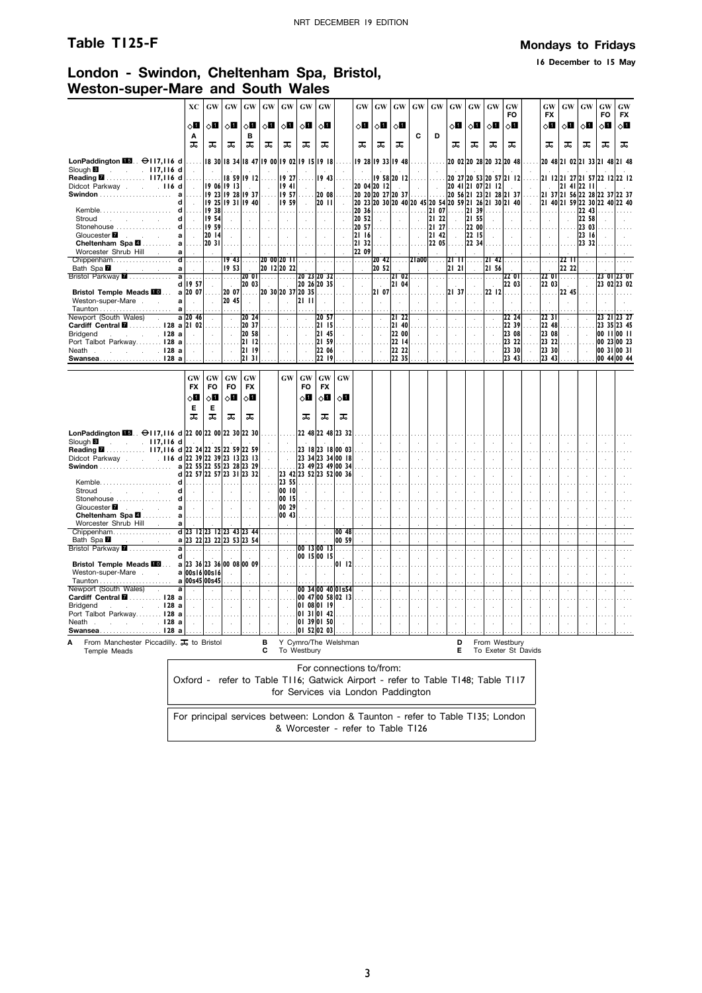### **Table T125-F Mondays to Fridays**

**16 December to 15 May**

### **London - Swindon, Cheltenham Spa, Bristol, Weston-super-Mare and South Wales**

|                                                                                           | XС                                                                              | $\boldsymbol{\mathsf{G}}\boldsymbol{\mathsf{W}}$ | <b>GW</b>                 | GW                                       | GW                          | GW                                  | GW                                     | ${\bf GW}$                              |           | GW                                 | GW                               | GW             | GW                   | GW             | GW                        | GW               | <b>GW</b>         | GW<br>FO                                                       |                       | GW<br><b>FX</b> | GW                                           | GW                 | GW<br>FO | GW<br><b>FX</b>            |
|-------------------------------------------------------------------------------------------|---------------------------------------------------------------------------------|--------------------------------------------------|---------------------------|------------------------------------------|-----------------------------|-------------------------------------|----------------------------------------|-----------------------------------------|-----------|------------------------------------|----------------------------------|----------------|----------------------|----------------|---------------------------|------------------|-------------------|----------------------------------------------------------------|-----------------------|-----------------|----------------------------------------------|--------------------|----------|----------------------------|
|                                                                                           | ू∏                                                                              | √⊔                                               | √П                        | $\diamond$ l                             | $\diamond$ l                | $\diamond$ li                       | √П                                     | 80                                      |           | оΩ                                 | ⊘∐                               | ◇О             |                      |                | √П                        | $\circ$ l        | ◇П                | $\diamond$ li                                                  |                       | √П              | ू∏                                           | $\diamond$ li      | √П       | $\diamond$ l               |
|                                                                                           | A<br>ᠼ                                                                          | ᅚ                                                | ᠼ                         | в<br>ᠼ                                   | ᠼ                           | ᠼ                                   | ᠼ                                      | ᠼ                                       |           | ᠼ                                  | ᠼ                                | ᠼ              | С                    | D              | ᠼ                         | ᠼ                | ᠼ                 | ᠼ                                                              |                       | ᠼ               | ᠼ                                            | ᠼ                  | ᠼ        | ᠼ                          |
| LonPaddington $\blacksquare$ . $\Theta$ 117,116 d                                         |                                                                                 |                                                  |                           | 8 30  8 34  8 47  9 00  9 02  9 15  9 18 |                             |                                     |                                        |                                         |           |                                    | 19 28 19 33 19 48                |                |                      |                |                           |                  |                   | 20 02 20 28 20 32 20 48                                        |                       |                 | 20 48 21 02 21 33 21 48 21 48                |                    |          |                            |
| Slough <sup>8</sup><br>$. 117,116$ d<br>$\sim$<br>$\mathbf{r}$<br>Reading 2 117,116 d     |                                                                                 | $\sim$                                           |                           | 18 59 19 12                              |                             | 19 27                               |                                        | 19 43                                   |           |                                    |                                  | 19 58 20 12    |                      |                |                           |                  |                   | 20 27 20 53 20 57 21 12                                        |                       |                 | 2  12  21 27  21 57  22 12  22 12            |                    |          |                            |
| Didcot Parkway 116 d<br>a                                                                 |                                                                                 |                                                  | 19 06 19 13               | 19 23 19 28 19 37                        |                             | 1941<br>1957                        |                                        | 20 08                                   |           |                                    | 20 04 20 12<br>20 20 20 27 20 37 | in 1           | $\cdot$              |                |                           |                  | 20 41 21 07 21 12 | 20 56 21 23 21 28 21 37                                        |                       |                 | 21 41 22 11<br>21 37 21 56 22 28 22 37 22 37 |                    |          |                            |
| d<br>$Kemble \ldots$<br>d<br>Stroud<br>d                                                  |                                                                                 | 938<br>  954                                     |                           | 9 25  9 31  9 40                         | $\mathcal{L}$               | 959<br>.                            | $\mathcal{L}$                          | 20 11<br>.                              | $\sim$    | 20 36<br>20 52                     |                                  |                | .                    | 21 07<br>21 22 |                           | . 21 39<br>21 55 |                   | 20 23 20 30 20 40 20 45 20 54 20 59 21 26 21 30 21 40<br>1.111 | $\alpha$              |                 | 21 40 21 59 22 30 22 40 22 40                | .  22 43 <br>22 58 |          |                            |
| Stonehouse<br>d<br>Gloucester <b>7</b>                                                    |                                                                                 | 1959<br>20 14                                    |                           | $\sim$                                   |                             | $\ddot{\phantom{1}}$                |                                        | $\epsilon$                              |           | 20 57<br>2116                      |                                  |                | $\lambda$            | 21 27<br>21 42 | $\mathcal{L}$<br>$\cdots$ | 22 00<br>22 15   | $\sim$<br>.       | $\mathcal{L}$                                                  | $\mathcal{A}$         |                 |                                              | 23 03<br>23 16     |          |                            |
| a<br>Cheltenham Spa 4<br>a<br>Worcester Shrub Hill<br>a                                   | $\sim$                                                                          | 20 31                                            |                           | $\mathcal{A}$                            |                             |                                     |                                        |                                         |           | 21 32<br>22 09                     |                                  |                | $\bar{z}$            | 22 05          | $\mathcal{L}$             | 22, 34           | $\bar{z}$         | $\sim$                                                         | $\cdot$               | ÷.              | $\sim$                                       | 23 32              |          |                            |
| Chippenham<br>$\mathbf d$<br>Bath Spa <b>Z</b><br>a                                       |                                                                                 | $\cdots$                                         | 19 <sub>43</sub><br>19 53 | $\ddotsc$                                |                             | 20 00 20 11<br>20 12 20 22          |                                        |                                         |           |                                    | 2042<br>2052                     | $\sim$         | $2$ la00             | $\sim$         | 2111<br>21 21             | $\ddotsc$        | 21 42 <br>21 56   |                                                                |                       |                 | 2211<br>22 22                                |                    |          |                            |
| Bristol Parkway <b>7</b><br>a                                                             | d 19 57                                                                         | $\cdots$<br>$\sim$                               | .<br>$\overline{a}$       | <b>20 OII</b><br>20 03                   | .                           |                                     |                                        | 20 23 20 32<br>20 26 20 35              |           |                                    | $\sim$                           | 21 02<br>21 04 | $\cdots$             |                | .                         |                  | .                 | <b>22 OI</b><br>22 03                                          | $\cdots$<br>$\bar{z}$ | 2201<br>22 03   | .                                            |                    |          | 23 01 23 01<br>23 02 23 02 |
| <b>Bristol Temple Meads FOL</b><br>Weston-super-Mare .<br>a<br>a                          | a 20 07<br>$\mathcal{A}$                                                        | $\cdots$<br>$\mathcal{L}$                        | 20 07<br>20 45            | .<br>$\mathcal{A}$                       | ÷.                          | 20 30 20 37 20 35<br>÷.             | 2111                                   |                                         |           |                                    | 21 07<br>÷.                      | .              |                      |                | 2137                      |                  | 22   12<br>÷      |                                                                |                       | .               | 22 45                                        |                    |          |                            |
| Newport (South Wales)<br>Cardiff Central <b>M</b> 128 a 2l 02                             | a 20 46                                                                         |                                                  |                           | 20 24<br>20 37                           |                             |                                     |                                        | 20 57<br> 21   5                        |           |                                    |                                  | 21 22<br>2140  |                      |                |                           |                  |                   | 22 24<br>22 39                                                 |                       | 2231<br>22 48   |                                              |                    |          | 23 21 23 27<br>23 35 23 45 |
| . I28 a<br><b>Bridgend</b><br><b>Contract Contract</b><br>Port Talbot Parkway 128 a       |                                                                                 |                                                  | $\overline{a}$            | 20 58<br>21 12                           |                             |                                     |                                        | 21 45<br>21 59                          |           |                                    |                                  | 22 00<br>22 14 |                      |                |                           |                  |                   | 23 08<br>23 22                                                 | l.                    | 23 08<br>23 22  |                                              |                    |          | 00 11 00 11<br>00 23 00 23 |
| $\sim$ $\sim$ 128 a<br>Neath .<br>$\sim$<br>Swansea128 a                                  |                                                                                 | $\ddot{\phantom{a}}$                             | $\mathbf{r}$              | 21 19<br>2131                            |                             |                                     |                                        | 22 06<br>22 19                          |           |                                    |                                  | 22 22<br>22 35 |                      |                |                           |                  |                   | 23 30<br>23 43                                                 |                       | 23 30<br>23 43  |                                              | $\mathbf{r}$       |          | 00 31 00 31<br>00 44 00 44 |
|                                                                                           |                                                                                 |                                                  |                           |                                          |                             |                                     |                                        |                                         |           |                                    |                                  |                |                      |                |                           |                  |                   |                                                                |                       |                 |                                              |                    |          |                            |
|                                                                                           | GW<br><b>FX</b>                                                                 | GW<br>FO                                         | GW<br>FO                  | <b>GW</b><br><b>FX</b>                   |                             | GW                                  | GW<br>FO                               | <b>GW</b><br><b>FX</b>                  | <b>GW</b> |                                    |                                  |                |                      |                |                           |                  |                   |                                                                |                       |                 |                                              |                    |          |                            |
|                                                                                           | ू∏<br>Е                                                                         | 8П                                               | оΩ                        | 0П                                       |                             |                                     | ◇Ø                                     | ◇П                                      | ⊘∐        |                                    |                                  |                |                      |                |                           |                  |                   |                                                                |                       |                 |                                              |                    |          |                            |
|                                                                                           | ᠼ                                                                               | Е<br>ᠼ                                           | ᠼ                         | ᠼ                                        |                             |                                     | ᠼ                                      | ᠼ                                       | ᠼ         |                                    |                                  |                |                      |                |                           |                  |                   |                                                                |                       |                 |                                              |                    |          |                            |
| LonPaddington $\Box 3$ . $\Theta$ 117,116 d 22 00 22 00 22 30 22 30                       |                                                                                 |                                                  |                           |                                          |                             |                                     |                                        | 22 48 22 48 23 32                       |           |                                    |                                  |                |                      |                |                           |                  |                   |                                                                |                       |                 |                                              |                    |          |                            |
| Slough <b>B</b><br>$\sim$ 117,116 d<br>Reading <b>M</b> 117,116 d 22 24 22 25 22 59 22 59 |                                                                                 |                                                  |                           |                                          |                             | ÷,                                  | 23 18 23 18 00 03                      |                                         |           |                                    |                                  |                | ÷,                   |                | ÷,                        |                  | $\mathcal{L}$     |                                                                | $\cdot$               |                 | $\cdot$                                      |                    |          |                            |
| Didcot Parkway . 116 d 22 39 22 39 23 13 23 13                                            | a 22 55 22 55 23 28 23 29                                                       |                                                  |                           |                                          | $\mathcal{L}^{\mathcal{L}}$ | $\mathcal{L}$                       | 23 34 23 34 00 18<br>23 49 23 49 00 34 |                                         |           |                                    |                                  |                | $\ddot{\phantom{a}}$ |                | $\ddot{\phantom{a}}$      |                  | à.                | $\cdot$                                                        | $\ddot{\phantom{a}}$  |                 | $\ddot{\phantom{a}}$                         |                    |          |                            |
| d<br><b>Kemble</b><br>d                                                                   |                                                                                 |                                                  |                           | 22 57 22 57 23 31 23 32                  | $\sim$                      | 23 42 23 52 23 52 00 36<br>23 55    |                                        |                                         |           |                                    | $\ddot{\phantom{a}}$             |                | $\ddot{\phantom{a}}$ |                | $\ddot{\phantom{a}}$      |                  | à.                | $\cdot$                                                        | $\ddot{\phantom{a}}$  |                 | $\ddot{\phantom{a}}$                         |                    |          |                            |
| Stroud<br>d<br>and the control of the<br>Stonehouse<br>d                                  |                                                                                 |                                                  |                           | $\mathcal{L}$                            | $\mathcal{L}$               | 00 10<br>00 15                      |                                        |                                         |           |                                    |                                  |                | ÷,                   |                |                           |                  | ä,                |                                                                | $\cdot$               |                 | $\cdot$                                      |                    |          |                            |
| Gloucester <b>M</b><br>a<br>$\sim$<br><b>Contract Contract</b><br>Cheltenham Spa 4<br>a   | $\mathbf{r}$                                                                    | $\mathcal{L}$                                    |                           | $\mathcal{L}$                            |                             | 00 29<br>00 43                      |                                        |                                         |           |                                    |                                  |                | $\overline{a}$       |                |                           |                  | ÷                 |                                                                | $\overline{a}$        |                 | ÷.                                           |                    |          |                            |
| Worcester Shrub Hill<br>a<br>Chippenham                                                   | d 23 12 23 12 23 43 23 44                                                       |                                                  |                           |                                          |                             |                                     |                                        |                                         | 00 48     |                                    |                                  |                |                      |                |                           |                  |                   |                                                                |                       |                 |                                              |                    |          |                            |
| Bath Spa<br>Bristol Parkway <b>M</b><br>a                                                 | a 23 22 23 22 23 53 23 54                                                       |                                                  |                           |                                          |                             |                                     |                                        | 00 13 00 13                             | 00 59     |                                    |                                  |                |                      |                |                           |                  |                   |                                                                |                       |                 |                                              |                    |          |                            |
| d<br>Bristol Temple Meads <b>External</b>                                                 | a 23 36 23 36 00 08 00 09                                                       |                                                  |                           |                                          | $\sim$                      | ÷.                                  |                                        | 00 15 00 15<br>$\sim 100$               | OI 12     |                                    |                                  |                | $\mathbf{r}$         |                |                           |                  | $\mathbf{r}$      | J.                                                             | J.                    |                 |                                              |                    |          |                            |
| Weston-super-Mare                                                                         | a 00s16 00s16<br>a 00s45 00s45                                                  |                                                  | $\mathbf{r}$              | $\sim$                                   | $\mathcal{L}$               |                                     |                                        |                                         |           |                                    |                                  |                | $\mathbf{r}$         |                | ÷.                        |                  | ÷                 | J.                                                             | ÷                     |                 | $\mathbf{r}$                                 |                    |          |                            |
| Newport (South Wales)<br>$\overline{a}$<br>Cardiff Central <b>M</b> 128 a                 | $\lambda$                                                                       |                                                  |                           | $\cdot$                                  | $\cdot$                     | $\cdot$                             |                                        | 00 34 00 40 0 Is54<br>00 47 00 58 02 13 |           |                                    |                                  |                | $\cdot$              |                |                           |                  | $\cdot$           |                                                                | $\cdot$               |                 | $\cdot$                                      |                    |          |                            |
| Bridgend<br>. I28 a<br>and the con-<br>Port Talbot Parkway 128 a                          |                                                                                 | $\bar{z}$                                        |                           | $\cdot$                                  |                             |                                     | 01 31 01 42                            | 01 08 01 19                             |           |                                    |                                  |                |                      |                |                           |                  |                   |                                                                |                       |                 |                                              |                    |          |                            |
| Neath<br>$\sim$ $\sim$ $\sim$ $\sim$ 128 a<br>$\mathbf{r}$<br>Swansea128 a                |                                                                                 |                                                  |                           |                                          |                             |                                     | 01 39 01 50<br>01 52 02 03             |                                         |           |                                    |                                  |                |                      |                |                           |                  |                   |                                                                |                       |                 |                                              |                    |          |                            |
| A<br>From Manchester Piccadilly. $\overline{a}$ to Bristol<br>Temple Meads                |                                                                                 |                                                  |                           |                                          | в<br>C                      | Y Cymro/The Welshman<br>To Westbury |                                        |                                         |           |                                    |                                  |                |                      |                | D<br>Е                    |                  |                   | From Westbury                                                  | To Exeter St Davids   |                 |                                              |                    |          |                            |
|                                                                                           |                                                                                 |                                                  |                           |                                          |                             |                                     |                                        |                                         |           | For connections to/from:           |                                  |                |                      |                |                           |                  |                   |                                                                |                       |                 |                                              |                    |          |                            |
|                                                                                           | Oxford - refer to Table TI16; Gatwick Airport - refer to Table TI48; Table TI17 |                                                  |                           |                                          |                             |                                     |                                        |                                         |           |                                    |                                  |                |                      |                |                           |                  |                   |                                                                |                       |                 |                                              |                    |          |                            |
|                                                                                           |                                                                                 |                                                  |                           |                                          |                             |                                     |                                        |                                         |           | for Services via London Paddington |                                  |                |                      |                |                           |                  |                   |                                                                |                       |                 |                                              |                    |          |                            |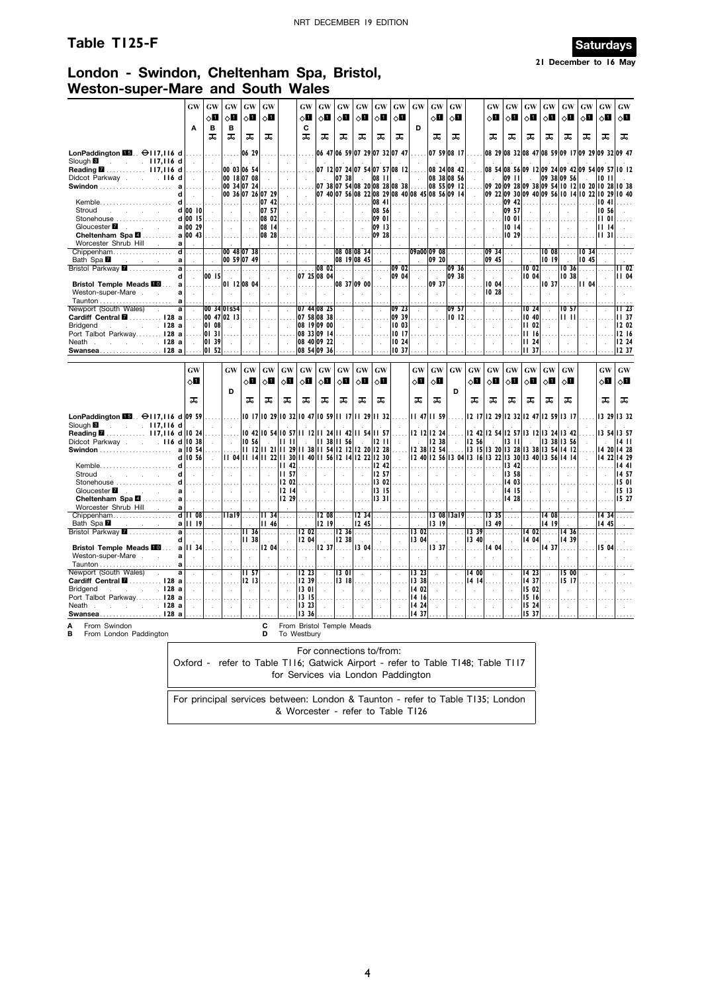### **Table T125-F Saturdays**



**21 December to 16 May**

## **London - Swindon, Cheltenham Spa, Bristol, Weston-super-Mare and South Wales**

|                                                                                          | <b>GW</b>                      | GW<br>◇О                    | GW<br>⊘П                        | GW<br>◇Ø                   | GW<br>√П             |                                      | GW<br>√П         | GW<br>◇Ø                   | GW<br>◇Ø               | GW<br>◇Ш                         | GW<br>√П              | GW<br>◇Ø                                | $\boldsymbol{\mathsf{G}}\boldsymbol{\mathsf{W}}$ | GW<br>◇П                    | GW<br>√П                                                       |                      | GW<br>√П                    | GW<br>ू∏             | <b>GW</b><br>ू∏                                                                                    | GW<br>оШ     | GW<br>◇Ш       | GW<br>◇Ø      | GW<br>√П      | GW<br>⊘Ц                          |
|------------------------------------------------------------------------------------------|--------------------------------|-----------------------------|---------------------------------|----------------------------|----------------------|--------------------------------------|------------------|----------------------------|------------------------|----------------------------------|-----------------------|-----------------------------------------|--------------------------------------------------|-----------------------------|----------------------------------------------------------------|----------------------|-----------------------------|----------------------|----------------------------------------------------------------------------------------------------|--------------|----------------|---------------|---------------|-----------------------------------|
|                                                                                          | A                              | B                           | B                               |                            |                      |                                      | C                |                            |                        |                                  |                       |                                         | D                                                |                             |                                                                |                      |                             |                      |                                                                                                    |              |                |               |               |                                   |
|                                                                                          |                                | ᠼ                           | ᠼ                               | ᠼ                          | ᠼ                    |                                      | ᠼ                | ᠼ                          | ᠼ                      | ᠼ                                | ᠼ                     | ᠼ                                       |                                                  | ᠼ                           | ᠼ                                                              |                      | ᠼ                           | ᠼ                    | ᠼ                                                                                                  | ᠼ            | ᠼ              | ᠼ             | ᠼ             | ᠼ                                 |
| LonPaddington $\blacksquare$ . $\Theta$ 117,116 d<br>Slough <b>B</b><br>$\sim$ 117,116 d |                                | $\ddot{\phantom{a}}$        |                                 | 06 29<br>÷                 |                      |                                      |                  |                            |                        |                                  |                       | 06 47 06 59 07 29 07 32 07 47           |                                                  |                             | 07 59 08 17                                                    |                      |                             |                      | 08 29 08 32 08 47 08 59 09 17 09 29 09 32 09 47                                                    |              |                |               |               |                                   |
| Reading 2 117,116 d<br>Didcot Parkway 116<br>d                                           |                                |                             |                                 | 00 03 06 54<br>00 18 07 08 |                      |                                      |                  |                            | 07 38                  |                                  | 08 11                 | 07 12 07 24 07 54 07 57 08 12<br>$\sim$ |                                                  |                             | 08 24 08 42<br>08 38 08 56                                     |                      | in a                        | <b>09 II</b>         | 08 54 08 56 09 12 09 24 09 42 09 54 09 57 10 12<br>n.                                              |              | 09 38 09 56    |               | 1011          |                                   |
| <b>Swindon</b>                                                                           | a<br>d                         |                             |                                 | 00 34 07 24                | 00 36 07 26 07 29    | $\mathcal{L}$                        |                  |                            |                        |                                  |                       | 07 38 07 54 08 20 08 28 08 38           |                                                  |                             | 08 55 09 12<br>07 40 07 56 08 22 08 29 08 40 08 45 08 56 09 14 |                      |                             |                      | 09 20 09 28 09 38 09 54 10 12 10 20 10 28 10 38<br>09 22 09 30 09 40 09 56 10 14 10 22 10 29 10 40 |              |                |               |               |                                   |
| $Kemble \ldots \ldots \ldots$<br>Stroud<br>and the company of the                        | d<br>$d$ 00 10                 | .<br>$\sim$                 | .<br>$\mathcal{A}$              | .<br>$\mathcal{L}$         | 07 42<br>07 57       | $\sim$<br>$\mathcal{L}$              | $\sim$           | $\mathbf{r}$               | .                      | 1.11<br>$\overline{\phantom{a}}$ | $ 08 \t4 $<br>08 56   | .<br>$\mathcal{L}$                      | $\mathcal{L}$                                    | $\sim$                      | $\mathcal{L}$                                                  | $\mathbf{r}$         | بتبتا<br>$\sim$             | 09 42<br> 09 57      | .<br>$\mathcal{L}$                                                                                 |              | $\mathbf{r}$   |               | 1041<br>10 56 |                                   |
| Stonehouse<br>Gloucester <b>M</b><br>×.<br><b>Contract Contract</b>                      | d 00 15<br>a 00 29             | ä,                          |                                 | $\mathcal{L}$              | 08 02<br>08 14       | $\mathcal{L}$                        |                  |                            |                        | $\mathcal{L}_{\mathbf{a}}$       | 09 OI<br>09 13        |                                         | $\mathcal{L}$                                    | $\mathcal{L}$               | $\mathcal{L}$                                                  |                      | $\mathcal{L}_{\mathcal{A}}$ | 1001<br>1014         | $\overline{\phantom{a}}$                                                                           |              | $\mathbf{r}$   |               | 1101<br>1114  |                                   |
| Cheltenham Spa <b>2</b><br>Worcester Shrub Hill<br><b>Contract</b>                       | $a \mid 00$ 43<br>a            |                             |                                 |                            | 08 28                |                                      |                  |                            |                        |                                  | 09 28                 |                                         |                                                  |                             |                                                                |                      |                             | 10 29                |                                                                                                    |              |                |               | 1131          |                                   |
| Chippenham<br>Bath Spa <sup>1</sup>                                                      | ਰ<br>a                         | .<br>$\mathcal{L}$          |                                 | 00 48 07 38<br>00 59 07 49 |                      |                                      |                  |                            |                        | 08 08 08 34<br>08 19 08 45       |                       |                                         |                                                  | 09a00 09 08<br>09 20        | $\cdots$                                                       |                      | 09 34<br>09 45              |                      | $\cdots$                                                                                           | 1008<br>1019 | $\ldots$       | 1034<br>10 45 |               |                                   |
| Bristol Parkway <b>2</b>                                                                 | $\overline{a}$<br>d<br>$\sim$  | 00 15                       | .                               |                            |                      | $\mathcal{L}$                        |                  | $ 08 \t02 $<br>07 25 08 04 | .                      |                                  | $\mathcal{A}$         | 09 02<br>09 04                          | $\mathbf{r}$<br>$\mathcal{A}$                    | .                           | 09 36<br>09 38                                                 |                      |                             | $\lambda$            | 10 02<br>10 04                                                                                     | 7.           | 10 36<br>10 38 | .             |               | $1\overline{102}$<br><b>II 04</b> |
| Bristol Temple Meads <b>10</b><br>Weston-super-Mare.<br><b>Allen</b>                     | a<br>.<br>a<br>$\sim$          | .                           |                                 | 01 12 08 04                |                      | $\mathbf{r}$                         | .                | .                          |                        | 08 37 09 00                      | .                     | .<br>$\ddot{\phantom{a}}$               | <b>Side</b><br>$\mathcal{L}_{\mathbf{a}}$        | 09 37                       | .                                                              | $\ddot{\phantom{a}}$ | 10 04<br>10 28              | $\ddot{\phantom{a}}$ | .                                                                                                  | 1037         | .<br>$\cdot$   | II 04         |               | .                                 |
| Newport (South Wales)                                                                    | a                              | $\sim$                      | $\cdot$<br>00 34 0 Is54         | $\epsilon$                 |                      |                                      |                  | 07 44 08 25                |                        |                                  |                       | 09 23                                   |                                                  |                             | $\bar{z}$<br>09 57                                             |                      | $\cdots$                    |                      | $\cdot$<br>IO 24                                                                                   |              | 10 57          |               |               | II 23                             |
| $\ddot{\phantom{a}}$<br>Cardiff Central <b>M</b> 128 a                                   | a<br>$\cdot$                   | 01 08                       | 00 47 02 13                     |                            |                      | $\bar{1}$                            |                  | 07 58 08 38<br>08 19 09 00 |                        |                                  |                       | 09 39                                   | $\lambda$                                        | à,                          | 1012                                                           |                      | $\hat{\mathbf{r}}$          |                      | 10,40                                                                                              |              | 11 H           |               |               | <b>II</b> 37<br>12 02             |
| <b>Bridgend</b><br>. 128 a<br>Port Talbot Parkway 128 a                                  |                                | 01 31                       | ÷                               | $\mathcal{L}$              | $\lambda$            | $\lambda$                            |                  | 08 33 09 14                |                        |                                  | ÷.                    | 1003<br>1017                            | $\mathbf{r}$                                     |                             | $\mathbf{r}$                                                   |                      | à.                          | ÷.                   | 11 02<br>1116                                                                                      |              | $\mathbf{r}$   |               |               | 12 16                             |
| . <b>128 a</b><br>Neath.<br>Swansea128 a                                                 |                                | 01 39<br>01 52              |                                 | $\mathcal{L}$              | ÷.                   |                                      |                  | 08 40 09 22<br>08 54 09 36 |                        |                                  | $\bar{z}$             | 10 24<br>10 37                          | $\mathbf{r}$                                     |                             |                                                                |                      | $\bar{z}$                   |                      | 11 24<br><b>III</b> 37                                                                             |              |                |               |               | 12 24<br>12 37                    |
|                                                                                          | <b>GW</b>                      |                             | <b>GW</b>                       | <b>GW</b>                  | GW                   | <b>GW</b>                            | <b>GW</b>        | <b>GW</b>                  | GW                     | GW                               | <b>GW</b>             |                                         | <b>GW</b>                                        | GW                          | <b>GW</b>                                                      | <b>GW</b>            | <b>GW</b>                   | <b>GW</b>            | <b>GW</b>                                                                                          | <b>GW</b>    | <b>GW</b>      |               | <b>GW</b>     | <b>GW</b>                         |
|                                                                                          | √⊔                             |                             |                                 | 8П                         | ⊘П                   | оШ                                   | ⊘П               | ◇П                         | ू∏                     | $\Diamond \blacksquare$          | оΩ                    |                                         | ⊘П                                               | ⊘∐                          |                                                                | 8П                   | 8П                          | $\Diamond$ i         | оΩ                                                                                                 | ⊘Ш           | ू∏             |               | ⊘Ш            | ⊘Ц                                |
|                                                                                          | ᠼ                              |                             | D                               | ᠼ                          | ᠼ                    | ᠼ                                    | ᠼ                | ᠼ                          | ᠼ                      | ᠼ                                | ᠼ                     |                                         | ᠼ                                                | ᠼ                           | D                                                              | ᠼ                    | ᠼ                           | ᠼ                    | ᠼ                                                                                                  | ᠼ            | ᠼ              |               | ᠼ             | ᠼ                                 |
| LonPaddington $\blacksquare$ . $\Theta$ 117,116 d 09 59                                  |                                |                             | .                               |                            |                      | 10 17 10 29 10 32 10 47 10 59 11 17  |                  |                            |                        |                                  | $ 11 \t29 11 \t32 $   |                                         |                                                  | $1147$  1159                |                                                                |                      | 12 17 12 29                 |                      | 2 32  2 47  2 59  3   7                                                                            |              |                |               |               | 13 29 13 32                       |
| Slough <b>B</b><br>$\sim 117,116$ d<br>Reading <b>M</b> 117,116 d 10 24                  |                                |                             |                                 | 1042                       |                      | 0 54  0 57                           |                  | II 12 II 24 II             | 42                     |                                  | 54 11 57              |                                         |                                                  | 12 12 12 24                 |                                                                |                      | 12 42 12 54                 | 257                  | 1312                                                                                               | 13 24        | 1342           |               |               | 13 54 13 57                       |
| Didcot Parkway 116 d 10 38                                                               | 10 54<br>$\mathbf a$           | $\mathcal{L}^{\mathcal{L}}$ | $\mathcal{L}_{\mathbf{r}}$<br>. | 10 56                      |                      | H H<br>$11$ $12$ $11$ $21$ $11$ $29$ |                  | $11$ 38 $11$ 54 $12$ 12    | 11 38 11 56            |                                  | 12 11 <br>12 20 12 28 | $\sim$<br>$\cdots$                      |                                                  | 12 38<br>12 38 12 54        | $\cdots$                                                       | 12 56                |                             | 13 11                | 13 15 13 20 13 28 13 38 13 54 14 12                                                                |              | 13 38 13 56    |               |               | 1411<br>14 20 14 28               |
| Kemble.                                                                                  | 10 56<br>d<br>d<br>.           | ÷                           |                                 |                            |                      | 11 04 11 14 11 22 11 30<br>II 42     |                  | 11 40 11 56 12 14          |                        | 12                               | 22 12 30<br>12.42     | $\sim$                                  | 1.1.1.1                                          |                             |                                                                |                      |                             | 13 42                | 12 40   12 56   13 04   13 16   13 22   13 30   13 40   13 56   14 14                              |              |                |               | 1422          | 14 29<br>144                      |
| Stroud<br>and the control of<br>$\sim$<br>Stonehouse                                     | d<br>d                         |                             |                                 |                            |                      | II 57<br>12 02                       |                  |                            |                        |                                  | 12 57<br>  3 02       |                                         | $\mathcal{A}$                                    |                             |                                                                |                      |                             | 13 58<br>14 03       |                                                                                                    |              |                |               |               | 14 57<br>15 01                    |
| Gloucester <b>7</b><br>$\sim$<br>Cheltenham Spa 4                                        | a<br>$\sim$<br>a               | $\ddot{\phantom{a}}$        | $\mathcal{L}$                   | $\sim$<br>.                | $\sim$<br>.          | 12 14<br>12 29                       |                  | $\sim$                     | $\sim$                 | $\ddot{\phantom{a}}$             | $ 13 \t15 $<br>1331   | $\sim$                                  | $\sim$                                           | $\sim$                      | $\sim$                                                         | $\sim$               | $\sim$<br>$\cdots$          | 14 15<br>14 28       | $\ddot{\phantom{a}}$                                                                               |              |                |               |               | 15 13<br>15 27                    |
| Worcester Shrub Hill<br>$\sim$<br>Chippenham                                             | a<br>$d$ $11$ 08               | $\cdots$                    | l Ial9                          | .                          | $   $ 34             | $\ldots$                             |                  | 208                        |                        | 12 34                            |                       |                                         |                                                  |                             | 130813a19                                                      |                      | 13 35                       |                      |                                                                                                    | 14 08        |                |               | 14 34         |                                   |
| Bath Spa <b>M</b><br>and the company of the company of<br>Bristol Parkway <b>7</b>       | a       19<br>$\mathbf a$<br>. | $\cdots$                    | .                               | II 36                      | 46 <br>.             | $\mathcal{L}$<br>.                   |                  | 12 19 <br>$12 \t02$ 12 36  |                        | 12 45<br>.                       | $\mathcal{A}$<br>.    | $\ldots$                                | 13 02                                            | 13   9 <br>.                | .                                                              | 1339                 | 13 49<br>1999               | .                    | 14 02                                                                                              | 14 19<br>.   | 14 36          | $\mathbf{r}$  | 14 45<br>.    |                                   |
| <b>Bristol Temple Meads FOL</b><br>Weston-super-Mare.<br><b>Allen</b>                    | d<br>II 34<br>a<br>a<br>$\sim$ | ÷                           |                                 | 11 38<br>$\cdot$           | $\sim$<br>12 04      | $\mathcal{L}$                        | 1204 <br>.       | $\sim 10^{-1}$<br>1237     | $\parallel$ 12 38<br>. | 13 04                            | $\mathcal{L}$         | $\sim$                                  | 13 04<br>$\bar{a}$                               | s.<br>13 37                 | $\overline{a}$                                                 | 13 40                | ÷.<br>14 04                 | $\ddot{\phantom{a}}$ | 14 04                                                                                              | 1437         | 14 39          |               | 15 04         |                                   |
| Newport (South Wales)<br>$\sim$                                                          | a<br>a<br>$\sim$               | $\mathcal{A}$               | $\cdot$                         | II 57                      | $\ddot{\phantom{a}}$ | $\cdot$                              | 12,23            | $\mathcal{L}$              | 1301                   | $\epsilon$                       | $\cdot$               | $\mathcal{L}_{\mathbf{a}}$              | 13 23                                            | à.                          | $\ddot{\phantom{a}}$                                           | 14 00                | à.                          | $\ddot{\phantom{a}}$ | 14 23                                                                                              |              | 15 00          |               |               |                                   |
| Cardiff Central <b>M</b> 128 a<br><b>Bridgend</b><br>. I28 a<br>and the control of the   | $\sim$                         | $\ldots$ .<br>$\sim$        | $\mathcal{L}_{\mathcal{A}}$     | 1213<br>$\mathcal{L}$      |                      | $\mathbf{r}$                         | 12 39<br>13 01   | ÷.                         | 3  8                   |                                  | $\mathcal{L}$         |                                         | 333 <br>14 02                                    | $\mathcal{L}^{\mathcal{L}}$ | $\mathcal{L}$                                                  | 14   14              | $\mathcal{L}^{\mathcal{L}}$ |                      | 14 37<br>15 02                                                                                     |              | 15 17          |               |               |                                   |
| Port Talbot Parkway 128 a<br><u>в предмета в 128 ап</u><br>Neath .                       |                                | $\mathcal{L}$               | $\mathcal{L}_{\mathcal{A}}$     | $\mathcal{L}$              | $\mathcal{A}$        | $\overline{a}$                       | 13   15<br>13 23 | $\mathcal{L}$              | $\lambda$              |                                  | $\mathcal{L}$         |                                         | 1416<br>14 24                                    | ÷                           | $\mathcal{L}$                                                  |                      | $\mathcal{L}$               | $\mathcal{A}$        | 15 16<br>15 24                                                                                     |              | $\mathcal{L}$  | $\mathbf{r}$  |               |                                   |
|                                                                                          |                                |                             |                                 |                            |                      |                                      |                  |                            |                        |                                  |                       |                                         |                                                  |                             |                                                                |                      |                             |                      |                                                                                                    |              |                |               |               |                                   |
| Swansea128 a                                                                             |                                |                             |                                 |                            |                      |                                      | 1336             |                            |                        |                                  |                       |                                         | 14 37                                            |                             |                                                                |                      |                             |                      | 15 37                                                                                              |              |                |               |               |                                   |
| A<br>From Swindon<br>в<br>From London Paddington                                         |                                |                             |                                 |                            | C<br>D               |                                      | To Westbury      |                            |                        | From Bristol Temple Meads        |                       |                                         |                                                  |                             |                                                                |                      |                             |                      |                                                                                                    |              |                |               |               |                                   |

Oxford - refer to Table T116; Gatwick Airport - refer to Table T148; Table T117 for Services via London Paddington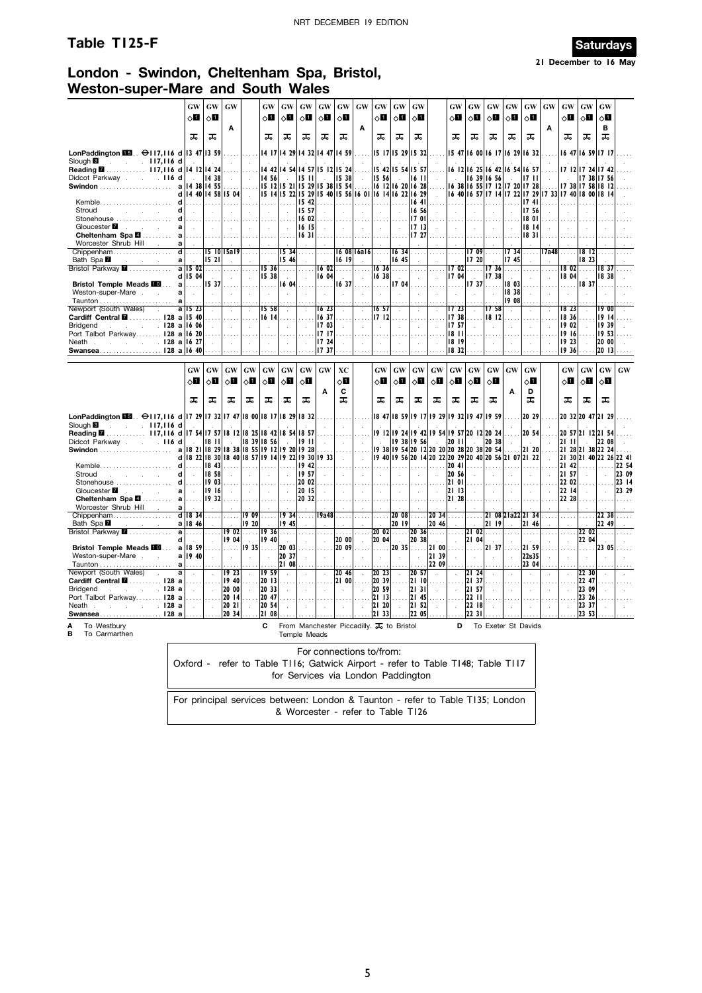### **Table T125-F Saturdays**



**21 December to 16 May**

### **London - Swindon, Cheltenham Spa, Bristol, Weston-super-Mare and South Wales**

|                                                                                               | <b>GW</b>                                                         | GW                          | GW                |                                                  | <b>GW</b>                                        | GW                                                                                                                                    | GW                    | GW                          | GW                      | GW                          | GW                              | GW                                                                              | GW                                               |                             | GW                                               | <b>GW</b>                                        | GW                                | <b>GW</b>                                                                           | <b>GW</b>            | <b>GW</b>     | GW                                               | GW                 | GW                      |       |
|-----------------------------------------------------------------------------------------------|-------------------------------------------------------------------|-----------------------------|-------------------|--------------------------------------------------|--------------------------------------------------|---------------------------------------------------------------------------------------------------------------------------------------|-----------------------|-----------------------------|-------------------------|-----------------------------|---------------------------------|---------------------------------------------------------------------------------|--------------------------------------------------|-----------------------------|--------------------------------------------------|--------------------------------------------------|-----------------------------------|-------------------------------------------------------------------------------------|----------------------|---------------|--------------------------------------------------|--------------------|-------------------------|-------|
|                                                                                               | 8П                                                                | √П                          |                   |                                                  | 0П                                               | ⊘Ц                                                                                                                                    | √П                    | 8П                          | $\circ$ l               |                             | ◇П                              | ◇Ш                                                                              | ◇П                                               |                             | оП                                               | ◇Ш                                               | δП                                | √Ц                                                                                  | √П                   |               | √П                                               | ◇П                 | 80                      |       |
|                                                                                               |                                                                   |                             | A                 |                                                  |                                                  |                                                                                                                                       |                       |                             |                         | A                           |                                 |                                                                                 |                                                  |                             |                                                  |                                                  |                                   |                                                                                     |                      | A             |                                                  |                    | в                       |       |
|                                                                                               | ᠼ                                                                 | ᠼ                           |                   |                                                  | ᠼ                                                | ᠼ                                                                                                                                     | ᠼ                     | ᠼ                           | ᠼ                       |                             | ᠼ                               | ᠼ                                                                               | ᠼ                                                |                             | ᠼ                                                | ᠼ                                                | ᠼ                                 | ᠼ                                                                                   | ᠼ                    |               | ᠼ                                                | ᠼ                  | ᠼ                       |       |
|                                                                                               |                                                                   |                             |                   |                                                  |                                                  |                                                                                                                                       |                       |                             |                         |                             |                                 |                                                                                 |                                                  |                             |                                                  |                                                  |                                   |                                                                                     |                      |               |                                                  |                    |                         |       |
| LonPaddington $\blacksquare$ $\Theta$ 117, 116 d 13 47 13 59<br>Slough <sup>8</sup> 117,116 d |                                                                   | $\sim$                      |                   | .                                                |                                                  | 14 17 14 29 14 32 14 47 14 59                                                                                                         |                       |                             |                         |                             |                                 | $15$ $17$ $15$ $29$ $15$ $32$ $\ldots$                                          |                                                  |                             |                                                  |                                                  |                                   | 15 47 16 00 16 17 16 29 16 32                                                       |                      |               |                                                  |                    | 16 47 16 59 17 17       |       |
| Reading 2 117,116 d 14 12 14 24                                                               |                                                                   |                             |                   |                                                  |                                                  | 14 42 14 54 14 57 15 12 15 24                                                                                                         |                       |                             |                         |                             |                                 | 15 42 15 54 15 57                                                               |                                                  |                             |                                                  |                                                  |                                   | 16 12 16 25 16 42 16 54 16 57                                                       |                      |               |                                                  |                    | 17 12 17 24 17 42       |       |
| Didcot Parkway 116 d                                                                          |                                                                   | $\vert$   14 38             | $\sim 10^{-11}$   | $\sim$ $\sim$                                    | 14, 56                                           | $\sim 10^7$                                                                                                                           | 15 11                 | $\sim 10^{-1}$              | 15 38                   | $\sim$                      | $ 15 \t56 $ .                   |                                                                                 | 6                                                | $\sim 10^7$                 | $\sim 10^{-1}$                                   |                                                  | 1639 1656                         | <b>College</b>                                                                      | 1711                 | $\sim$        |                                                  |                    | 17 38 17 56             |       |
|                                                                                               | a   14 38   14 55                                                 |                             |                   |                                                  |                                                  | $ 15 \t12 15 \t21 15 \t29 15 \t38 15 \t54 $                                                                                           |                       |                             |                         |                             |                                 | $ 16 \t12 16 \t20 16 \t28 $                                                     |                                                  |                             |                                                  |                                                  |                                   | 6 38  6 55  7   2  7 20  7 28                                                       |                      |               |                                                  |                    | 17 38 17 58 18 12       |       |
|                                                                                               | d   14 40   14 58   15 04                                         |                             |                   | $\sim 10^{-1}$                                   |                                                  | $\vert$ 15 14 $\vert$ 15 22 $\vert$ 15 29 $\vert$ 15 40 $\vert$ 15 56 $\vert$ 16 01 $\vert$ 16 14 $\vert$ 16 22 $\vert$ 16 29 $\vert$ |                       |                             |                         |                             |                                 |                                                                                 |                                                  | $\sim 10^{-1}$              |                                                  |                                                  |                                   | 6 40  6 57  7 14  7 22  7 29  7 33  7 40  8 00  8 14                                |                      |               |                                                  |                    |                         |       |
| Stroud<br>the company of the company of                                                       | d<br>.<br>d<br>$\sim$                                             | 1.1.1.1<br>$\sim 10^{-1}$   | .<br>$\sim$       | .<br>$\sim$                                      | .<br>$\sim$                                      | .<br>$\sim$                                                                                                                           | $15 \t42$<br>15 57    | $\sim$                      | . 1.<br>$\sim 10^7$     | 1.1.1.<br>$\sim$            | .<br>$\mathcal{L}_{\mathbf{a}}$ | .<br>$\sim$                                                                     | 16 56                                            | $1641$<br>$\sim$            | .<br>$\sim$ $\sim$                               |                                                  | $\sim$                            |                                                                                     | 17 4 1 1<br>17 56    |               |                                                  |                    |                         |       |
| Stonehouse  d                                                                                 | 1.1.1.1                                                           | .                           | .                 | .                                                | .                                                | .                                                                                                                                     | 1602                  | .                           | .                       |                             | .                               | .                                                                               |                                                  | $1701$                      | .                                                |                                                  | .                                 | .                                                                                   | 18 01                |               |                                                  |                    |                         |       |
|                                                                                               | a<br>$\sim 10^{-1}$                                               | $\sim 10^{-1}$              | $\sim$            | $\sim$                                           | $\sim 10^{-1}$                                   | $\sim$                                                                                                                                | 16 15                 | $\sim$                      | $\sim$                  | $\sim$                      | $\sim$                          | $\sim$                                                                          | 17 13                                            | $\sim$                      | $\sim$                                           | $\sim$                                           | $\sim$                            | $\sim$                                                                              | 18 14                |               |                                                  |                    |                         |       |
|                                                                                               | .                                                                 | .                           |                   | .                                                | .                                                | 1.1.1                                                                                                                                 | 1631                  | .                           |                         |                             | $\cdots$                        |                                                                                 | $ 17 \t27 $                                      |                             |                                                  |                                                  |                                   | .                                                                                   | 18 31                |               |                                                  |                    |                         |       |
| Worcester Shrub Hill .<br>Chippenham                                                          | a<br>$\sim 10^7$                                                  |                             |                   |                                                  |                                                  |                                                                                                                                       |                       |                             |                         |                             |                                 |                                                                                 |                                                  |                             |                                                  |                                                  |                                   |                                                                                     |                      |               |                                                  |                    |                         |       |
| Bath Spa <sup>M</sup><br>and the company                                                      | $d$<br>al                                                         | 1521                        | 15 10 15a19       | .<br>$\mathcal{L}$                               | .                                                | $\overline{15}$ 34 $\ldots$<br>15 46                                                                                                  |                       | .                           | 6  9                    | $160816a16$                 |                                 | 16 34<br>16 45                                                                  | .                                                |                             | .                                                | 1720                                             | $1709$                            | 17 34<br>1745                                                                       | .                    |               | <mark>17a48</mark> ……                            | 1812<br>18 23      |                         |       |
| Bristol Parkway <b>2 a 15 02</b>                                                              |                                                                   |                             |                   | $\ldots$ .                                       |                                                  | $\overline{15}$ 36 $\dots$                                                                                                            | .                     | $\overline{16}$ 02          |                         | $\cdots$                    |                                 | $1636$                                                                          |                                                  | .                           |                                                  |                                                  |                                   | $1702$ $1736$                                                                       |                      | $\mathbf{r}$  | 18 02                                            | .                  | 18 <sup>37</sup>        |       |
|                                                                                               | $d$ 15 04                                                         |                             | $\sim$            | $\sim$                                           | 5 38                                             |                                                                                                                                       | $\sim$                | 16 04                       |                         | $\sim$                      | 16 38                           |                                                                                 |                                                  | $\sim$                      | 17 04                                            |                                                  | 1738                              |                                                                                     | $\sim$               | $\sim$        | 18 04                                            |                    | 18 38                   |       |
| Bristol Temple Meads <b>10</b> a                                                              |                                                                   | 537                         |                   | $\ldots$                                         |                                                  | . 16 04                                                                                                                               |                       | 1.1.1.1                     | 16, 37                  |                             | .                               | 17 04                                                                           | .                                                |                             | .                                                |                                                  | $17.37$                           | 18 03                                                                               | .                    |               | .                                                | 837                |                         |       |
| Weston-super-Mare                                                                             | al<br>$\sim 100$<br>$a$                                           | $\sim$                      | $\sim$            | $\sim$                                           | $\sim$                                           | $\sim$                                                                                                                                |                       | $\sim$                      |                         | $\sim$                      | $\sim$                          | $\sim$                                                                          | $\sim$                                           | $\sim$                      | $\sim$                                           | $\sim$                                           | $\sim$                            | 18 38<br>19 08                                                                      | $\sim$               | $\sim$        | $\mathbf{r}$                                     |                    |                         |       |
| Newport (South Wales) .                                                                       | a   15 23                                                         | $\sim 10^{-1}$              | $\sim$            | $\sim$                                           | 5 58                                             | $\sim$                                                                                                                                | $\sim$                | 16 23                       | $\sim$                  | $\mathcal{L}_{\mathcal{A}}$ | 1657                            | $\sim$                                                                          | $\sim$                                           | $\sim$                      | 17 23                                            | $\sim$                                           | 758                               | $\sim$                                                                              | $\sim$               | $\mathcal{L}$ | 18 23                                            | $\sim$             | I9 00                   |       |
| Cardiff Central <b>M</b> 128 a 15 40                                                          |                                                                   |                             | .                 | $\cdots$                                         | 16 14                                            | $\ldots$                                                                                                                              |                       | 1637                        | $\cdots$                |                             | 17   12                         | .                                                                               | $\cdots$                                         | .                           | 17 38                                            | .                                                | 8  2                              | $\sim$                                                                              | $\cdots$             |               | 18 36                                            |                    | 1914                    |       |
| $\sim$ $\sim$ $\sim$ $\sim$ 128 a 16 06<br>Bridgend                                           |                                                                   | $\sim$                      | $\sim$            | $\sim$                                           | $\sim$                                           | $\sim$                                                                                                                                | $\sim$                | 1703                        |                         | $\mathbf{r}$                | n.                              | $\mathcal{L}^{\mathcal{L}}$                                                     | $\sim$                                           | $\sim$                      | 17 57                                            | $\mathcal{L}^{\mathcal{L}}$                      | $\sim$                            | $\mathbf{r}$                                                                        | $\sim$               |               | 19 02                                            |                    | 19 39                   |       |
| Port Talbot Parkway 128 a 16 20                                                               |                                                                   |                             |                   |                                                  |                                                  |                                                                                                                                       |                       | 17 17                       |                         |                             |                                 |                                                                                 |                                                  |                             | 18 11                                            |                                                  |                                   |                                                                                     |                      |               | 19 16                                            |                    | 19 53                   |       |
| Neath 128 a 16 27<br>Swansea128 a 16 40                                                       |                                                                   | $\mathcal{L}^{\mathcal{L}}$ | $\mathcal{L}$     | $\sim$                                           | $\sim$                                           | $\mathcal{L}$                                                                                                                         | $\mathcal{A}$         | 1724<br>17 37               | $\mathbf{r}$            |                             | $\sim$                          |                                                                                 | $\alpha$                                         | $\mathcal{L}_{\mathcal{A}}$ | 18 19<br>18 32                                   | $\sim$                                           | ÷.                                |                                                                                     | $\mathcal{L}$        | ÷.            | 1923<br>19 36                                    |                    | 20 00<br>20 13          |       |
|                                                                                               |                                                                   |                             |                   |                                                  |                                                  |                                                                                                                                       |                       |                             |                         |                             |                                 |                                                                                 |                                                  |                             |                                                  |                                                  |                                   |                                                                                     |                      |               |                                                  |                    |                         |       |
|                                                                                               | <b>GW</b>                                                         | GW                          | GW                | $\boldsymbol{\mathbf{G}}\boldsymbol{\mathbf{W}}$ | $\boldsymbol{\mathsf{G}}\boldsymbol{\mathsf{W}}$ | GW                                                                                                                                    | GW                    | GW                          | XC                      |                             | <b>GW</b>                       | GW                                                                              | $\boldsymbol{\mathbf{G}}\boldsymbol{\mathbf{W}}$ | $\boldsymbol{\mathrm{GW}}$  | $\boldsymbol{\mathbf{G}}\boldsymbol{\mathbf{W}}$ | $\boldsymbol{\mathsf{G}}\boldsymbol{\mathsf{W}}$ | <b>GW</b>                         | $\boldsymbol{\mathsf{G}}\boldsymbol{\mathsf{W}}$                                    | <b>GW</b>            |               | $\boldsymbol{\mathbf{G}}\boldsymbol{\mathbf{W}}$ | GW                 | GW                      | GW    |
|                                                                                               |                                                                   |                             |                   |                                                  |                                                  |                                                                                                                                       |                       |                             |                         |                             |                                 |                                                                                 |                                                  |                             |                                                  |                                                  |                                   |                                                                                     |                      |               |                                                  |                    |                         |       |
|                                                                                               | ◇Ø                                                                | √∎                          | ◇П                | ◇Ш                                               | 8П                                               | δШ                                                                                                                                    | ◇П                    |                             | √Ц                      |                             | √П                              | ◇Ш                                                                              | $\circ$ l                                        | √П                          | $\circ$ l                                        | $\diamond$ l                                     | √∎                                |                                                                                     | 8П                   |               | √П                                               | ⊘Ш                 | ◇Ш                      |       |
|                                                                                               |                                                                   |                             |                   |                                                  |                                                  |                                                                                                                                       |                       |                             |                         |                             |                                 |                                                                                 |                                                  |                             |                                                  |                                                  |                                   |                                                                                     |                      |               |                                                  |                    |                         |       |
|                                                                                               |                                                                   |                             |                   |                                                  |                                                  |                                                                                                                                       |                       | Α                           | C                       |                             |                                 |                                                                                 |                                                  |                             |                                                  |                                                  |                                   | Α                                                                                   | D                    |               |                                                  |                    |                         |       |
|                                                                                               | ᠼ                                                                 | ᠼ                           | ᠼ                 | ᠼ                                                | ᠼ                                                | ᠼ                                                                                                                                     | ᠼ                     |                             | ᠼ                       |                             | ᠼ                               | ᠼ                                                                               | ᠼ                                                | ᠼ                           | ᠼ                                                | ᠼ                                                | ᠼ                                 |                                                                                     | ᠼ                    |               | ᠼ                                                | ᠼ                  | ᠼ                       |       |
| LonPaddington <b>EE</b> E. <del>○</del> 117,116 d 17 29 17 32 17 47 18 00 18 17 18 29 18 32   |                                                                   |                             |                   |                                                  |                                                  |                                                                                                                                       |                       |                             |                         |                             |                                 |                                                                                 |                                                  |                             | 18 47 18 59 19 17 19 29 19 32 19 47 19 59        |                                                  |                                   |                                                                                     | 20 29                |               |                                                  |                    | 20 32 20 47 21 29       |       |
| Slough <b>B</b><br>$\sim$ 117,116 d                                                           |                                                                   |                             |                   |                                                  |                                                  |                                                                                                                                       |                       |                             |                         |                             |                                 |                                                                                 |                                                  |                             |                                                  |                                                  |                                   |                                                                                     |                      |               |                                                  |                    |                         |       |
| Reading <b>M</b> 117,116 d 17 54 17 57 18 12 18 25 18 42 18 54 18 57                          |                                                                   |                             |                   |                                                  |                                                  |                                                                                                                                       |                       |                             | $\cdots$                |                             |                                 |                                                                                 |                                                  |                             | 19 12  9 24  9 42  9 54  9 57  20 12  20 24      |                                                  |                                   | .                                                                                   | 20 54                |               |                                                  |                    | $ 20\;57 21\;12 21\;54$ |       |
| Didcot Parkway 116 d                                                                          |                                                                   | $\parallel$ 18 11           |                   | 18 39 18 56                                      |                                                  |                                                                                                                                       | - 119 - 11 I          | $\sim$                      | $\sim 10^{-1}$          | $\sim$                      |                                 |                                                                                 | 19 38 19 56                                      |                             | 20                                               |                                                  | 20 38                             |                                                                                     | $\sim$               | $\sim$        | $ 2 $ $ 1 $                                      |                    | 22 08                   |       |
|                                                                                               |                                                                   |                             |                   |                                                  |                                                  |                                                                                                                                       |                       | .                           | 1.1.1.1                 | 1.1.1                       |                                 |                                                                                 |                                                  |                             |                                                  |                                                  |                                   | 9 38  9 54  20 12  20 20  20 28  20 38  20 54     21 20                             |                      |               |                                                  |                    | 121 28 21 38 22 24      |       |
|                                                                                               | d   18 22   18 30   18 40   18 57   19 14   19 22   19 30   19 33 |                             |                   |                                                  |                                                  | <b>Contract</b>                                                                                                                       | $\vert$ 19 42 $\vert$ |                             | $\sim 10^{-1}$<br>. 1.  | $\sim$ $\sim$<br>.          | .                               |                                                                                 | 1. 1. 1.                                         |                             |                                                  |                                                  |                                   | 19 40  9 56  20 14  20 22  20 29  20 40  20 56  21 07  21 22 <br>$ 20 \t41 $ $    $ | 100000               | $\sim$<br>.   | $ 2 $ 42                                         |                    | 21 30 21 40 22 26 22 41 | 22 54 |
| Stroud                                                                                        | d<br>$\sim 10^7$                                                  | 858                         | $\sim$            | $\sim$                                           | $\sim 10^{-1}$                                   | $\sim$                                                                                                                                | 19 57                 | $\sim$                      | $\sim$                  | $\sim$                      | $\sim$                          | $\sim$                                                                          | $\sim$                                           | $\sim 10^{-1}$              | 20 56                                            | $\sim 10^{-1}$                                   | $\sim 10^{-1}$                    | $\sim$                                                                              | $\sim$               | $\sim$        | 21 57                                            | n.                 |                         | 23 09 |
| Stonehouse  d                                                                                 |                                                                   | $\ldots$   19 03            |                   | .                                                |                                                  |                                                                                                                                       | 20 02                 |                             |                         |                             |                                 |                                                                                 |                                                  |                             | 21 01                                            |                                                  |                                   |                                                                                     |                      |               | 22 02                                            |                    |                         | 23 14 |
|                                                                                               |                                                                   |                             |                   | <b>Address (1984)</b>                            |                                                  | УŽ,                                                                                                                                   | 20 15                 | $\sim$                      | $\bar{\mathcal{A}}$     | $\sim$                      | $\sim$                          | $\sim 10^{-1}$                                                                  | $\sim 10^7$                                      | G,                          | 21 13                                            | $\sim$                                           | $\sim 10$                         | $\sim$                                                                              | $\sim$               | $\sim$        | 22 14                                            |                    |                         | 23 29 |
|                                                                                               | $a$ .                                                             |                             |                   | .                                                |                                                  |                                                                                                                                       | 20 32                 |                             |                         |                             |                                 |                                                                                 | 1.1.1                                            |                             | 21 28<br>$\sim$                                  |                                                  |                                   |                                                                                     |                      |               | 22 28                                            |                    |                         |       |
| Worcester Shrub Hill .<br>Chippenham d 18 34                                                  |                                                                   | $\sim 10^{-1}$              | .                 |                                                  |                                                  | $1909$ 1934                                                                                                                           | .                     | 9a48                        |                         |                             | المتعا                          | $2008$                                                                          |                                                  | 20, 34                      | $\ldots$ .                                       |                                                  |                                   | 21 08 21 a 22 21 34                                                                 |                      |               |                                                  |                    | 22 38                   |       |
| Bath Spa <b>M</b><br>and the company's                                                        | a   18 46                                                         | $\sim$                      |                   | 1920                                             |                                                  | 945                                                                                                                                   |                       | $\sim$                      |                         |                             |                                 | $ 20 $ $ 9 $ $ $                                                                |                                                  | 20, 46                      | $\sim$                                           |                                                  | 21 19                             | $\sim$                                                                              | 21 46                |               | $\sim$                                           |                    | 22 49                   |       |
| Bristol Parkway <b>2</b>                                                                      | $a$                                                               | .                           |                   |                                                  |                                                  | $1902$ $1936$                                                                                                                         | .                     | .                           |                         | .                           |                                 | $\begin{bmatrix} 20 & 02 \end{bmatrix}$ $\begin{bmatrix} 20 & 36 \end{bmatrix}$ |                                                  |                             | .                                                |                                                  | $\boxed{21}$ 02                   | .                                                                                   | .                    |               | .                                                |                    | 2202                    |       |
|                                                                                               | d<br>$\sim 10^{-1}$                                               | $\sim 10^{-1}$              | $\parallel$ 19 04 | $\sim 10^{-1}$                                   | 19, 40                                           | $\sim$                                                                                                                                | $\sim$                | $\sim 10^{-1}$              | 20 00                   | $\sim$                      | 20 04                           | $\sim 10^{-1}$                                                                  | 20 38                                            | $\sim 10^{-1}$              | $\sim$<br>.                                      | 21 04                                            | $\sim$                            |                                                                                     | 21 59                |               | $\sim$<br>$\cdots$                               | 22 04              | 23 05                   |       |
| Bristol Temple Meads <b>100</b> a 18 59<br>Weston-super-Mare                                  | a   19 40                                                         | .<br>$\sim 10^{-1}$         | 1.<br>$\sim 10$   | $\sim$                                           | $\sim$                                           | $  19 \t35   \ldots   20 \t03  $<br>20 37                                                                                             | $\sim$                | $\sim$                      | 2009 <br>$\sim 10^{-1}$ | $\sim$                      | .<br>$\sim$                     | $\sim$                                                                          | $ 20 \t35  \ldots  21 \t00 $<br>$\sim$ $\sim$    | 2139                        | $\sim$                                           | $\sim$ $\sim$                                    | $\ldots$  21 37<br>$\sim 10^{-1}$ | $\sim$                                                                              | 22s35                | $\sim$        | $\sim$                                           | .<br>$\mathcal{A}$ |                         |       |
|                                                                                               |                                                                   | .                           |                   |                                                  |                                                  | 21 08                                                                                                                                 |                       |                             |                         |                             |                                 |                                                                                 |                                                  | 22 09                       |                                                  |                                                  |                                   |                                                                                     | 23 04                |               |                                                  |                    |                         |       |
| Newport (South Wales) .                                                                       | a<br>V.                                                           | $\mathcal{L}$               | 1923              | $\mathcal{L}_{\mathcal{A}}$                      | 1959                                             | $\mathcal{L}$                                                                                                                         | $\mathbf{r}$          |                             | 20 46                   |                             | 20 23                           | $\mathbf{r}$                                                                    | 20 57                                            | ÷                           | $\overline{a}$                                   | 21 24                                            |                                   |                                                                                     | $\ddot{\phantom{a}}$ |               |                                                  | 22 30              |                         |       |
| Cardiff Central <b>M</b> 128 a                                                                | 1.1.1.                                                            | .                           | 19 40             |                                                  | .  20  3                                         | $\cdots$                                                                                                                              |                       |                             | 21 00                   |                             | 20 39                           | $\cdots$                                                                        | 2110                                             | .                           | a sa                                             | 21 37                                            | 1.1.1.1                           |                                                                                     |                      |               |                                                  | 22 47              |                         |       |
| $\sim$ $\sim$ $\sim$ $\sim$ 128 a<br>Bridgend                                                 | $\sim$                                                            | $\sim$<br>.                 | 20 00<br>20 14    | $\sim$                                           | 2033 <br>20 47                                   | $\sim$                                                                                                                                |                       |                             | $\sim$                  | $\mathbf{r}$                | 20 59<br> 2113                  | $\sim$                                                                          | 21 31<br> 2145                                   | $\mathcal{L}^{\mathcal{L}}$ | $\mathcal{L}$                                    | 21 57<br>$22$ 11                                 | $\sim$                            | $\sim$                                                                              | $\ddot{\phantom{a}}$ |               | $\mathbf{r}$                                     | 23 09<br>23 26     |                         |       |
| Port Talbot Parkway 128 a<br>Neath 128 a                                                      | $\sim$                                                            | $\sim$                      | 20 21             |                                                  | 20, 54                                           | $\sim$                                                                                                                                | $\mathcal{L}$         | $\mathcal{L}^{\mathcal{A}}$ |                         |                             | 21 20                           |                                                                                 | 2152                                             | $\sim$                      | $\overline{a}$                                   | 22 18                                            | $\sim$                            |                                                                                     | $\mathbf{r}$         | $\sim$        |                                                  | 23 37              |                         |       |
| Swansea128 a                                                                                  |                                                                   |                             | 20 34             |                                                  | 2 08                                             |                                                                                                                                       |                       |                             |                         |                             | 21 33                           |                                                                                 | 22 05                                            |                             |                                                  | 22 31                                            |                                   |                                                                                     |                      |               |                                                  | 23 53              |                         |       |
| A<br>To Westbury                                                                              |                                                                   |                             |                   |                                                  | С                                                |                                                                                                                                       |                       |                             |                         |                             |                                 | From Manchester Piccadilly. $\overline{J_0}$ to Bristol                         |                                                  |                             | D                                                |                                                  |                                   | To Exeter St Davids                                                                 |                      |               |                                                  |                    |                         |       |
| в<br>To Carmarthen                                                                            |                                                                   |                             |                   |                                                  |                                                  |                                                                                                                                       | Temple Meads          |                             |                         |                             |                                 |                                                                                 |                                                  |                             |                                                  |                                                  |                                   |                                                                                     |                      |               |                                                  |                    |                         |       |
|                                                                                               |                                                                   |                             |                   |                                                  |                                                  |                                                                                                                                       |                       |                             |                         |                             |                                 |                                                                                 |                                                  |                             |                                                  |                                                  |                                   |                                                                                     |                      |               |                                                  |                    |                         |       |
|                                                                                               |                                                                   |                             |                   |                                                  |                                                  |                                                                                                                                       |                       |                             |                         |                             | For connections to/from:        |                                                                                 |                                                  |                             |                                                  |                                                  |                                   |                                                                                     |                      |               |                                                  |                    |                         |       |
|                                                                                               |                                                                   |                             |                   |                                                  |                                                  | for Services via London Paddington                                                                                                    |                       |                             |                         |                             |                                 |                                                                                 |                                                  |                             |                                                  |                                                  |                                   | Oxford - refer to Table T116; Gatwick Airport - refer to Table T148; Table T117     |                      |               |                                                  |                    |                         |       |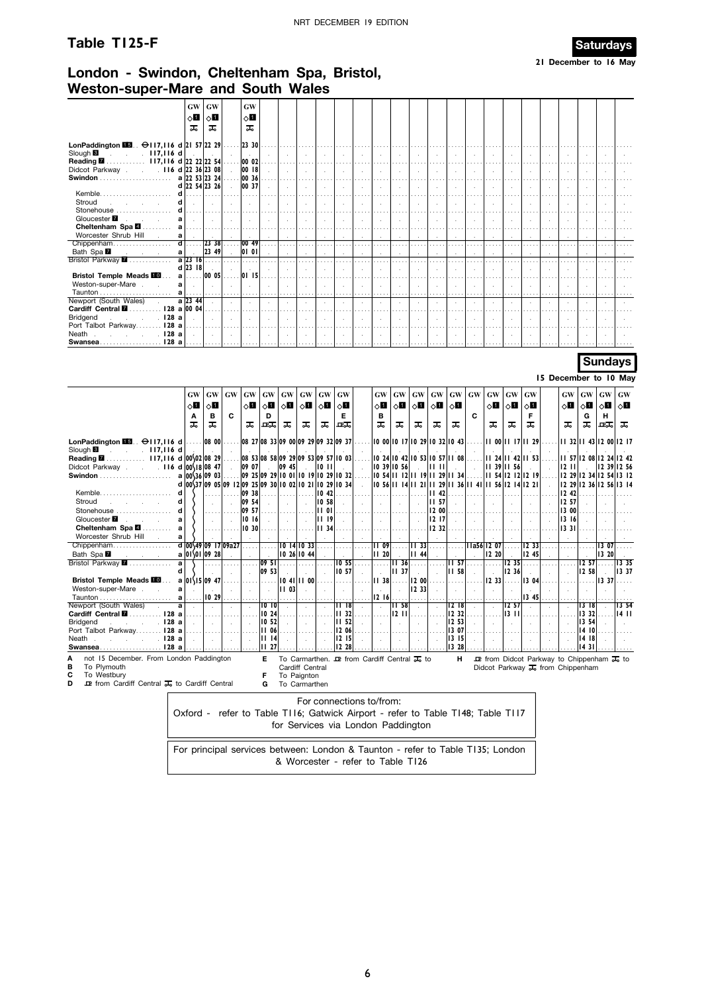### **Table T125-F Saturdays**



**21 December to 16 May**

### **London - Swindon, Cheltenham Spa, Bristol, Weston-super-Mare and South Wales**

|                                                              | GW            | <b>GW</b> | <b>GW</b>      |              |   |                      |        |                      |         |                      |        |        |  |          |  |
|--------------------------------------------------------------|---------------|-----------|----------------|--------------|---|----------------------|--------|----------------------|---------|----------------------|--------|--------|--|----------|--|
|                                                              | ⊘∐            | ⊘П        | 8П             |              |   |                      |        |                      |         |                      |        |        |  |          |  |
|                                                              | ᠼ             | ᠼ         | ᠼ              |              |   |                      |        |                      |         |                      |        |        |  |          |  |
|                                                              |               |           |                |              |   |                      |        |                      |         |                      |        |        |  |          |  |
| LonPaddington $\boxed{13}$ . $\ominus$ 117,116 d 21 57 22 29 |               |           | 2330           |              |   |                      |        |                      |         |                      |        |        |  |          |  |
| Slough <b>B</b><br>$.117,116$ d<br><b>Service</b>            |               |           |                |              |   | $\cdot$              |        |                      |         |                      |        |        |  |          |  |
| 117,116 d 22 22 22 54<br>Reading <b>M</b>                    |               |           | . 0002         |              |   |                      |        |                      |         |                      |        |        |  |          |  |
| Didcot Parkway 116 d 22 36 23 08                             |               |           | 00 18          |              |   | $\ddot{\phantom{1}}$ | $\sim$ | $\ddot{\phantom{0}}$ | $\sim$  | $\ddot{\phantom{1}}$ | $\sim$ | $\sim$ |  | $\cdot$  |  |
|                                                              | a 22 53 23 24 |           | 00 36          |              |   |                      |        |                      |         |                      |        |        |  |          |  |
|                                                              | d 22 54 23 26 |           | 00 37          |              |   |                      |        |                      |         |                      |        |        |  |          |  |
| Kemble                                                       |               |           |                |              |   |                      |        |                      |         |                      |        |        |  |          |  |
| Stroud                                                       |               |           | $\cdot$        |              |   | ٠.                   |        |                      |         |                      | $\sim$ |        |  |          |  |
| Stonehouse<br>d                                              |               |           |                |              |   |                      |        |                      |         |                      |        |        |  |          |  |
| Gloucester <b>7</b><br>a                                     |               |           |                |              |   |                      |        |                      |         |                      |        |        |  |          |  |
| Cheltenham Spa 4<br>a                                        |               |           |                |              |   |                      |        |                      |         |                      |        |        |  |          |  |
| Worcester Shrub Hill<br>a                                    |               |           |                |              |   | $\cdot$              | $\sim$ | $\sim$               | $\cdot$ |                      | $\sim$ |        |  |          |  |
| Chippenham<br>ď                                              |               | 23 38     | $\ldots$ 00 49 |              |   |                      |        |                      |         |                      |        |        |  |          |  |
| Bath Spa <b>M</b><br>a<br>and the control                    |               | 23 49     | 0 0            |              |   |                      |        |                      |         |                      |        |        |  |          |  |
| Bristol Parkway 7                                            | $a$ 23 16     |           |                |              |   |                      |        |                      |         |                      |        |        |  |          |  |
|                                                              | $d$ 23 $18$   |           |                |              |   | $\mathbf{r}$         |        |                      |         |                      | ÷.     |        |  |          |  |
| <b>Bristol Temple Meads III</b><br>a                         |               | 00 05     | 0115           |              |   |                      |        |                      |         |                      |        |        |  |          |  |
| Weston-super-Mare<br>a                                       |               |           |                |              |   |                      |        |                      |         |                      |        |        |  |          |  |
| a                                                            |               | .         | 1.1.1          |              | . | .                    |        |                      |         |                      |        |        |  | $\cdots$ |  |
| Newport (South Wales)                                        | a 23 44       |           | $\sim$         |              |   |                      |        |                      |         |                      |        |        |  |          |  |
| 128 a 00 04<br>Cardiff Central <b>M</b>                      |               |           |                |              |   |                      |        |                      |         |                      |        |        |  |          |  |
| . 128 a<br>Bridgend<br>$\sim 10$                             |               |           |                | $\mathbf{r}$ |   | $\sim$               |        |                      |         |                      |        |        |  |          |  |
| Port Talbot Parkway 128 a                                    |               |           |                |              |   |                      |        |                      |         |                      |        |        |  |          |  |
| Neath<br>. 128 a                                             |               |           |                |              |   | $\cdot$              |        |                      |         |                      |        |        |  |          |  |
| 128a<br>$Swansea$                                            |               |           |                |              |   |                      |        |                      |         |                      |        |        |  |          |  |

### **Sundays**

**15 December to 10 May**

|                                                                                                                                                                                                          | <b>GW</b><br>$\circ$ l<br>A<br>ᠼ | <b>GW</b><br>0П<br>в<br>ᠼ | GW<br>C             | <b>GW</b><br>$\Diamond \blacksquare$<br>ᠼ | <b>GW</b><br>⊘П<br>D<br>교교             | GW<br>∣ <sub>◇</sub> []<br>ᠼ | <b>GW</b><br>$\diamond$ 1<br>ᠼ                                                                                    | <b>GW</b><br>∣ ⊙∐<br>ᠼ                         | GW<br>80<br>Е<br>ᇟ             | <b>GW</b><br>$\circ$ ii<br>в<br>ᠼ                                                                          | GW<br>$\circ$ 1<br>ᠼ | <b>GW</b><br>$\circ$ 1<br>ᠼ                                                                     | <b>GW</b><br>$\circ$ 1<br>ᠼ            | $\boldsymbol{\mathsf{G}}\boldsymbol{\mathsf{W}}$<br>∣ ⊘∎<br>ᠼ | <b>GW</b><br>C. | <b>GW</b><br>$\circ$ 1<br>ᠼ                                                     | <b>GW</b><br>$\circ$ 1<br>ᠼ | <b>GW</b><br>$\circ$ 1<br>F |                                                                                                                                        | <b>GW</b><br>$\circ$ ii<br>ᠼ                                                         | GW<br>$\circ$ 1<br>G<br>ᠼ       | GW<br>$\circ$ ii<br>н<br>ᇟ | <b>GW</b><br>$\circ$<br>ᠼ |
|----------------------------------------------------------------------------------------------------------------------------------------------------------------------------------------------------------|----------------------------------|---------------------------|---------------------|-------------------------------------------|----------------------------------------|------------------------------|-------------------------------------------------------------------------------------------------------------------|------------------------------------------------|--------------------------------|------------------------------------------------------------------------------------------------------------|----------------------|-------------------------------------------------------------------------------------------------|----------------------------------------|---------------------------------------------------------------|-----------------|---------------------------------------------------------------------------------|-----------------------------|-----------------------------|----------------------------------------------------------------------------------------------------------------------------------------|--------------------------------------------------------------------------------------|---------------------------------|----------------------------|---------------------------|
| LonPaddington $\blacksquare$ . $\Theta$ 117,116 d<br>Slough <sup>8</sup><br>$. 117,116$ d<br>117,116 d 00\02 08 29<br>Reading <b>M</b><br>$. 116 d 00\angle18 0847$<br>Didcot Parkway.<br>s.             | a 00\36 09 03                    | .   08 00                 |                     | 09 07                                     |                                        | 09 45                        | 08 27 08 33 09 00 09 29 09 32 09 37<br>08 53 08 58 09 29 09 53 09 57 10 03<br>09 25 09 29 10 01 10 19 10 29 10 32 | $10$ $11$                                      |                                | 10 39 10 56                                                                                                |                      | 10 00 10 17 10 29 10 32 10 43<br>10 24 10 42 10 53 10 57 11 08<br>10 54 11 12 11 19 11 29 11 34 | lu u                                   |                                                               |                 | 00    17    29 <br>    24    42    53 <br><b>III 39</b><br>    54  2   2  2   9 | II 56                       |                             |                                                                                                                                        | 32    43  2 00  2   7<br>    57  2 08  2 24  2 42<br>1211<br>12 29 12 34 12 54 13 12 |                                 | 12 39 12 56                |                           |
| Kemble.<br>d<br>Stroud<br>d<br>d<br>Stonehouse<br>Gloucester <b>7</b><br>a<br>Cheltenham Spa<br>a                                                                                                        |                                  |                           |                     | 09 38<br>09 54<br>09 57<br>10 16<br>10 30 |                                        |                              | d 00\37 09 05 09 12 09 25 09 30 10 02 10 21 10 29 10 34                                                           | 10.42<br>10 58<br>1101<br><b>III</b> 9<br>1134 |                                |                                                                                                            |                      | 10 56 11 14 11 21 11 29 11 36 11 41 11 56 12 14 12 21                                           | 42<br>II 57<br>12 00<br>12 17<br>12 32 |                                                               |                 |                                                                                 |                             |                             |                                                                                                                                        | 12 29 12 36 12 56 13 14<br>12 42<br>12 57<br>13 00<br>13 16<br>13 31                 |                                 |                            |                           |
| Worcester Shrub Hill<br>a<br>Chippenham<br>Bath Spa<br>Bristol Parkway <b>7</b><br>a<br>d                                                                                                                | $a 0 \sqrt{01} 09 28$            |                           | d 00\49 09 17 09a27 |                                           | 0951<br>09 53                          | 10 26 10 44                  | 10 14 10 33                                                                                                       |                                                | 10,55<br>10 57                 | $\overline{1109}$<br><b>II</b> 20                                                                          | 36<br>37<br>lп       | 1133<br>II 44                                                                                   |                                        | $\overline{11}$ 57<br>11 58                                   |                 | 11a56 12 07<br>12 20                                                            | 1235<br>12 36               | 12 33<br>12 45              |                                                                                                                                        |                                                                                      | 12,57<br>12 58                  | 13 07<br>13 20             | 13 35<br>  337            |
| <b>Bristol Temple Meads III</b><br>Weston-super-Mare<br>a<br>a<br>Newport (South Wales)<br>a<br>128a<br>Cardiff Central <b>M</b><br>128a<br><b>Bridgend</b><br>128a<br>Port Talbot Parkway               | $a 01\15 0947$                   | 1029                      |                     |                                           | 1010<br>10 24<br>10 52<br><b>II 06</b> | lΠ<br>03                     | 10 41 11 00                                                                                                       |                                                | 1118<br>32<br>п<br>52<br>12 06 | 11 38<br>1216                                                                                              | 58<br>Ш<br>1211      | 200 <br>1233                                                                                    |                                        | 12 <sup>18</sup><br>12 32<br>12 53<br>13 07                   |                 | 12 33                                                                           | 1257<br>13 11               | 13 04<br>13 45              |                                                                                                                                        |                                                                                      | 1318<br>13 32<br>13 54<br>14 10 | 13 37                      | 13 54<br>14 11            |
| 128a<br>Neath<br>128a<br>Swansea<br>not 15 December. From London Paddington<br>А<br>в<br>To Plymouth<br>С<br>To Westbury<br><b>ID</b> from Cardiff Central <b>I</b> <sub>6</sub> to Cardiff Central<br>D |                                  |                           |                     |                                           | 1114<br>11 <sub>27</sub><br>Е<br>G     |                              | Cardiff Central<br>To Paignton<br>To Carmarthen                                                                   |                                                | 12 15<br>12 28                 | To Carmarthen. $\mathbf{\mathbf{\mathcal{P}}}$ from Cardiff Central $\mathbf{\mathbf{\mathcal{F}}}_{0}$ to |                      |                                                                                                 |                                        | 13 15<br>13 28<br>н                                           |                 |                                                                                 |                             |                             | $\mathbf{\mathcal{P}}$ from Didcot Parkway to Chippenham $\mathbf{\mathcal{F}}_0$ to<br>Didcot Parkway $\overline{ds}$ from Chippenham |                                                                                      | 14 18<br>1431                   |                            |                           |

For connections to/from:

Oxford - refer to Table T116; Gatwick Airport - refer to Table T148; Table T117 for Services via London Paddington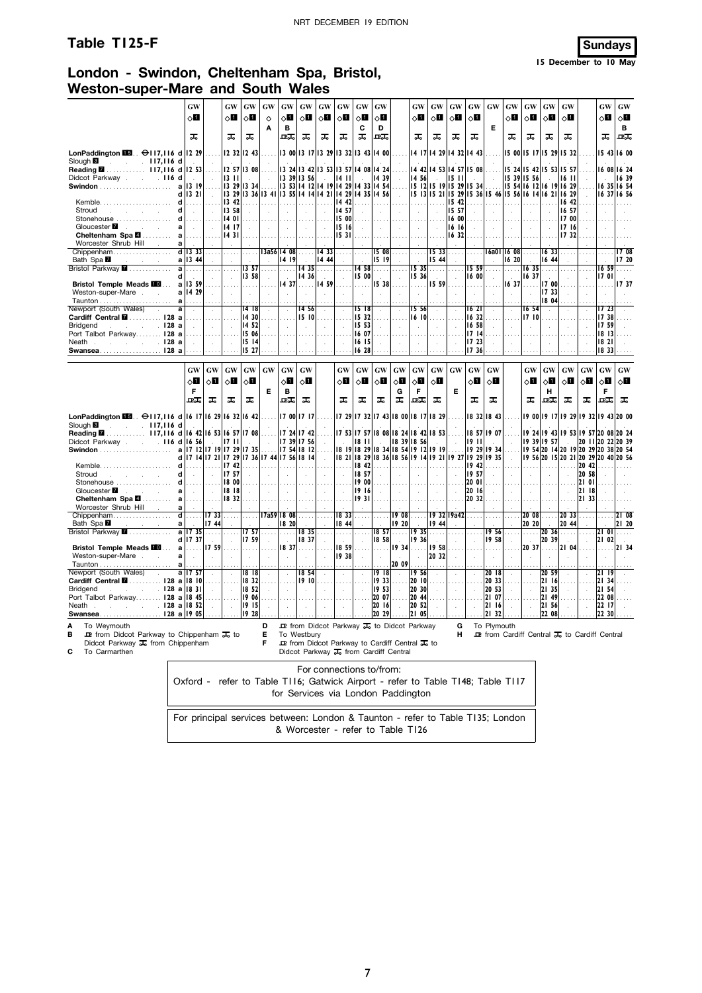### **Table T125-F Sundays**

**15 December to 10 May**

### **London - Swindon, Cheltenham Spa, Bristol, Weston-super-Mare and South Wales**

| LonPaddington $\blacksquare$ . $\Theta$ 117,116 d<br>Slough <b>B</b><br>$. 117,116$ d<br><b>Service</b><br>Didcot Parkway<br>.116<br><b>Swindon</b><br>Kemble.<br>Stroud<br><b>Contractor</b><br>Stonehouse<br>Gloucester <b>7</b><br>and the company of the<br>Cheltenham Spa 4<br>Worcester Shrub Hill<br><b>College</b><br>Chippenham<br>Bath Spa <b>M</b><br>and the contract of the<br>Bristol Parkway <b>7</b><br><b>Bristol Temple Meads III</b><br>Weston-super-Mare.<br>$\mathcal{L}^{\text{max}}$ | GW<br>⊘Ш<br>ᠼ<br>1229<br>12 53<br>d<br>d<br>1319<br>a<br>d<br>13 21<br>d<br>.<br>d<br>d<br>.<br>a<br>$\sim$<br>a<br>a<br>$d$ 13 33<br>a 13 44<br>a<br>.<br>d<br>$\sim$<br>13 59<br>a<br>a 14 29<br>$\mathbf{a}$<br>. | .<br>$\sim$<br>$\sim$<br>$\sim$<br>$\mathcal{L}$<br>.<br>$\sim$<br>.<br>$\mathcal{L}$<br>$\ldots$<br>$\sim$<br>$\sim$ | <b>GW</b><br>ू∏<br>ᠼ<br>$13 \text{ } H$<br>13 42<br>13 58<br>14 01<br>14 17<br>1431<br>$\cdots$<br>$\mathcal{L}$<br>.<br>$\sim$<br>$\mathcal{A}$      | GW<br>⊘Ш<br>ᠼ<br>12 32 12 43<br>12 57 13 08<br>$\sim$<br>13 29 13 34<br>13 29 13 36 13 41 13 55 14 14 14 21<br>. 1<br>$\mathcal{L}$<br>.<br>$\sim$<br>.<br>13 57<br>13 58<br>$\sim$ | <b>GW</b><br>$\Diamond$<br>Α<br>.<br>$\mathcal{L}$<br>$\sim$<br>$\sim$<br>$\sim$<br>.<br>$\sim$<br>$\sim$ | GW<br>$\Diamond \blacksquare$<br>B<br>ᇟ<br>13 24<br>1339<br>. 1.<br>$\mathcal{L}$<br>.<br>$\sim$<br>13a56 14 08<br>14 19<br>.<br>$\sim$<br>14 37 | GW<br>8П<br>ᠼ<br>13 56<br>.<br>$\sim 10^{-1}$<br>.<br>14 36<br>.   | <b>GW</b><br>8П<br>ᠼ<br>13 00 13 17 13 29 13 32 13 43 14 00<br> 342 1353 13<br>.   3 53  4 12  4 19<br>$\sim$<br>  433<br>14 44<br>1435 I.<br>$\sim$<br>  459 | GW<br>ू∐<br>ᠼ<br>-57<br>14<br>$\mathbf{H}$<br>14<br>29<br>  4 29<br>$\overline{14}$<br>-42<br>14 57<br>  5 00 <br>15 16<br>1531<br>$\sim$<br>.<br>$\sim$ | GW<br>√П<br>С<br>ᠼ<br>14 08<br>33<br>$\overline{14}$<br>$\ddot{\phantom{a}}$<br>$\cdots$<br>15 00<br>$\lambda$ | <b>GW</b><br>80<br>D<br>ᇒ<br>14 24<br>14 39<br>14 54<br>35   14 56  <br>$\sim$<br>1508<br>15 19<br>14 58<br>$\sim$<br>15 38 | $\mathcal{L}^{\mathcal{L}}$<br>$\sim$<br>$\cdots$<br>.                                                                                                                                                          | <b>GW</b><br>0П<br>ᠼ<br>14 42<br>14 56<br>$\mathcal{L}_{\mathcal{A}}$<br>$\cdots$<br>$\sim$<br>$\cdots$<br>1535<br>15 36<br>$\mathcal{A}$ | <b>GW</b><br>⊘⊡<br>ᠼ<br>$\sim$<br>1533<br>15 44<br>.<br>$\sim$<br>15 59 | GW<br>$\Diamond \blacksquare$<br>ᠼ<br>14 17 14 29 14 32 14 43<br>14 53 14 57 15 08<br>1511<br>15 12 15 19 15 29 15 34<br>15 13 15 21 15 29 15 36 15 46 15 56 16 14 16<br>15 42<br>15 57<br>16 16<br>16 32<br>$\cdots$<br>$\cdot$<br>$\cdots$<br>$\cdot$ | GW<br>$\circ$ l<br>ᠼ<br>.<br>$1600$<br>$\sim$<br>.<br>15 59<br>16 00 | GW<br>E<br>.<br>.<br>$\sim$<br>.<br>$\sim$<br>16a01<br>$\mathcal{L}$<br>$\ldots$<br>$\sim$<br>$\sim$ | GW<br>⊘Ш<br>ᠼ<br>15 39<br>.<br>$\sim$<br>.<br>$\sim$<br>16 08<br>16 20<br>.<br>$\sim$<br>1637 | GW<br>$\Diamond \blacksquare$<br>ᠼ<br>15 00 15 17 15 29<br>15 24 15 42<br>15 56<br>15 54 16 12 16 19<br>.<br>$\mathcal{L}$<br>المتعاد<br>$\sim$<br>.<br>16 35<br>16 37<br>$\mathcal{A}$ | GW<br>ू∏<br>ᠼ<br>15<br>53<br>1633<br>16 44<br>.<br>$\sim$<br>17 00<br>1733<br>18 04 | <b>GW</b><br>0П<br>ᠼ<br>1532<br>15 57<br>1611<br>16 29<br>21 16 29<br>16 42<br>16 57<br>17 00<br>1716<br>1732<br>$\cdots$<br>$\sim$<br>$\sim$<br>$\sim$ | $\cdots$<br>$\sim$                                                                                                                                                                                  | GW<br>8П<br>ᠼ<br>1659<br>1701                   | GW<br>⊘∐<br>в<br>卫工<br>15 43 16 00<br>16 08 16 24<br>1639<br>16 35 16 54<br>16 37 16 56<br><b>17 08</b><br>17 20<br>.<br>1737 |
|-------------------------------------------------------------------------------------------------------------------------------------------------------------------------------------------------------------------------------------------------------------------------------------------------------------------------------------------------------------------------------------------------------------------------------------------------------------------------------------------------------------|----------------------------------------------------------------------------------------------------------------------------------------------------------------------------------------------------------------------|-----------------------------------------------------------------------------------------------------------------------|-------------------------------------------------------------------------------------------------------------------------------------------------------|-------------------------------------------------------------------------------------------------------------------------------------------------------------------------------------|-----------------------------------------------------------------------------------------------------------|--------------------------------------------------------------------------------------------------------------------------------------------------|--------------------------------------------------------------------|---------------------------------------------------------------------------------------------------------------------------------------------------------------|----------------------------------------------------------------------------------------------------------------------------------------------------------|----------------------------------------------------------------------------------------------------------------|-----------------------------------------------------------------------------------------------------------------------------|-----------------------------------------------------------------------------------------------------------------------------------------------------------------------------------------------------------------|-------------------------------------------------------------------------------------------------------------------------------------------|-------------------------------------------------------------------------|---------------------------------------------------------------------------------------------------------------------------------------------------------------------------------------------------------------------------------------------------------|----------------------------------------------------------------------|------------------------------------------------------------------------------------------------------|-----------------------------------------------------------------------------------------------|-----------------------------------------------------------------------------------------------------------------------------------------------------------------------------------------|-------------------------------------------------------------------------------------|---------------------------------------------------------------------------------------------------------------------------------------------------------|-----------------------------------------------------------------------------------------------------------------------------------------------------------------------------------------------------|-------------------------------------------------|-------------------------------------------------------------------------------------------------------------------------------|
| Newport (South Wales)<br>$\sim$<br>Cardiff Central <b>M</b> ………… I28 a<br>. I28 a<br><b>Bridgend</b><br>and the company<br>Port Talbot Parkway 128 a<br>$\sim$ $\sim$ $\sim$ $\sim$ 128 a<br>Neath.<br><b>Swansea</b>                                                                                                                                                                                                                                                                                       | a<br>$\cdot$<br>.<br>$\ddot{\phantom{a}}$<br>128 a                                                                                                                                                                   | $\epsilon$<br>$\sim$<br>$\sim$<br>$\sim$<br>$\ldots$ .                                                                | $\cdot$<br>$\sim$<br>$\sim$                                                                                                                           | 1418<br>1430<br>14 52<br>15 06<br>1514<br>15 27                                                                                                                                     | $\sim$<br>$\mathcal{L}_{\mathcal{A}}$                                                                     | ÷.<br>$\mathcal{L}$<br>$\mathcal{L}$<br>.                                                                                                        | 14 56<br>15 IOI                                                    | .                                                                                                                                                             | $\cdot$<br>$\mathcal{L}$<br>$\mathcal{L}_{\mathbf{a}}$                                                                                                   | 15 18<br>15 32<br>15 53<br>16 07<br>16 15<br>1628                                                              | $\cdot$<br>$\sim$<br>$\sim$<br>$\cdots$                                                                                     | $\mathcal{L}^{\mathcal{L}}$                                                                                                                                                                                     | 15 56<br>16 IOI<br>$\mathcal{L}_{\mathcal{A}}$<br>$\sim$                                                                                  |                                                                         | $\cdot$                                                                                                                                                                                                                                                 | 1621<br>16 32<br>16 58<br>1714<br>17 23<br>17 36                     | $\mathcal{L}$<br>÷                                                                                   | v.<br>$\ddot{\phantom{a}}$                                                                    | 1654<br>1710<br>$\sim$<br>$\sim$<br>$\cdots$                                                                                                                                            | $\sim$                                                                              | $\mathcal{L}$<br>$\mathcal{L}$<br>$\sim$                                                                                                                | $\mathcal{L}$                                                                                                                                                                                       | 17 23<br>1738<br>1759<br>18 13<br>18 21<br> 833 |                                                                                                                               |
|                                                                                                                                                                                                                                                                                                                                                                                                                                                                                                             | GW<br>оП<br>F<br>ᇛ                                                                                                                                                                                                   | <b>GW</b><br>8П<br>ᅚ                                                                                                  | GW<br>ू∏<br>ᠼ                                                                                                                                         | $\boldsymbol{\mathbf{G}}\boldsymbol{\mathbf{W}}$<br>$\circ$ l<br>ᠼ                                                                                                                  | GW<br>Е                                                                                                   | $\boldsymbol{\mathrm{GW}}$<br>$\circ$ l<br>B<br>ᇒ                                                                                                | GW<br>$\circ$ l<br>ᠼ                                               |                                                                                                                                                               | GW<br>$\circ$ l<br>ᠼ                                                                                                                                     | $\boldsymbol{\mathbf{G}}\boldsymbol{\mathbf{W}}$<br>$\circ$ l<br>ᠼ                                             | GW<br>оΩ<br>ᠼ                                                                                                               | <b>GW</b><br>$\circ$ l<br>G<br>ᅚ                                                                                                                                                                                | GW<br>оΩ<br>F<br>ᇛ                                                                                                                        | $\boldsymbol{\mathrm{GW}}$<br>$\circ$ ii<br>ᠼ                           | GW<br>Е                                                                                                                                                                                                                                                 | $\boldsymbol{\mathbf{G}}\boldsymbol{\mathbf{W}}$<br>√∐<br>ᠼ          | GW<br>80<br>ᅚ                                                                                        |                                                                                               | $\boldsymbol{\mathsf{G}}\boldsymbol{\mathsf{W}}$<br>0П<br>ᠼ                                                                                                                             | <b>GW</b><br>$\Diamond$ i<br>н<br>ᇒ                                                 | GW<br>8П<br>ᠼ                                                                                                                                           | $\boldsymbol{\mathbf{G}}\boldsymbol{\mathbf{W}}$<br>$\circ$ l<br>ᠼ                                                                                                                                  | GW<br>$\Diamond \blacksquare$<br>F<br>ᇟ         | GW<br>$\circ$ l<br>ᠼ                                                                                                          |
| LonPaddington $\Box$ . $\ominus$ 117,116 d 16 17 16 29 16 32 16 42<br>$\sim$ 117,116 d<br>Slough <b>B</b><br>Reading 2 117,116 d<br>Didcot Parkway 116 d<br>Kemble<br>Stroud<br>and the state of the state of the<br>Stonehouse<br>Gloucester <b>7</b><br>and the control of the<br>$\sim$<br>Cheltenham Spa <b>⊠</b>                                                                                                                                                                                       | 16<br>17<br>$\mathbf a$<br>d<br>d<br>d<br>$\sim$<br>d<br>a<br>$\sim 10^{-1}$<br>a<br>.                                                                                                                               | 56<br>$\sim$<br>$\sim$<br>.                                                                                           | 16 42 16 53 16 57 17 08<br>1711<br>$12$  17 19 17 29 17 35 <br>17 14 17 21 17 29 17 36 17 44 17 56 18 14<br>17 42<br>17 57<br>18 00<br>18 18<br>18 32 | $\sim$<br>$\mathcal{L}$<br>$\sim$                                                                                                                                                   | .<br>$\sim$<br>.<br>$\sim$<br>$\sim$                                                                      | 17, 54 18, 12 <br>. 1.<br>$\sim$<br>$\sim 10^{-1}$                                                                                               | 17 00 17 17<br>17 24 17 42<br>17 39 17 56<br>.<br>$\sim$<br>$\sim$ | $\sim$<br>$\cdots$<br>$\sim$<br>$\sim$<br>$\sim$                                                                                                              | $\sim$<br>.<br>$\sim$<br>$\ddotsc$<br>$\sim$<br>.                                                                                                        | 8    <br>18 42<br>18 57<br>19 00<br>1916<br> 1931                                                              | ÷.<br>$\mathcal{L}^{\mathcal{L}}$<br>$\sim$<br>$\ldots$                                                                     | 17 29 17 32 17 43 18 00 18 17 18 29<br>17 53 17 57 18 08 18 24 18 42 18 53<br>18 19 18 29 18 34 18 54 19<br>  18 21   18 29   18 36   18 56   19 14   19 21   19 27   19 29   19 35<br>. 1.<br>$\sim$<br>$\sim$ | 18 39 18 56<br>.<br>$\sim$<br>$\sim$<br>.                                                                                                 | $\mathcal{L}^{\pm}$<br>$12$  19 19<br>$\sim$<br>$\sim 10^{-1}$<br>.     | .<br>$\mathcal{L}$<br>$\sim$<br>.                                                                                                                                                                                                                       | 1911<br>  942 <br>1957<br>20 01<br>20 16<br>20 32                    | 18 32 18 43<br>18 57 19 07<br>in 19<br>19 29 19 34<br>$\sim$<br>$\sim$                               | $\sim$<br>$\sim$                                                                              | 1924<br>$\sim$<br>$\mathbf{r}$<br>$\sim$<br>.                                                                                                                                           | 19 39 19 57<br>$\sim$<br>$\sim$<br>.                                                | $\overline{\phantom{a}}$<br>.<br>$\sim$<br>$\sim$                                                                                                       | 19 00 19 17 19 29 19 32 19 43 20 00<br>  9 43  9 53  9 57  20 08  20 24<br>19 54 20 14 20 19 20 29 20 38 20 54<br>19 56 20 15 20 21 20 29 20 40 20 56<br> 20, 42 <br>20 58<br>21 01<br>2118<br>2133 | 20 11 20 22 20 39                               |                                                                                                                               |
| Worcester Shrub Hill<br><b>College</b><br>Chippenham<br>Bath Spa<br>and the control<br>Bristol Parkway <b>7</b><br><b>Bristol Temple Meads III</b><br>Weston-super-Mare                                                                                                                                                                                                                                                                                                                                     | a<br>d<br>.<br>$\mathbf a$<br>a<br>II7 35<br>d 17 37<br>a<br>.<br>a<br>$\sim$                                                                                                                                        | 1733<br>1744<br>.<br>1759<br>$\sim$                                                                                   | $\ldots$<br>.<br>$\mathcal{L}$<br>$\mathbf{r}$                                                                                                        | .<br>$\sim$<br>1757<br>17 59<br>1.1.1.1<br>$\sim$                                                                                                                                   | $\sim$<br>$\sim$<br>.                                                                                     | 17a59 18 08<br>18 20<br>1.11<br>1837<br>$\mathcal{L}$                                                                                            | .<br>1835<br>1837<br>.                                             |                                                                                                                                                               | 18 33<br>18 44<br>$\sim$<br>18 59<br>19 38                                                                                                               | .<br>$\mathcal{L}^{\mathcal{L}}$<br>$\mathcal{L}$<br>$\sim$<br>$\sim$                                          | .<br>$\sim$<br>1857<br>18,58<br>.<br>$\sim$                                                                                 | 908<br>19 20<br>$\ldots$ .<br>$\sim 10^{-1}$<br>  934                                                                                                                                                           | $\ldots$ .<br>1935<br>19 36<br>$\sim$                                                                                                     | 19 44<br>.<br>1958<br> 20 32                                            | 19 32 19a42<br>$\sim$<br>$\sim$<br>$\cdots$<br>$\sim$                                                                                                                                                                                                   | .<br>$\sim$<br>.<br>$\sim$                                           | $\ldots$ .<br>$\sim$<br>1956<br>1958<br>.<br>$\sim$                                                  | .<br>$\mathbf{r}$<br>$\mathcal{L}$<br>.                                                       | 20 20<br>.<br>$\mathbf{r}$<br>2037<br>$\mathbf{r}$                                                                                                                                      | $2008$<br>S.<br>20 36<br> 20, 39                                                    | 20 33<br> 20, 44 <br>.<br>$\ldots$ . 21 04                                                                                                              | .<br>$\mathcal{L}$                                                                                                                                                                                  | $\mathbf{0}$<br>21 02<br>.                      | 121 08<br>21 20<br>2134                                                                                                       |
| Newport (South Wales)<br>$\sim$<br>Cardiff Central <b>M</b> 128 a 18 10<br><b>Bridgend</b><br>. 128 a<br>contract and a state<br>Port Talbot Parkway 128 a 18 45<br>Neath year 128 a<br>Swansea128 a                                                                                                                                                                                                                                                                                                        | a<br>a   17 57<br>1831<br>18 52<br>19 05                                                                                                                                                                             | $\mathcal{L}$<br>$\ldots$ .<br>$\mathcal{L}$<br>.                                                                     | $\lambda$<br>$\cdots$<br>$\mathcal{L}$<br>.<br>$\mathbf{r}$                                                                                           | 1818<br>18 32<br>18 52<br>1906<br>1915<br>1928                                                                                                                                      | $\sim$<br>$\ldots$ .<br>$\sim$<br>.<br>$\sim$                                                             | $\mathcal{L}$<br>$\cdots$<br>$\mathcal{L}$<br>$\sim$                                                                                             | 1854<br>19 IOI                                                     | $\mathcal{L}$<br>$\cdots$                                                                                                                                     | $\mathcal{A}$<br>$\cdots$<br>$\mathcal{L}_{\mathcal{A}}$<br>a a c<br>$\sim$                                                                              | $\epsilon$<br>$\cdots$<br>$\mathcal{L}$<br>$\sim$                                                              | 1918<br>1933<br>1953<br>20 07<br>2016<br>20 29                                                                              | 20 09<br>$\mathcal{L}$<br>$\ldots$ .<br>$\sim$<br>1.111                                                                                                                                                         | 1956<br>2010<br>20 30<br>$ 20 \t44 $<br>20 52<br>2105                                                                                     | $\mathcal{L}$<br>.<br>$\mathcal{L}^{\mathcal{L}}$<br>$\sim$             | $\mathcal{L}$<br>$\ldots$<br>$\sim$<br>.<br>$\sim$                                                                                                                                                                                                      | $\mathcal{L}$<br>.<br>$\sim$<br>a a a an                             | 2018<br>20 33<br>20 53<br>21 07<br>21 16<br>21 32                                                    | $\epsilon$                                                                                    | $\mathcal{L}$<br>$\cdots$<br>$\ddot{\phantom{a}}$<br>$\sim$                                                                                                                             | 20 59<br>21 16<br>21 35<br>21 49<br>21 56<br>22 08                                  | $\mathbf{r}$<br>$\cdots$<br>$\mathcal{L}$<br>$\sim$                                                                                                     | $\mathcal{L}$                                                                                                                                                                                       | 2134<br>21 54<br>22 08<br> 22   17  <br>22 30   |                                                                                                                               |
| To Weymouth<br><b>ID</b> from Didcot Parkway to Chippenham $\overline{J}$ to<br>в<br>Didcot Parkway $\overline{J_0}$ from Chippenham<br>С<br>To Carmarthen                                                                                                                                                                                                                                                                                                                                                  | Oxford - refer to Table T116; Gatwick Airport - refer to Table T148; Table T117                                                                                                                                      |                                                                                                                       |                                                                                                                                                       |                                                                                                                                                                                     | Е<br>F                                                                                                    | To Westbury                                                                                                                                      |                                                                    | For connections to/from:                                                                                                                                      |                                                                                                                                                          |                                                                                                                |                                                                                                                             | <b>ID</b> from Didcot Parkway <b>J</b> <sub>5</sub> to Didcot Parkway<br><b>De</b> from Didcot Parkway to Cardiff Central $\overline{J_0}$ to<br>Didcot Parkway $\overline{J_0}$ from Cardiff Central           |                                                                                                                                           |                                                                         | G<br>н                                                                                                                                                                                                                                                  |                                                                      | To Plymouth                                                                                          |                                                                                               |                                                                                                                                                                                         |                                                                                     |                                                                                                                                                         | <b>D</b> from Cardiff Central $\overline{J_6}$ to Cardiff Central                                                                                                                                   |                                                 |                                                                                                                               |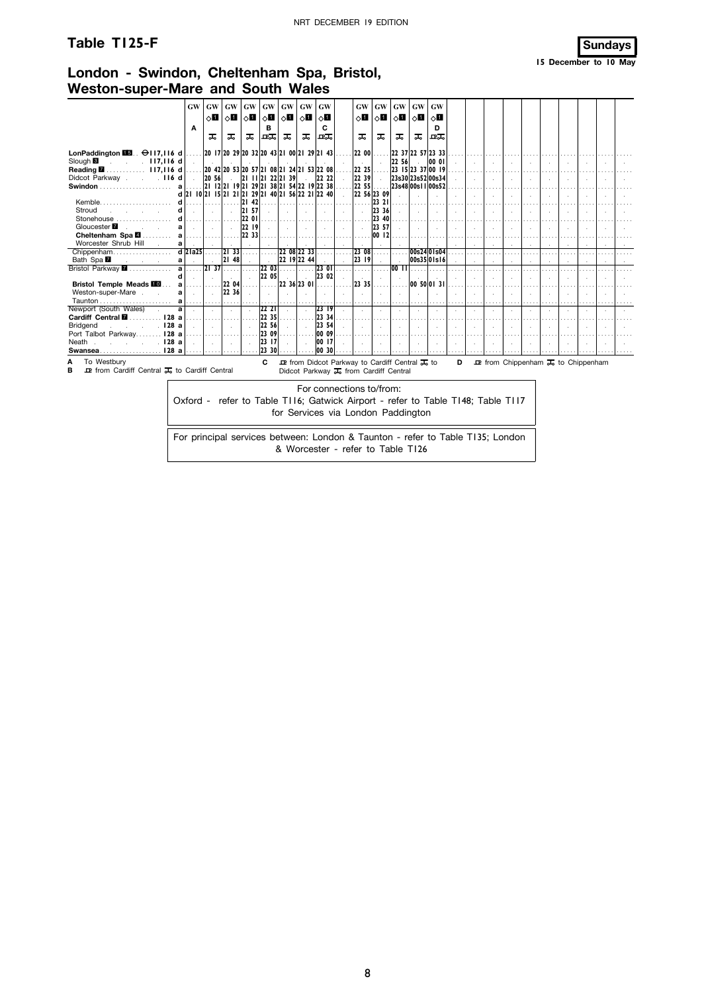### **Table T125-F Sundays**

### **London - Swindon, Cheltenham Spa, Bristol, Weston-super-Mare and South Wales**

|                                                                                                                                                                                                                                                                     | GW        | GW                    | GW        | GW    | GW       | GW                                               | <b>GW</b> | <b>GW</b>                                                         |  | <b>GW</b>    | GW    | GW                              | GW | GW                |   |  |  |                                                                               |  |  |
|---------------------------------------------------------------------------------------------------------------------------------------------------------------------------------------------------------------------------------------------------------------------|-----------|-----------------------|-----------|-------|----------|--------------------------------------------------|-----------|-------------------------------------------------------------------|--|--------------|-------|---------------------------------|----|-------------------|---|--|--|-------------------------------------------------------------------------------|--|--|
|                                                                                                                                                                                                                                                                     |           | ਨ∎ ।                  |           |       |          | ◇ <b>li</b>   ◇li   ◇li   ◇li                    | ∣ ⊡⇔      | $\circ$ ii                                                        |  | $\circ$ ii 1 |       | ▏◇▉▏◇▊▏◇▊▏◇▊                    |    |                   |   |  |  |                                                                               |  |  |
|                                                                                                                                                                                                                                                                     | A         |                       |           |       | в        |                                                  |           | c                                                                 |  |              |       |                                 |    | D.                |   |  |  |                                                                               |  |  |
|                                                                                                                                                                                                                                                                     |           | ᠼ                     | ᠼ         | ᠼ     | 교교       | ᠼ                                                | ᠼ         | ᇟ                                                                 |  | ᠼ            | ᠼ     | ᠼ                               | ᠼ  | 卫工                |   |  |  |                                                                               |  |  |
|                                                                                                                                                                                                                                                                     |           |                       |           |       |          |                                                  |           |                                                                   |  |              |       |                                 |    |                   |   |  |  |                                                                               |  |  |
| LonPaddington $\blacksquare$ . $\Theta$ 117,116 d                                                                                                                                                                                                                   |           |                       |           |       |          | 20   7  20 29  20 32  20 43  21 00  21 29  21 43 |           |                                                                   |  | 22 00        |       |                                 |    | 22 37 22 57 23 33 |   |  |  |                                                                               |  |  |
| 22 56<br>Slough <sup>8</sup><br>00 01<br>.117.116d<br>22 25<br>23 15 23 37 00 19<br>$117,116$ d<br>Reading <b>M</b><br>20 42 20 53 20 57 21 08 21 24 21 53 22 08<br>22 22<br>22 39<br>23s30 23s52 00s34<br>$ 2 $ $ 1 2 $ $ 22 2 $ 39<br> 20, 56 <br>Didcot Parkway. |           |                       |           |       |          |                                                  |           |                                                                   |  |              |       |                                 |    |                   |   |  |  |                                                                               |  |  |
| $\sim$ 116 d                                                                                                                                                                                                                                                        |           |                       |           |       |          |                                                  |           |                                                                   |  |              |       |                                 |    |                   |   |  |  |                                                                               |  |  |
| 2   2 2   9 2  29 2  38 2  54 22  9 22 38<br>22 55<br>23s48 00s11 00s52<br>a                                                                                                                                                                                        |           |                       |           |       |          |                                                  |           |                                                                   |  |              |       |                                 |    |                   |   |  |  |                                                                               |  |  |
| 21 10 21 15 21 21 21 29 21 40 21 56 22 21 22 40<br>22 56 23 09<br>d                                                                                                                                                                                                 |           |                       |           |       |          |                                                  |           |                                                                   |  |              |       |                                 |    |                   |   |  |  |                                                                               |  |  |
| Kemble<br>42                                                                                                                                                                                                                                                        |           |                       |           |       |          |                                                  |           |                                                                   |  |              |       |                                 |    |                   |   |  |  |                                                                               |  |  |
| 23 21<br>12 I<br> 23 36 <br>21 57                                                                                                                                                                                                                                   |           |                       |           |       |          |                                                  |           |                                                                   |  |              |       |                                 |    |                   |   |  |  |                                                                               |  |  |
| Stroud                                                                                                                                                                                                                                                              |           |                       |           | 22 01 |          |                                                  |           |                                                                   |  |              | 23 40 |                                 |    |                   |   |  |  |                                                                               |  |  |
| Stonehouse<br>Gloucester <b>7</b><br>a                                                                                                                                                                                                                              |           |                       |           | 22 19 |          |                                                  |           |                                                                   |  |              | 23 57 |                                 |    |                   |   |  |  |                                                                               |  |  |
| a                                                                                                                                                                                                                                                                   |           |                       |           | 22 33 |          |                                                  |           |                                                                   |  |              | 00 12 |                                 |    |                   |   |  |  |                                                                               |  |  |
| Cheltenham Spa 2.<br>Worcester Shrub Hill<br>a                                                                                                                                                                                                                      |           |                       |           |       |          |                                                  |           |                                                                   |  |              |       |                                 |    |                   |   |  |  |                                                                               |  |  |
| Chippenham                                                                                                                                                                                                                                                          | $d$ 21a25 |                       | 12133     |       |          | 22 08 22 33                                      |           |                                                                   |  | 23 08        |       |                                 |    | 00s2401s04        |   |  |  |                                                                               |  |  |
| Bath Spa <b>M</b><br>a<br>$\alpha$ - $\beta$ - $\alpha$                                                                                                                                                                                                             |           |                       | 48<br>121 |       |          | 22 19 22 44                                      |           |                                                                   |  | 23 19        |       |                                 |    | 00s35 01s16       |   |  |  |                                                                               |  |  |
| Bristol Parkway 7<br>a                                                                                                                                                                                                                                              |           | $\overline{37}$<br> 2 |           |       | 22 03    |                                                  |           | 123 01                                                            |  |              |       | $\overline{00}$ $\overline{11}$ |    |                   |   |  |  |                                                                               |  |  |
|                                                                                                                                                                                                                                                                     |           |                       |           |       | 22 05    |                                                  |           | 23 02                                                             |  |              |       |                                 |    |                   |   |  |  |                                                                               |  |  |
| <b>Bristol Temple Meads III</b>                                                                                                                                                                                                                                     |           |                       | 22 04     |       |          | 22 36 23 01                                      |           |                                                                   |  | 23 35        |       |                                 |    | 00 50 01 31       |   |  |  |                                                                               |  |  |
| Weston-super-Mare.<br>a                                                                                                                                                                                                                                             |           |                       | 22 36     |       |          |                                                  |           |                                                                   |  |              |       |                                 |    |                   |   |  |  |                                                                               |  |  |
| Taunton<br>a<br>.                                                                                                                                                                                                                                                   |           |                       |           |       |          |                                                  |           |                                                                   |  |              |       |                                 |    |                   |   |  |  |                                                                               |  |  |
| Newport (South Wales)<br>a                                                                                                                                                                                                                                          |           |                       |           |       | 22 21    |                                                  |           | 23 19                                                             |  |              |       |                                 |    |                   |   |  |  |                                                                               |  |  |
| Cardiff Central <b>M</b><br>128a                                                                                                                                                                                                                                    |           |                       |           |       | 22 35    |                                                  |           | 23 34                                                             |  |              |       |                                 |    |                   |   |  |  |                                                                               |  |  |
| . 128 a<br><b>Bridgend</b>                                                                                                                                                                                                                                          |           |                       |           |       | 22 56    |                                                  |           | 23 54                                                             |  |              |       |                                 |    |                   |   |  |  |                                                                               |  |  |
| 128a<br>Port Talbot Parkway.                                                                                                                                                                                                                                        |           |                       |           |       | 23 09    |                                                  |           | 00 09                                                             |  |              |       |                                 |    |                   |   |  |  |                                                                               |  |  |
| Neath<br>. 128 a                                                                                                                                                                                                                                                    |           |                       |           |       | 23<br>17 |                                                  |           | 00 17                                                             |  |              |       |                                 |    |                   |   |  |  |                                                                               |  |  |
| Swansea128 a                                                                                                                                                                                                                                                        |           |                       |           |       | 23 30    |                                                  |           | 00 30                                                             |  |              |       |                                 |    |                   |   |  |  |                                                                               |  |  |
| To Westbury<br>Α                                                                                                                                                                                                                                                    |           |                       |           |       | C        |                                                  |           | <b>D</b> from Didcot Parkway to Cardiff Central $\overline{J}$ to |  |              |       |                                 |    |                   | D |  |  | $\mathbf{\mathcal{P}}$ from Chippenham $\mathbf{\mathcal{F}}_6$ to Chippenham |  |  |
| в<br><b>D</b> from Cardiff Central <b>J</b> <sub>6</sub> to Cardiff Central                                                                                                                                                                                         |           |                       |           |       |          |                                                  |           | Didcot Parkway J <sub>5</sub> from Cardiff Central                |  |              |       |                                 |    |                   |   |  |  |                                                                               |  |  |

For connections to/from: Oxford - refer to Table T116; Gatwick Airport - refer to Table T148; Table T117 for Services via London Paddington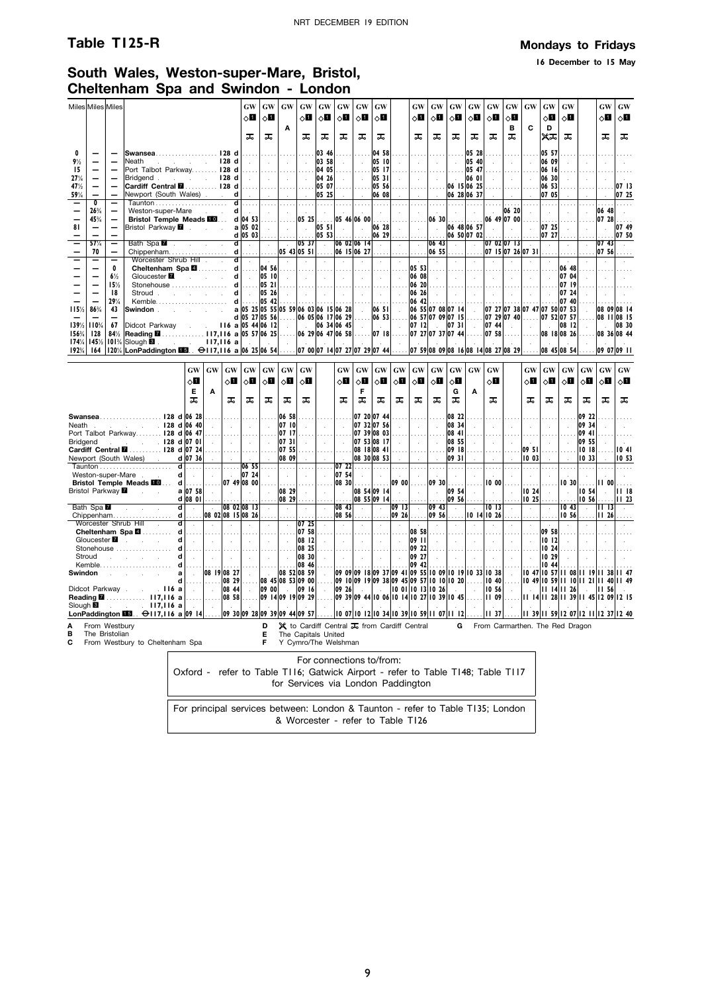### **Table T125-R Mondays to Fridays**

**16 December to 15 May**

## **South Wales, Weston-super-Mare, Bristol, Cheltenham Spa and Swindon - London**

|                                         | Miles Miles Miles                                          |                                                      |                                                                                                                                                                                                                                                                            |                                                                                                |                                                                                 |                                                                                                           | <b>GW</b><br>◇Ш                                                                                                       | GW<br>⊘Ш                                                  | GW                                                      | GW<br>8П                                  | GW<br>◇П                                          | GW<br>⊘Ш                                            | GW<br>⊘Ш                             | GW<br>⊘∐                                                                                                 |                                               | GW<br>8П                                                                                                                                                                                                                           | GW<br>⊘П                               | GW<br>◇П                                             | <b>GW</b><br>⊘Ш                          | GW<br>оΩ                                | GW<br>оШ                     | <b>GW</b>                                  | GW<br>оΩ                                                            | GW<br>0П                               |                                                  | GW<br>◇П                                | <b>GW</b><br>ू∏                     |
|-----------------------------------------|------------------------------------------------------------|------------------------------------------------------|----------------------------------------------------------------------------------------------------------------------------------------------------------------------------------------------------------------------------------------------------------------------------|------------------------------------------------------------------------------------------------|---------------------------------------------------------------------------------|-----------------------------------------------------------------------------------------------------------|-----------------------------------------------------------------------------------------------------------------------|-----------------------------------------------------------|---------------------------------------------------------|-------------------------------------------|---------------------------------------------------|-----------------------------------------------------|--------------------------------------|----------------------------------------------------------------------------------------------------------|-----------------------------------------------|------------------------------------------------------------------------------------------------------------------------------------------------------------------------------------------------------------------------------------|----------------------------------------|------------------------------------------------------|------------------------------------------|-----------------------------------------|------------------------------|--------------------------------------------|---------------------------------------------------------------------|----------------------------------------|--------------------------------------------------|-----------------------------------------|-------------------------------------|
|                                         |                                                            |                                                      |                                                                                                                                                                                                                                                                            |                                                                                                |                                                                                 |                                                                                                           | ᠼ                                                                                                                     | ᠼ                                                         | Α                                                       | ᠼ                                         | ᅚ                                                 | ᠼ                                                   | ᠼ                                    | ᠼ                                                                                                        |                                               | ᠼ                                                                                                                                                                                                                                  | ᅚ                                      | ᅚ                                                    | ᠼ                                        | ᠼ                                       | в<br>ᠼ                       | C                                          | D<br>жѫ                                                             | ᠼ                                      |                                                  | ᠼ                                       | ᅚ                                   |
| 0<br>$9\frac{1}{2}$<br>15<br>27%<br>47% | $\overline{\phantom{0}}$<br>$\equiv$                       | $\overline{\phantom{0}}$<br>$\overline{\phantom{0}}$ | Swansea128 d<br>Neath<br>Port Talbot Parkway 128 d<br>Bridgend 128 d<br>Cardiff Central <b>M</b> 128 d                                                                                                                                                                     | $\mathcal{L} = \mathcal{L} = \mathcal{L} = \mathcal{L} = \mathcal{L} = \mathbf{128} \text{ d}$ |                                                                                 |                                                                                                           | $\cdots$<br>$\sim 10^{-1}$<br>.<br>$\sim$                                                                             | $\sim$<br>.                                               | $\sim$<br>.<br><b>Carl Carl</b>                         | $\sim$<br>$\sim$                          | 03 46 <br> 03 58 <br> 04 05 <br> 04 26 <br> 05 07 | $\sim$<br>$\sim$                                    | $\sim$<br>.<br>$\sim 10$             | 04 58<br>05 10<br>05 17<br>05 31<br>05 56                                                                | $\mathcal{L}^{\pm}$<br>$\sim$                 | .<br>$\sim 10^{-1}$<br>.<br>$\sim$                                                                                                                                                                                                 | $\sim$<br>$\sim 10^7$                  | $\sim$<br>$\sim$<br>.<br>$\mathbf{L}$<br>06 15 06 25 | 05 28<br>05 40<br>05 47<br>06 01         | $\sim$<br>$\cdots$<br>$\sim$            | $\sim$<br>$\sim 10$          |                                            | 05 57<br>06 09<br>06 16<br>06 30<br>06 53                           | $\overline{a}$                         | $\sim$                                           |                                         | 07 13                               |
| 59%                                     | $\overline{\phantom{0}}$<br>$\overline{\mathbf{0}}$<br>26% | $\overline{\phantom{0}}$<br>Ξ                        | Newport (South Wales).<br>Weston-super-Mare                                                                                                                                                                                                                                |                                                                                                |                                                                                 | d<br>d                                                                                                    | $\sim 10^{-1}$<br>$d$                                                                                                 |                                                           | <b>Carl Carl</b><br>. 1                                 | $\sim$<br>.                               | 05 25<br>1.                                       | .                                                   | 1.1.1.1                              | 06 08<br>1.1.1.1<br>$\sim$                                                                               | $\cdots$                                      | $\sim 10^{-1}$<br>.<br>$\sim$                                                                                                                                                                                                      | $\sim$<br>1.                           | 06 28 06 37<br>1.1.1.1<br>$\sim$                     | .<br>$\sim$                              | .                                       | $\sim 10^{-1}$<br>.<br>06 20 | $\sim$                                     | 07 05<br>1.1.1.1<br>$\sim$                                          |                                        | $\ddot{\phantom{a}}$                             | 06 48                                   | 07 25<br>1.1.1.1<br>$\sim$          |
| 81                                      | 45%                                                        |                                                      | Bristol Temple Meads FO  d 04 53<br>Bristol Parkway <b>7</b>                                                                                                                                                                                                               |                                                                                                |                                                                                 |                                                                                                           | a 05 02 <br>$d$ 05 03                                                                                                 | . 1<br>$\sim 10^{-1}$                                     | .<br>$\sim$                                             | $ 05 \t25 $<br>$\sim 10^{-1}$             | 05, 51<br> 05, 53                                 | $ 05 \; 46 06 \; 00  \ldots$<br>$\sim 10^{-1}$      | $\sim 10^{-1}$                       | 06 28<br>06 29                                                                                           | $\sim$                                        | .<br>$\sim$ $\sim$                                                                                                                                                                                                                 | $\sim 10^7$                            | $ 06 30 $<br>06 48 06 57<br>06 50 07 02              |                                          | 06 49 07 00<br>$\sim 10^{-1}$           | $\sim$                       | $\sim$                                     | 07 25<br> 07 27                                                     | $\sim$                                 | $\mathcal{A}$                                    | $ 07 \t28 $<br>$\sim 10^7$              | 07, 49<br>07 50                     |
|                                         | 57%<br>70                                                  | $\qquad \qquad -$                                    | Bath Spa <b>7</b> .                                                                                                                                                                                                                                                        |                                                                                                |                                                                                 | $\mathbf{d}$                                                                                              | $\sim$                                                                                                                | $\sim$                                                    | $ 05 \t43 05 \t51 $ $ 06 \t15 06 \t27 $                 | $ 05 \ 37 $ .                             |                                                   | 06020614                                            |                                      | $\sim$                                                                                                   | $\sim$                                        | $\sim$<br>$\ldots$   06 55 $\ldots$                                                                                                                                                                                                | 06 43                                  | $\sim$                                               | $\sim$                                   | 07 02 07 13<br> 07 15 07 26 07 31       |                              |                                            | $\sim$                                                              |                                        | $\ddot{\phantom{a}}$                             | 07 43<br> 07, 56                        | $\ddot{\phantom{a}}$                |
|                                         | $\overline{\phantom{0}}$                                   | 0<br>$6\frac{1}{2}$<br>15%<br>18                     | Worcester Shrub Hill<br>Cheltenham Spa <b>2</b> d<br>Gloucester <b>M</b><br>Stonehouse<br>Stroud reserve the strong stroud                                                                                                                                                 |                                                                                                | contract and states                                                             | ਗ<br>$\mathbf d$<br>$\mathbf d$<br>d                                                                      | $\sim$<br>$\sim$ $\sim$                                                                                               | $\sim$<br>$\ldots$ [04 56]<br> 05 <br>.  05 21 <br> 05 26 | $\sim$<br>$\sim 10^{-1}$<br>$\sim$                      | $\sim$<br>1.111<br>$\sim 10^7$<br>$\sim$  | $\mathbb{R}$<br>$\sim 10^{-1}$                    | $\sim$<br>$\mathbb{R}$<br><b>1.</b><br>$\mathbb{R}$ | $\sim$ $\sim$<br>.<br>$\sim 10^{-1}$ | $\sim$<br>$\sim 10^{-1}$                                                                                 | $\sim$<br>$\sim 10^{-1}$<br>$\sim$            | $\sim$<br>$ 05 \t53 $<br>$0608$  <br>$06 20$<br>06 26                                                                                                                                                                              | $\sim$<br>$\sim$                       | $\sim$<br>1.1.1<br>$\sim 10^{-1}$<br>.<br>$\sim$     | $\sim$ $\sim$<br>$\sim$                  | $\sim$<br>$\sim 10^{-1}$                | $\sim$                       | $\sim$                                     | $\sim$                                                              | 06 48<br>07 04<br> 07 19<br>$ 07 \t24$ |                                                  |                                         |                                     |
| 115%                                    | 86%<br>1391/2 1103/4                                       | 29%<br>43<br>67                                      | Didcot Parkway                                                                                                                                                                                                                                                             |                                                                                                |                                                                                 | $116$ a 05 44 06 12                                                                                       | $d$<br>a 05 25 05 55 05 59 06 03 06 15 06 28<br>d 05 27 05 56                                                         | 05 42                                                     | $\sim$                                                  | $\sim 10^{-1}$                            | 06 05 06 17 06 29<br>$ 06 \t34 06 \t45 $          |                                                     | .<br>$\sim 10^{-1}$<br>$\sim$        | $ 06 \t51 $ .                                                                                            | $\sim 10^{-1}$                                | $06 \t 42$<br>06 55 07 08 07 14<br>$ 06 \t53 $ 06 57 07 09 07 15<br>$ 07 12$ . $ 07 31$                                                                                                                                            |                                        | .                                                    | $\sim$<br>$\sim$                         | 07 44                                   | $\sim$                       | $\sim$                                     | 07 27 07 38 07 47 07 50 07 53<br>07 29 07 40  07 52 07 57<br>la ser | 07 40<br> 08 12                        | $\sim$                                           | n si                                    | 08 09 08 14<br>08 11 08 15<br>08 30 |
| 156%<br>174%<br>192%                    | <b>128</b><br>145%<br>164                                  | 84%<br>101%                                          | Reading M. 117, 116 a 05 57 06 25<br>$\begin{bmatrix} \text{Slough} \blacksquare \end{bmatrix}$ . $\begin{bmatrix} 117,116 \blacksquare \end{bmatrix}$<br>120¼ LonPaddington M5. → 117,116 a 06 25 06 54 07 00 07 14 07 27 07 29 07 44 07 59 08 09 08 16 08 14 08 27 08 29 |                                                                                                |                                                                                 |                                                                                                           |                                                                                                                       |                                                           |                                                         |                                           | 06 29 06 47 06 58                                 |                                                     | .                                    |                                                                                                          | $ 07 18$                                      | 07 27 07 37 07 44                                                                                                                                                                                                                  |                                        |                                                      |                                          | $\ldots$ 07 58                          | .                            |                                            | 08 18 08 26<br>08 45 08 54                                          |                                        |                                                  | 09 07 09 11                             | 08 36 08 44                         |
|                                         |                                                            |                                                      |                                                                                                                                                                                                                                                                            |                                                                                                | GW<br>GW                                                                        | GW                                                                                                        | <b>GW</b>                                                                                                             |                                                           | $GW$ $GW$                                               | <b>GW</b>                                 |                                                   | GW                                                  | <b>GW</b>                            | GW                                                                                                       | GW                                            | GW                                                                                                                                                                                                                                 | GW                                     | GW                                                   | GW                                       | <b>GW</b>                               |                              | GW                                         | GW                                                                  | <b>GW</b>                              | <b>GW</b>                                        | <b>GW</b>                               | GW                                  |
|                                         |                                                            |                                                      |                                                                                                                                                                                                                                                                            | 0П<br>Е<br>ᠼ                                                                                   | Α                                                                               | ू∏<br>ᠼ                                                                                                   | 8П<br>ᠼ                                                                                                               | $\diamond$ l<br>ᅚ                                         | 0П<br>ᠼ                                                 | ⊘∐<br>ᠼ                                   |                                                   | ा<br>ᠼ                                              | $\diamond$ l<br>F<br>ᠼ               | 8П<br>ᅚ                                                                                                  | $\Diamond$<br>ᠼ                               | оΩ<br>ᠼ                                                                                                                                                                                                                            | ू∏<br>ᅚ                                | ू∏<br>G<br>ᅚ                                         | A                                        | оΩ<br>ᠼ                                 |                              | 8П<br>ᠼ                                    | оΩ<br>ᠼ                                                             | ू∏<br>ᠼ                                | ◇П<br>ᠼ                                          | оΩ<br>ᠼ                                 | ा<br>ᠼ                              |
| Neath<br><b>Bridgend</b>                |                                                            |                                                      | Swansea128 d 06 28<br>$\frac{1}{28}$ d 06 40<br>Port Talbot Parkway 128 d 06 47<br>$\frac{1}{2}$ 128 d 07 01<br>Cardiff Central <b>M</b> 128 d 07 24<br>Newport (South Wales) .                                                                                            | d 07 36                                                                                        | $\sim$                                                                          | $\sim$<br>.<br>$\sim 10^{-1}$                                                                             | $\sim$<br>.<br>$\sim$<br>1.1.1.1                                                                                      | $\sim$<br>.<br>$\sim$                                     | 06 58<br>07 10<br> 07 17<br> 0731 <br> 07, 55 <br>08 09 | .<br>$\sim 10^{-1}$                       | $\sim$                                            | .<br>$\sim$<br>1.<br>$\sim$                         |                                      | 07 20 07 44<br>07 32 07 56<br>$ 07 \t39 08 \t03 $<br>07 53 08 17<br>  08 18 08 41 <br>08 30 08 53        | $\mathcal{L}^{\pm}$<br>.                      | $\sim$<br>.<br>$\sim$<br>1.1.1.                                                                                                                                                                                                    | 1.1.1<br>$\sim$<br>.                   | 08 22<br>08 34<br>08 41<br>08 55<br>09 18<br>09 31   |                                          | $\sim$<br>$\cdots$<br>$\sim$            |                              | $\mathbf{r}$<br>.<br> 09, 51 <br>1003      | .                                                                   |                                        | 09 22<br>09 34<br>09 41<br>09 55<br>1018<br>1033 |                                         | 1041<br>10 53                       |
|                                         |                                                            |                                                      | Weston-super-Mare<br>Bristol Temple Meads <b>10</b> d                                                                                                                                                                                                                      | $d$<br>$d$ .<br>a 0758 <br>$d$ 08 01                                                           | .<br>$\sim$<br>.<br>$\sim 10^{-1}$                                              | $\sim 10^{-1}$                                                                                            | $\ldots$ 06 55 $\ldots$<br>$\begin{array}{ c c c c c c } \hline \end{array}$ 07 24<br>$ 0749 0800 $<br>$\sim 10^{-1}$ | $\sim$<br>$\sim$                                          | .<br>$\sim 10^{-1}$<br>1.1.1.1<br>08 29<br>08 29        | $\sim 10^7$<br>.<br>$\sim 10^7$           | . 1<br>$\sim$<br>$\sim$                           | 07 54<br>$ 08 \ 30 $ $ $<br>$\sim$                  | $\sim$                               | $\begin{bmatrix} 07 & 22 & \ldots & \ldots \end{bmatrix}$<br>$\sim$ $\sim$<br>08 54 09 14<br>08 55 09 14 | $\sim 1.1$ .<br>$ 0900 $<br>$\sim 10^{-1}$    | .<br>$\sim 10^{-1}$                                                                                                                                                                                                                | .<br>$\sim 10^7$                       | .<br>$\sim$<br>$ 09 \ 30 $<br> 09, 54 <br>09 56      | .<br>$\ddot{\phantom{a}}$<br>.<br>$\sim$ | .<br>$\sim$<br>$1000$<br>$\sim 10^{-1}$ | 1.<br>$\sim$<br>$\sim$       | .<br>$\sim$<br>.<br>1024<br>1025           | $\sim$                                                              | $\sim$                                 | .<br>10 30 11 00<br> 10, 54 <br> 10, 56          | $\sim 10^{-1}$                          | 18<br>    23                        |
|                                         | Bath Spa                                                   |                                                      | Chippenham                                                                                                                                                                                                                                                                 | $d$ .<br>$d$                                                                                   | $\sim$                                                                          | 08 02 08 15 08 26                                                                                         | 08 02 08 13                                                                                                           | $\sim$                                                    | $\sim$                                                  | $\sim 10^{-1}$                            | $\ldots$ .                                        | 08 43<br>08 56                                      | $\sim$<br>.                          | $\sim$ $\sim$<br>.                                                                                       | 09 13                                         | $ 09 \t26  \ldots  09 \t56  \ldots$                                                                                                                                                                                                | $ 09 \t43 $                            |                                                      |                                          | 10 13 <br>$ 10 \t14 10 \t26 $           | $\sim$<br>.                  | $\sim$<br>.                                | $\sim 10^{-1}$                                                      | 10 56                                  |                                                  | $\overline{111}$ 13<br>$   \cdot   $ 26 |                                     |
|                                         | Stroud                                                     |                                                      | Worcester Shrub Hill (Norcester Shrub Hill (Northern Spa<br>Gloucester <b>1</b><br>Stonehouse  d<br>and the contract of the                                                                                                                                                | $\overline{d}$<br>.<br>d<br>$\sim 10^{-1}$<br>$\mathbf d$<br>$\sim 10^{-1}$                    | $\mathcal{L}$<br>7.<br>.<br>$\sim 10$<br>$\sim 10^{-11}$                        | $\bar{z}$<br>$\sim$<br>$\sim 10^{-1}$                                                                     | .<br>$\sim$<br>$\sim 10^{-1}$                                                                                         | $\sim$<br>$\sim 10^7$                                     | $\bar{z}$<br>. 1.<br><b>Contract</b><br>$\mathbb{R}$    | 0725<br>0758<br>$08$ 12<br>08 25<br>08 30 | $\mathcal{L}$<br>.<br>$\sim$<br>$\sim$            | $\bar{z}$<br>.<br>$\sim$<br>$\sim$                  | .<br>$\sim 10^7$<br>$\sim 10^{-1}$   | $\mathcal{L}$<br>.<br>$\sim 10^7$<br>$\sim 10^7$                                                         | $\sim$<br>.<br>$\sim$ $\sim$<br>$\sim$ $\sim$ | 08 58<br> 09 11 <br>$ 09 \t22 $<br>09 27                                                                                                                                                                                           | $\mathcal{A}$<br>.<br>$\sim$<br>$\sim$ | $\cdot$<br>.<br>$\sim$<br>$\sim 10^{-1}$             | $\mathcal{A}^{\mathcal{A}}$<br>- 1       | .<br>and the last                       | .<br><b>Common Common</b>    | $\ddot{\phantom{a}}$<br>.<br>$\sim$ $\sim$ | $ 09 \t58$<br> 10 12 <br>$\vert$ 10 24 $\vert$<br>10 29             | $\sim$<br>$\bar{z}$                    | $\sim$                                           |                                         |                                     |
| Swindon                                 |                                                            |                                                      | $Kemble. \ldots \ldots \ldots \ldots \ldots \ldots$<br>the control of the control of<br>Didcot Parkway 116 a<br>Reading 2  117,116 a                                                                                                                                       | d<br>.<br>al<br>$\sim 10^{-1}$<br>$d$<br>$\sim 10^{-1}$                                        | $\sim 10^7$                                                                     | 08 19 08 27<br>$  \ldots  $ 08 29<br>08 44<br>$  \dots  $ 08 58 $  \dots  $ 09 14 09 19 09 29 $  \dots  $ | $\sim$<br>$\sim$                                                                                                      | 09 00 .                                                   | $ 08\;52 08\;59 $<br>$ 08 \t45 08 \t53 09 \t00 $        | 08 46<br> 09 16                           | $\sim$<br>$\sim$                                  |                                                     |                                      |                                                                                                          |                                               | 09 42 <br>09 09 09 18 09 37 09 41 09 55 10 09 10 19 10 33 10 38<br>09 1009 1909 3809 4509 5710 1010 2010 4010 4910 5911 1011 211 4011 49<br>.09 39 09 44 10 06 10 14 10 27 10 39 10 45  11 09  11 14 11 28 11 39 11 45 12 09 12 15 |                                        |                                                      |                                          | $\vert$ 10 56 $\vert$                   |                              | <b>Contract</b>                            | 10 44<br>  0 47  0 57  1 08  1 19  1 38  1 47                       |                                        | $\sim$                                           | $\parallel$ II 56                       |                                     |
| Slough <b>B</b>                         |                                                            |                                                      | . 117,116a<br>LonPaddington $\overline{1133}$ . $\ominus$ 117,116 a 09 14 09 30 09 28 09 39 09 44 09 57                                                                                                                                                                    |                                                                                                | $\sim$                                                                          |                                                                                                           |                                                                                                                       |                                                           |                                                         |                                           |                                                   |                                                     |                                      |                                                                                                          |                                               | 0 07  0 12  0 34  0 39  0 59  1 07  1 12                                                                                                                                                                                           |                                        |                                                      |                                          | $\ldots$  11 37                         |                              |                                            | 39    59  2 07  2     2 37  2 40                                    |                                        |                                                  |                                         |                                     |
| A<br>в<br>C                             | From Westbury<br>The Bristolian                            |                                                      | From Westbury to Cheltenham Spa                                                                                                                                                                                                                                            |                                                                                                |                                                                                 |                                                                                                           |                                                                                                                       | D<br>Е<br>F.                                              | The Capitals United<br>Y Cymro/The Welshman             |                                           |                                                   |                                                     |                                      |                                                                                                          |                                               | $\mathsf{\mathsf{X}}$ to Cardiff Central $\mathsf{\overline{J}}_0$ from Cardiff Central                                                                                                                                            |                                        |                                                      |                                          |                                         |                              |                                            | G From Carmarthen. The Red Dragon                                   |                                        |                                                  |                                         |                                     |
|                                         |                                                            |                                                      |                                                                                                                                                                                                                                                                            |                                                                                                | Oxford - refer to Table T116; Gatwick Airport - refer to Table T148; Table T117 |                                                                                                           |                                                                                                                       |                                                           |                                                         |                                           | For connections to/from:                          |                                                     |                                      |                                                                                                          |                                               | for Senvices via London Paddington                                                                                                                                                                                                 |                                        |                                                      |                                          |                                         |                              |                                            |                                                                     |                                        |                                                  |                                         |                                     |

| for Services via London Paddington | Oxford - refer to Table TI16; Gatwick Airport - refer to Table T148; Table T117 |  |  |  |  |  |
|------------------------------------|---------------------------------------------------------------------------------|--|--|--|--|--|
|                                    |                                                                                 |  |  |  |  |  |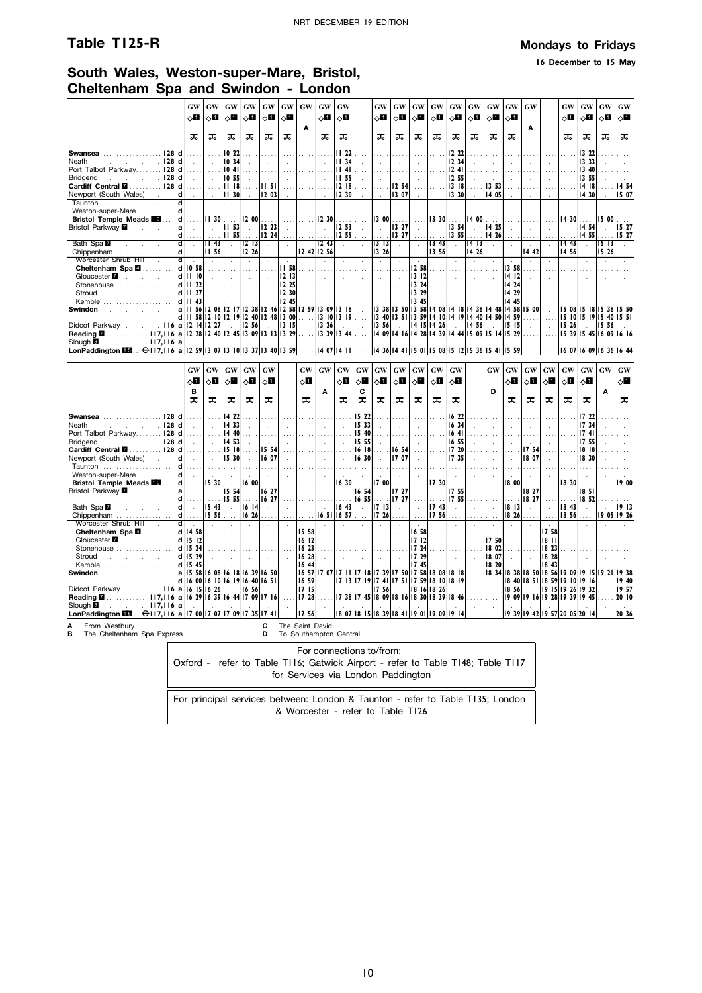### **Table T125-R Mondays to Fridays**

**16 December to 15 May**

### **South Wales, Weston-super-Mare, Bristol, Cheltenham Spa and Swindon - London**

|                                                                                          | GW                                   | GW                          | GW                                               | GW                                                     | GW                          | GW                         | GW                         | <b>GW</b>                | GW                                           |                            | GW                                        | GW                         | GW                                               | GW                                               | GW                         | GW                   | <b>GW</b>                   | GW             | <b>GW</b>                   |              | GW                            | GW                                               | GW                | GW           |
|------------------------------------------------------------------------------------------|--------------------------------------|-----------------------------|--------------------------------------------------|--------------------------------------------------------|-----------------------------|----------------------------|----------------------------|--------------------------|----------------------------------------------|----------------------------|-------------------------------------------|----------------------------|--------------------------------------------------|--------------------------------------------------|----------------------------|----------------------|-----------------------------|----------------|-----------------------------|--------------|-------------------------------|--------------------------------------------------|-------------------|--------------|
|                                                                                          | $\Diamond \blacksquare$              | 0П                          | $\circ$ l                                        | $\circ$ l                                              | $\Diamond$ i                | $\circ$ 0                  |                            | 8П                       | $\circ$ l                                    |                            | $\diamond$ l                              | $\circ$ ii                 | $\circ$ l                                        | $\circ$ ii                                       | $\circ$ 0                  | 0П                   | $\circ$ l                   | $\diamond$ li  |                             |              | $\Diamond \blacksquare$       | $\circ$ o                                        | 8П                | $\circ$ ii   |
|                                                                                          |                                      |                             |                                                  |                                                        |                             |                            | A                          |                          |                                              |                            |                                           |                            |                                                  |                                                  |                            |                      |                             |                | A                           |              |                               |                                                  |                   |              |
|                                                                                          | ᠼ                                    | ᠼ                           | ᠼ                                                | ᠼ                                                      | ᠼ                           | ᠼ                          |                            | ᠼ                        | ᠼ                                            |                            | ᠼ                                         | ᠼ                          | ᠼ                                                | ᠼ                                                | ᠼ                          | ᠼ                    | ᠼ                           | ᠼ              |                             |              | ᠼ                             | ᠼ                                                | ᠼ                 | ᠼ            |
|                                                                                          |                                      |                             |                                                  |                                                        |                             |                            |                            |                          |                                              |                            |                                           |                            |                                                  |                                                  |                            |                      |                             |                |                             |              |                               |                                                  |                   |              |
| Swansea128 d<br>128 <sub>d</sub>                                                         |                                      |                             | 10 22<br>10 34                                   |                                                        |                             |                            |                            |                          | 11 <sub>22</sub>                             |                            |                                           |                            |                                                  |                                                  | 12 22                      |                      |                             |                |                             |              |                               | 13 22                                            |                   |              |
| Neath.<br>and the control<br>Port Talbot Parkway 128 d                                   |                                      | $\mathcal{L}$               | 1041                                             | $\overline{a}$                                         | $\mathcal{L}_{\mathcal{A}}$ | $\mathbf{r}$               |                            |                          | 1134<br>II 41                                |                            | ù.                                        |                            | $\ddot{\phantom{a}}$                             |                                                  | 12 34<br>1241              |                      | Ŷ.                          | $\overline{a}$ |                             |              |                               | 13 33<br>1340                                    |                   |              |
| Bridgend<br>$\ldots$ $\ldots$ 128 d                                                      |                                      |                             | 10 55                                            |                                                        |                             | $\mathbf{r}$               |                            |                          | II 55                                        |                            |                                           |                            |                                                  |                                                  | 12 55                      |                      | i.                          |                |                             |              |                               | 13 55                                            |                   |              |
| Cardiff Central <b>M</b> 128 d                                                           |                                      | .                           | 1118                                             |                                                        | II 51                       |                            | $\cdots$                   |                          | 12 18                                        |                            |                                           | 12 54                      | $\cdots$                                         |                                                  | 1318                       |                      | 13 53                       |                |                             |              |                               | 14 18                                            |                   | 14 54        |
| Newport (South Wales) .                                                                  | d                                    |                             | II 30                                            |                                                        | 12 03                       |                            |                            |                          | 12 30                                        |                            |                                           | 13 07                      |                                                  |                                                  | 13 30                      |                      | 14 05                       |                |                             |              |                               | 14 30                                            |                   | 15 07        |
|                                                                                          | ď                                    |                             |                                                  |                                                        |                             |                            |                            |                          |                                              |                            |                                           |                            |                                                  |                                                  |                            |                      |                             |                |                             |              |                               |                                                  |                   |              |
| Weston-super-Mare                                                                        | d                                    |                             |                                                  |                                                        |                             |                            |                            |                          |                                              |                            |                                           |                            |                                                  |                                                  |                            |                      |                             |                |                             |              |                               |                                                  |                   |              |
| <b>Bristol Temple Meads III</b>                                                          | d<br>1.1.1.1                         | II 30                       | .                                                | 200                                                    | 1.1.1                       |                            |                            | 12 30                    | .                                            |                            |                                           | 13 00                      |                                                  | 330                                              | .                          | 14 OO                | .                           |                |                             |              | 1430                          | .                                                | 15 00             |              |
| Bristol Parkway <b>M</b><br><b>Service</b>                                               | a<br>$\sim$                          | $\sim$                      | <b>III</b> 53                                    | $\sim$                                                 | 12 23                       | $\sim$                     | $\ddot{\phantom{a}}$       | $\sim$                   | 253                                          | $\ddot{\phantom{a}}$       | $\mathcal{A}$                             | 13 27                      | $\sim$                                           | $\alpha$                                         | 13 54                      | $\ddot{\phantom{a}}$ | 14 25                       |                | $\ddot{\phantom{a}}$        | ÷.           | $\ddot{\phantom{a}}$          | 1454                                             | $\sim$            | lis 27       |
|                                                                                          | d                                    |                             | II 55                                            |                                                        | 1224                        |                            |                            |                          | 12 55                                        |                            |                                           | 13 27                      |                                                  |                                                  | 13 55                      |                      | 14 26                       |                |                             |              |                               | 1455                                             |                   | 15 27        |
| Bath Spa                                                                                 | ď<br>$\mathcal{L}_{\mathcal{A}}$     | 1143                        | $\mathcal{L}$                                    | 1213                                                   | $\mathcal{L}$               | $\cdot$                    |                            | $\overline{12}$ 43       | $\mathbf{r}$                                 |                            | 1313                                      | $\mathcal{L}$              | $\cdot$                                          | 13 43                                            | $\bar{z}$                  | 14 13                | $\mathcal{L}$               |                |                             |              | 14 43                         | $\mathbf{r}$                                     | 5  3              |              |
| Chippenham                                                                               | $d$                                  | 11, 56                      |                                                  | 1226                                                   |                             |                            |                            | 12 42 12 56              |                                              |                            | 1326                                      |                            |                                                  | 13,56                                            |                            | 14 26                |                             |                | 14 42                       |              | 14 56                         |                                                  | 15 26             |              |
| Worcester Shrub Hill<br>Cheltenham Spa 4                                                 | $d$ .<br>$d$ 10 58                   | $\sim$                      | $\mathcal{L}^{\pm}$                              | $\mathcal{L}$                                          |                             | <b>II 58</b>               | $\mathcal{L}$              | $\mathcal{A}$            | $\lambda$                                    | $\cdot$                    | $\sim$                                    | $\mathcal{L}^{\pm}$        | 1258                                             | $\sim$                                           | $\lambda$                  | $\lambda$            | $\mathcal{L}$               | 13 58          | $\mathcal{L}$               |              | $\mathcal{L}$                 |                                                  | $\mathbf{r}$      |              |
| Gloucester <b>7</b><br>and the control                                                   | d     0                              | .<br>$\sim$                 | .<br>$\sim$                                      | .<br>$\sim$                                            | $\sim$                      | 12 13                      | $\sim$                     | $\sim$                   | $\sim$ $\sim$<br>$\mathcal{L}_{\mathcal{A}}$ | $\mathcal{L}$              | $\sim$<br>$\sim$                          | $\sim$ 100 $\pm$<br>$\sim$ | 13 12                                            | .<br>$\sim$                                      | $\sim$                     | $\mathbf{r}$         | $\sim$<br>$\bar{z}$         | 14 12          | ÷                           |              |                               |                                                  |                   |              |
| Stonehouse                                                                               | d                                    | 22                          |                                                  |                                                        |                             | 12 25                      |                            |                          |                                              |                            |                                           |                            | 13 24                                            |                                                  |                            |                      |                             | 14 24          |                             |              |                               |                                                  |                   |              |
| Stroud<br>$\mathcal{L}$                                                                  | d<br>Ш                               | -27<br>ä,                   |                                                  |                                                        | $\mathcal{A}$               | 12 30                      |                            |                          |                                              |                            | $\mathcal{L}$                             |                            | 13 29                                            |                                                  |                            |                      |                             | 14 29          |                             |              |                               |                                                  |                   |              |
| Kemble                                                                                   | dlll                                 | 43                          |                                                  |                                                        |                             | 12 45                      |                            |                          |                                              |                            |                                           |                            | 13 45                                            |                                                  |                            |                      |                             | 14<br>45       |                             |              |                               |                                                  |                   |              |
| Swindon                                                                                  | a                                    |                             |                                                  | 56 12 08 12 17 12 38 12 46 12 58                       |                             |                            |                            | 12 59 13 09 13 18        |                                              |                            |                                           |                            | 13 38 13 50 13 58 14 08 14 18 14 38 14 48        |                                                  |                            |                      |                             | 14 58          | I5 00                       |              | 15 08                         |                                                  | 15 18 15 38 15 50 |              |
|                                                                                          |                                      |                             |                                                  | d       58   12   10   12   19   12 40   12 48   13 00 |                             |                            |                            | .   3 10  3 19           |                                              |                            |                                           |                            | 13 40 13 51 13 59 14 10 14 19 14 40 14 50        |                                                  |                            |                      |                             | 459            |                             |              |                               | 15 10 15 19 15 40 15 51                          |                   |              |
| Didcot Parkway.                                                                          |                                      | $116$ a $12$ $14$ $12$ $27$ | $\sim$                                           | 12 56                                                  | $\sim$                      | 13 15                      | $\mathcal{L}$              | 13 26                    | $\sim$                                       | $\mathcal{L}$              | 13 56                                     | $\sim$                     |                                                  | 14 15 14 26                                      | $\sim$                     | 14 56                | $\sim$                      | 15 15          | $\mathcal{L}^{\mathcal{L}}$ | n.           | 5 26                          |                                                  | 15, 56            |              |
| 117,116 a 12 28 12 40 12 45 13 09 13 13 13 29<br><b>Reading ⊠</b>                        |                                      |                             |                                                  |                                                        |                             |                            |                            | $ 13 \t39 13 \t44 $      |                                              |                            |                                           |                            | 14 09 14 16 14 28 14 39 14 44 15 09 15 14 15 29  |                                                  |                            |                      |                             |                |                             |              |                               | 15 39 15 45 16 09 16 16                          |                   |              |
| Slough <sup>8</sup><br>. 117,116a<br><b>Contractor</b>                                   |                                      |                             |                                                  |                                                        |                             |                            |                            |                          |                                              |                            |                                           |                            |                                                  |                                                  |                            |                      |                             |                |                             |              |                               |                                                  |                   |              |
| LonPaddington $\overline{113}$ . $\ominus$ 117,116 a 12 59 13 07 13 10 13 37 13 40 13 59 |                                      |                             |                                                  |                                                        |                             |                            |                            |                          | 14 07 14 11                                  |                            |                                           |                            | 14 36 14 41 15 01 15 08 15 12 15 36 15           |                                                  |                            |                      | 41                          | 15 59          |                             |              |                               | 16 07 16 09 16 36 16 44                          |                   |              |
|                                                                                          |                                      |                             |                                                  |                                                        |                             |                            |                            |                          |                                              |                            |                                           |                            |                                                  |                                                  |                            |                      |                             |                |                             |              |                               |                                                  |                   |              |
|                                                                                          | GW                                   | GW                          | $\boldsymbol{\mathbf{G}}\boldsymbol{\mathbf{W}}$ | GW                                                     | GW                          |                            | $\boldsymbol{\mathrm{GW}}$ | <b>GW</b>                | <b>GW</b>                                    | $\boldsymbol{\mathrm{GW}}$ | GW                                        | $\boldsymbol{\mathrm{GW}}$ | $\boldsymbol{\mathbf{G}}\boldsymbol{\mathbf{W}}$ | $\boldsymbol{\mathbf{G}}\boldsymbol{\mathbf{W}}$ | GW                         |                      | GW                          | GW             | GW                          | GW           | $\boldsymbol{\mathrm{GW}}$    | $\boldsymbol{\mathbf{G}}\boldsymbol{\mathbf{W}}$ | GW                | GW           |
|                                                                                          | $\circ$ ii                           | $\Diamond \blacksquare$     | ू∏                                               | $\circ$ l                                              | 0П                          |                            | $\Diamond$ ii              |                          | $\circ$ 0                                    | ⊘Ш                         | $\circ$ ii                                | $\Diamond$ l               | $\circ$ l                                        | $\diamond$ l                                     | 8П                         |                      |                             | $\diamond$ l   | $\circ$ l                   | $\Diamond$ l | $\Diamond \blacksquare$       | $\circ$ ii                                       |                   | $\circ$ l    |
|                                                                                          | B                                    |                             |                                                  |                                                        |                             |                            |                            | Α                        |                                              | c                          |                                           |                            |                                                  |                                                  |                            |                      | D                           |                |                             |              |                               |                                                  | Α                 |              |
|                                                                                          | ᠼ                                    | ᅚ                           | ᅚ                                                | ᠼ                                                      | ᠼ                           |                            | ᠼ                          |                          | ᠼ                                            | ᠼ                          | ᅚ                                         | ᠼ                          | ᠼ                                                | ᠼ                                                | ᅚ                          |                      |                             | ᠼ              | ᠼ                           | ᠼ            | ᠼ                             | ᠼ                                                |                   | ᠼ            |
|                                                                                          |                                      |                             |                                                  |                                                        |                             |                            |                            |                          |                                              |                            |                                           |                            |                                                  |                                                  |                            |                      |                             |                |                             |              |                               |                                                  |                   |              |
| Swansea128 d                                                                             |                                      |                             | 14 22                                            |                                                        |                             |                            |                            |                          |                                              | 15 22                      |                                           |                            |                                                  |                                                  | 16 22                      |                      |                             |                |                             |              |                               | 17 22                                            |                   |              |
| .128d<br>Neath<br>and the company                                                        |                                      | $\mathcal{L}$               | 14 33                                            | $\mathbf{r}$                                           |                             |                            |                            |                          |                                              | 15 33                      | ÷.                                        |                            | $\overline{a}$                                   |                                                  | 16 34                      |                      |                             |                | $\mathbf{r}$                |              |                               | 17 34                                            |                   |              |
| Port Talbot Parkway 128 d                                                                |                                      |                             | 14 40                                            |                                                        |                             |                            |                            |                          |                                              | 15 40                      |                                           |                            |                                                  |                                                  | 1641                       |                      |                             |                |                             |              |                               | 1741                                             |                   |              |
| Bridgend<br>$\sim$ $\sim$ $\sim$ 128 d                                                   |                                      | $\sim$                      | 14 53<br>15 18                                   |                                                        |                             | $\mathbf{r}$               |                            | $\mathcal{L}$            | $\mathcal{A}$                                | 15 55<br>16 18             |                                           |                            | $\mathbf{r}$                                     |                                                  | 16 55                      |                      | $\mathcal{L}$               |                | 17 54                       |              |                               | 1755<br>18 18                                    |                   |              |
| Cardiff Central M.  128 d<br>Newport (South Wales)                                       | d                                    | $\sim$                      | 15 30                                            | $\sim$                                                 | 15 54<br>16 07              |                            |                            |                          |                                              | 16 30                      |                                           | 16 54<br>1707              |                                                  |                                                  | 17 20<br>1735              |                      |                             |                | 18 07                       |              |                               | 1830                                             |                   |              |
|                                                                                          | $\overline{\mathbf{d}}$              |                             |                                                  |                                                        |                             |                            |                            |                          |                                              |                            |                                           |                            |                                                  |                                                  |                            |                      |                             |                |                             |              |                               |                                                  |                   |              |
| Weston-super-Mare                                                                        | d<br>$\mathcal{L}$                   |                             |                                                  |                                                        | $\mathcal{A}$               | $\ddot{\phantom{a}}$       |                            |                          |                                              |                            |                                           |                            |                                                  |                                                  | $\mathcal{L}_{\mathbf{a}}$ |                      | $\ddot{\phantom{a}}$        |                | $\mathcal{L}_{\mathbf{a}}$  |              |                               |                                                  |                   |              |
| <b>Bristol Temple Meads III</b>                                                          | d<br>.                               | 15 30                       | $\cdots$                                         | 1600                                                   | .                           |                            |                            |                          | 16 30                                        |                            | $1700$                                    |                            |                                                  | 17 30                                            | $\cdots$                   |                      |                             | 18 00          |                             |              | 18 30                         | a a s                                            |                   | 19 00        |
| Bristol Parkway <b>M</b><br><b>Sales State</b>                                           | $\mathbf a$<br>$\sim$                | $\sim$                      | 15 54                                            | $\sim$                                                 | 6 27                        | $\overline{a}$             |                            |                          | $\mathcal{L}_{\mathcal{A}}$                  | 16 54                      | $\mathcal{L}$                             | 7 27                       | $\mathcal{L}$                                    | ÷.                                               | 17 55                      |                      | $\bar{z}$                   | $\overline{a}$ | 18 27                       |              | $\sim$                        | 18 <sub>51</sub>                                 |                   | $\mathbf{r}$ |
|                                                                                          | d                                    |                             | 15 55                                            |                                                        | 16 27                       |                            |                            |                          |                                              | 16 55                      |                                           | 17 27                      |                                                  |                                                  | 17 55                      |                      |                             |                | 18 27                       |              |                               | 18 52                                            |                   |              |
| Bath Spa                                                                                 | $\overline{\mathsf{d}}$<br>$\bar{z}$ | 15 <sub>43</sub>            | $\mathcal{L}$                                    | 16 14                                                  | ÷,                          | $\ddot{\phantom{a}}$       | $\ddot{\phantom{a}}$       |                          | 16 <sub>43</sub>                             | $\cdot$                    | 17 13                                     | $\ddot{\phantom{a}}$       | $\cdot$                                          | 17 <sub>43</sub>                                 | $\overline{\phantom{a}}$   |                      | $\ddot{\phantom{a}}$        | 1813           | $\mathcal{L}$               | $\alpha$     | 18,43                         | $\lambda$                                        |                   | 1913         |
| Chippenham                                                                               | $d$                                  | 15 56                       |                                                  | 16 26                                                  |                             |                            |                            |                          | 16 51 16 57                                  |                            | 1726                                      |                            |                                                  | 17 56                                            |                            |                      |                             | 18 26          |                             |              | 18 56                         |                                                  |                   | 19 05 19 26  |
| Worcester Shrub Hill                                                                     | ਰ<br>d 14 58                         | $\mathcal{L}$               |                                                  | $\mathcal{L}$                                          | $\mathcal{L}_{\mathcal{A}}$ | $\epsilon$                 | 15 58                      |                          |                                              | $\cdot$                    | $\mathcal{A}$                             |                            | 16 58                                            |                                                  | $\cdot$                    |                      | à.                          | $\lambda$      | $\epsilon$                  | 17 58        |                               |                                                  |                   |              |
| Cheltenham Spa 4<br>Gloucester <b>7</b><br>and the control of the                        | $d$ 15 12                            | $\sim$<br>$\sim$            | $\sim$                                           | $\sim$<br>$\sim$                                       | $\sim$                      | $\overline{\phantom{a}}$   | 16 12                      | $\sim$                   | $\sim$                                       | $\sim$                     | $\sim$                                    | $\sim$                     | 1712                                             | $\mathcal{L}^{\mathcal{L}}$                      | $\sim$                     | $\mathbf{r}$         | $\sim 10$<br>17 50          | $\mathbf{r}$   | $\ddot{\phantom{a}}$        | 1811         | $\sim$                        |                                                  |                   |              |
| Stonehouse                                                                               | d<br>l 15                            | 24                          |                                                  |                                                        |                             |                            | 16 23                      |                          |                                              |                            |                                           |                            | 17 24                                            |                                                  |                            |                      | 18 02                       |                |                             | 18 23        |                               |                                                  |                   |              |
| Stroud                                                                                   | d 15 29                              |                             |                                                  |                                                        |                             |                            | 16 28                      |                          |                                              |                            |                                           |                            | 17 29                                            |                                                  |                            |                      | 18 07                       |                |                             | 18 28        |                               |                                                  |                   |              |
| Kemble.                                                                                  | $d$   15                             | 45                          |                                                  |                                                        |                             |                            | 1644                       |                          |                                              |                            |                                           |                            | 17<br>45                                         |                                                  |                            |                      | 18 20                       |                |                             | 18 43        |                               |                                                  |                   |              |
| Swindon                                                                                  |                                      |                             |                                                  | a   15 58   16 08   16 18   16 39   16 50              |                             | $\mathcal{L}_{\mathbf{a}}$ |                            | 16 57 17 07 17 11        |                                              |                            | 7   8  7 39  7 50  7                      |                            |                                                  | 58 18 08 18 18                                   |                            |                      | 18 34                       |                |                             |              |                               | 8 38  8 50  8 56  9 09  9 15  9 21               |                   | 938          |
|                                                                                          |                                      |                             |                                                  | d 16 00 16 10 16 19 16 40 16 51                        |                             |                            |                            | $16.59$                  | 1713                                         | 17<br>$\overline{19}$      |                                           | 7 41  7 51  7              |                                                  | 59 18                                            | 10 18 19                   |                      | 1.1.1                       |                |                             |              | 18 40 18 51 18 59 19 10       | 1916                                             |                   | 19 40        |
| . 116 a  6 15  6 26<br>Didcot Parkway.                                                   |                                      |                             |                                                  | 16, 56                                                 |                             | $\mathcal{L}$              | 1715                       | $\sim$                   |                                              |                            | 17 56                                     |                            | 18                                               | $16$  18 26                                      |                            |                      | $\sim$                      | 18 56          | $\sim$                      |              |                               | 19 15 19 26 19 32                                |                   | 19 57        |
| Reading <b>M</b> 117,116 a 16 29 16 39 16 44 17 09 17 16                                 |                                      |                             |                                                  |                                                        |                             |                            | 1728                       |                          |                                              |                            |                                           |                            | 17 38 17 45 18 09 18 16 18 30 18 39              |                                                  | 18 46                      |                      |                             |                |                             |              | 19 09 19 16 19 28 19 39       | 19.45                                            |                   | 20   0       |
|                                                                                          |                                      |                             |                                                  |                                                        |                             |                            |                            |                          |                                              |                            |                                           |                            |                                                  |                                                  |                            |                      | $\mathcal{L}_{\mathcal{A}}$ |                |                             |              |                               |                                                  |                   |              |
| . 117,116a<br>Slough <sup>8</sup><br>and a state                                         |                                      |                             |                                                  |                                                        |                             |                            |                            |                          |                                              |                            |                                           |                            |                                                  |                                                  |                            |                      |                             |                |                             |              |                               |                                                  |                   |              |
| LonPaddington M3. $\Theta$ 117,116 a 17 00 17 07 17 09 17 35 17 41                       |                                      |                             |                                                  |                                                        |                             |                            | 1756                       |                          |                                              |                            | 18 07  8 15  8 39  8 41  9 01  9 09  9 14 |                            |                                                  |                                                  |                            |                      |                             |                |                             |              | 19 39 19 42 19 57 20 05 20 14 |                                                  |                   | 20 36        |
| From Westbury<br>A                                                                       |                                      |                             |                                                  |                                                        | С                           |                            |                            | The Saint David          |                                              |                            |                                           |                            |                                                  |                                                  |                            |                      |                             |                |                             |              |                               |                                                  |                   |              |
| в<br>The Cheltenham Spa Express                                                          |                                      |                             |                                                  |                                                        | D                           |                            |                            | To Southampton Central   |                                              |                            |                                           |                            |                                                  |                                                  |                            |                      |                             |                |                             |              |                               |                                                  |                   |              |
|                                                                                          |                                      |                             |                                                  |                                                        |                             |                            |                            | For connections to/from: |                                              |                            |                                           |                            |                                                  |                                                  |                            |                      |                             |                |                             |              |                               |                                                  |                   |              |

Oxford - refer to Table T116; Gatwick Airport - refer to Table T148; Table T117 for Services via London Paddington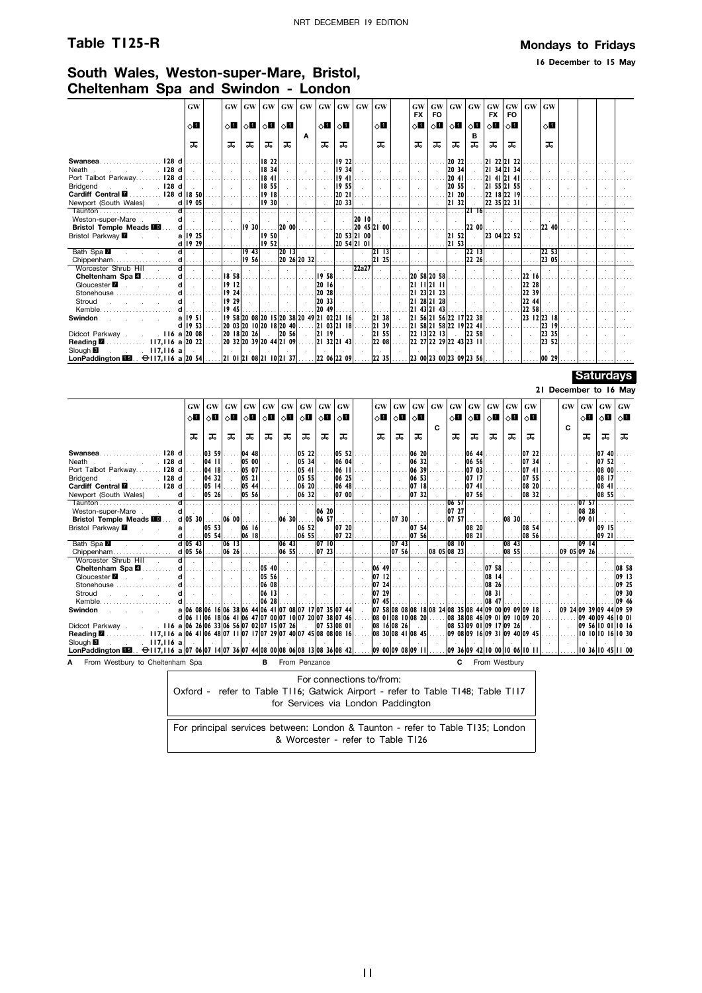### **Table T125-R Mondays to Fridays**

**16 December to 15 May**

## **South Wales, Weston-super-Mare, Bristol, Cheltenham Spa and Swindon - London**

|                                                                                    | GW            | <b>GW</b>               |                                                                      | GW   GW   GW                               |             | GW |                | $GW$ $GW$ $GW$ |              | GW             | <b>GW</b><br><b>FX</b>              | GW<br><b>FO</b> | GW                                           | GW     | <b>GW</b><br><b>FX</b> | <b>FO</b>   | $GW$ $GW$      | <b>GW</b>            |  |  |
|------------------------------------------------------------------------------------|---------------|-------------------------|----------------------------------------------------------------------|--------------------------------------------|-------------|----|----------------|----------------|--------------|----------------|-------------------------------------|-----------------|----------------------------------------------|--------|------------------------|-------------|----------------|----------------------|--|--|
|                                                                                    | $\circ$ l     | $\Diamond \blacksquare$ |                                                                      | $\Diamond$ i $ \Diamond$ ii $ \Diamond$ ii |             |    | $\Diamond$ iii | $\circ$ 1      |              | $\circ$ 1      | ⊘П                                  | ∧0              | $ \diamond \mathbf{H} $                      | ∣ ∂∐ ∣ | ⊘П                     | ' ◇ ∐       |                | ⊘П                   |  |  |
|                                                                                    | ᠼ             | ᠼ                       | ᅚ                                                                    | ᠼ                                          | ᠼ           | A  | ᠼ              | ᠼ              |              | ᠼ              | ᅚ                                   | ᅚ               | ᠼ                                            | в<br>ᠼ | ᅚ                      | ᠼ           |                | ᠼ                    |  |  |
| 128 d<br>Swansea                                                                   |               |                         |                                                                      | 18 22                                      |             |    |                | 19 22          |              |                |                                     |                 | 20 22                                        |        | 21 22 21 22            |             |                |                      |  |  |
| 128 <sub>d</sub><br>Neath                                                          |               |                         |                                                                      | 1834                                       |             |    |                | 19 34          |              |                |                                     |                 | 20 34                                        |        | 2                      | 34 21 34    |                |                      |  |  |
| Port Talbot Parkway.<br>128 <sub>d</sub>                                           |               |                         |                                                                      | 18 41                                      |             |    |                | 1941           |              |                |                                     |                 | 20 41                                        |        | $ 2 $ 41 $ 2 $ 41      |             |                |                      |  |  |
| 128 d<br>Bridgend                                                                  |               |                         |                                                                      | 18 55                                      |             |    |                | 19 55          |              |                |                                     |                 | 20 55                                        |        | 21                     | 55 21 55    |                |                      |  |  |
| 128 d 18 50<br>Cardiff Central <b>M</b>                                            |               |                         |                                                                      | 1918                                       |             |    |                | 20 21          |              |                |                                     |                 | 21 20                                        |        |                        | 22 18 22 19 |                |                      |  |  |
| Newport (South Wales)<br>d                                                         | 19 05         |                         |                                                                      | 1930                                       |             |    |                | 20 33          |              |                |                                     |                 | 21 32                                        |        |                        | 22 35 22 31 |                |                      |  |  |
|                                                                                    |               |                         |                                                                      |                                            |             |    |                |                |              |                |                                     |                 |                                              | 2116   |                        |             |                |                      |  |  |
| Weston-super-Mare.<br>d                                                            |               |                         |                                                                      |                                            |             |    |                |                | $20$ $ 0 $   |                |                                     |                 |                                              |        |                        |             |                |                      |  |  |
| d<br><b>Bristol Temple Meads III.</b>                                              |               |                         | 19.30                                                                |                                            | . 20 00     |    |                |                |              | 20 45 21 00    |                                     |                 |                                              | 22 00  |                        |             |                | 22 40                |  |  |
| Bristol Parkway <b>Z</b>                                                           | a   19 25     |                         |                                                                      | 1950                                       |             |    |                |                | 20 53 21 00  |                |                                     |                 | 21 52                                        |        | 23 04 22 52            |             |                |                      |  |  |
| d                                                                                  | 19 29         |                         |                                                                      | 1952                                       |             |    |                |                | 20 54 21 01  |                |                                     |                 | $ 21 \t53 $                                  |        |                        |             |                |                      |  |  |
| Bath Spa                                                                           |               |                         | 19,43                                                                |                                            | 20 13       |    |                |                |              | $ 2 $ 13       |                                     |                 |                                              | 2213   |                        |             |                | 22, 53               |  |  |
| d<br>Chippenham                                                                    |               |                         | 19 56                                                                |                                            | 20 26 20 32 |    |                |                |              | 21 25          |                                     |                 |                                              | 22 26  |                        |             |                | 2305                 |  |  |
| $\overline{\mathbf{d}}$<br>Worcester Shrub Hill                                    |               |                         |                                                                      |                                            |             |    |                |                | <b>22a27</b> |                |                                     |                 |                                              |        |                        |             |                |                      |  |  |
| Cheltenham Spa                                                                     |               | 18 58                   |                                                                      |                                            |             |    | 19, 58         |                |              |                | 20 58 20 58                         |                 |                                              |        |                        |             | 22 16          |                      |  |  |
| Gloucester <b>7</b><br>d                                                           |               | 19 12                   |                                                                      |                                            |             |    | 20 16          |                |              |                | 21 11 21 11                         |                 |                                              |        |                        |             | 22 28          |                      |  |  |
| Stonehouse                                                                         |               | 19 24                   |                                                                      |                                            |             |    | 20 28          |                |              |                |                                     | 23 21 23        |                                              |        |                        |             | 22 39          |                      |  |  |
| Stroud                                                                             |               | 19 29<br>19 45          |                                                                      |                                            |             |    | 20 33          |                |              |                | 121<br>21                           | 28 21 28        |                                              |        |                        |             | 22 44<br>22 58 |                      |  |  |
| Kemble                                                                             |               |                         |                                                                      |                                            |             |    | 20 49          |                |              |                | 43 21                               | 43              |                                              |        |                        |             |                |                      |  |  |
| <b>Swindon</b><br>a<br>d                                                           | 1951<br>19 53 |                         | 19 58 20 08 20 15 20 38 20 49 21 02 21 16<br>20 03 20 10 20 18 20 40 |                                            |             |    |                | 2103 2118      |              | 21 38<br>21 39 | 21<br>12 I                          |                 | 56 21 56 22 17 22 38<br>58 21 58 22 19 22 41 |        |                        |             |                | 23 12 23 18<br>23 19 |  |  |
| . 116 a 20 08<br>Didcot Parkway.                                                   |               |                         | 20 18 20 26                                                          |                                            | 20 56       |    | 21 19          |                |              | 21, 55         | $22$ 13 $22$ 13                     |                 |                                              | 22 58  |                        |             |                | 23 35                |  |  |
| $117,116$ a 20 22<br>Reading <b>M</b>                                              |               |                         | $ 20$ 32 $ 20$ 39 $ 20$ 44 $ 21$ 09                                  |                                            |             |    |                | 21 32 21 43    |              | 22 08          | 22 27 22 29 22 43 23 11             |                 |                                              |        |                        |             |                | 23 52                |  |  |
| Slough <sup>8</sup><br>. 117.116a                                                  |               |                         |                                                                      |                                            |             |    |                |                |              |                |                                     |                 |                                              |        |                        |             |                |                      |  |  |
| LonPaddington $\Box$ . $\ominus$ 117,116 a 20 5421 01 21 08 21 10 21 3722 06 22 09 |               |                         |                                                                      |                                            |             |    |                |                |              | 22, 35         | $ 23 \t00 23 \t00 23 \t09 23 \t56 $ |                 |                                              |        |                        |             |                | $ 00\>29 $           |  |  |
|                                                                                    |               |                         |                                                                      |                                            |             |    |                |                |              |                |                                     |                 |                                              |        |                        |             |                |                      |  |  |

### **Saturdays**

### **21 December to 16 May**

|                                                                                                             | <b>GW</b>                                               | <b>GW</b> | GW         | <b>GW</b> | <b>GW</b>      | GW    | <b>GW</b>     | <b>GW</b>                        | <b>GW</b> | <b>GW</b>   | GW            | GW                                                    | GW | <b>GW</b>     | <b>GW</b>               |       | $GW$ $GW$     | GW                                                 | <b>GW</b> | GW           | <b>GW</b> | <b>GW</b>               |
|-------------------------------------------------------------------------------------------------------------|---------------------------------------------------------|-----------|------------|-----------|----------------|-------|---------------|----------------------------------|-----------|-------------|---------------|-------------------------------------------------------|----|---------------|-------------------------|-------|---------------|----------------------------------------------------|-----------|--------------|-----------|-------------------------|
|                                                                                                             | ा                                                       | ◇l        | $\circ$ ii | ⊘П        | $\Diamond$ iii | ⊘П    | $\circ$ ii    | $\circ$ ii                       | $\circ$ 1 | ↑П          | $\Diamond$ ii | ⊘П                                                    |    | $\diamond$ li | ∣ ⊠⊘                    | 0П    | ∣ ⊙∐          | ôØ                                                 |           | ◇l           | √П        | ∣ ⇔∎                    |
|                                                                                                             |                                                         |           |            |           |                |       |               |                                  |           |             |               |                                                       | C  |               |                         |       |               |                                                    | C         |              |           |                         |
|                                                                                                             | ᠼ                                                       | ᠼ         | ᠼ          | ᠼ         | ᠼ              | ᠼ     | ᠼ             | ᠼ                                | ᠼ         | ᠼ           | ᠼ             | ᠼ                                                     |    | ᠼ             | ᠼ                       | ᠼ     | ᠼ             | ᠼ                                                  |           | ᠼ            | ᅚ         | ᠼ                       |
|                                                                                                             |                                                         |           |            |           |                |       |               |                                  |           |             |               |                                                       |    |               |                         |       |               |                                                    |           |              |           |                         |
| 128 <sub>d</sub><br>Swansea                                                                                 |                                                         | 03 59     |            | 04 48     |                |       | 05 22         |                                  | 05 52     |             |               | 06 20                                                 |    |               | 06 44                   |       |               | 07 22                                              |           |              | 07 40     |                         |
| Neath<br>128 d                                                                                              |                                                         | 104 11    |            | 05 00     |                |       | 05 34         |                                  | 06 04     |             |               | 06 32                                                 |    |               | 06 56                   |       |               | 07 34                                              |           |              | 07 52     |                         |
| Port Talbot Parkway.<br>128 d                                                                               |                                                         | 04 18     |            | 05 07     |                |       | 05 41         |                                  | 106 11    |             |               | 06 39                                                 |    |               | 07 03                   |       |               | 0741                                               |           |              | 08 00     |                         |
| 128 d<br><b>Bridgend</b>                                                                                    |                                                         | 04 32     |            | 05 21     |                |       | 05 55         |                                  | 06 25     |             |               | 06 53                                                 |    |               | 07 17                   |       |               | 07 55                                              |           |              | 08   7    |                         |
| Cardiff Central <b>M</b><br>128 d                                                                           |                                                         | 05 14     |            | 05 44     |                |       | 06 20         |                                  | 06 48     |             |               | 07 18                                                 |    |               | 074                     |       |               | 08 20                                              |           |              | 08 4      |                         |
| Newport (South Wales)                                                                                       |                                                         | 05 26     |            | 05 56     |                |       | 06 32         |                                  | 07 00     |             |               | 07 32                                                 |    |               | 07 56                   |       |               | 08 32                                              |           |              | 08 55     |                         |
| Taunton.                                                                                                    |                                                         |           |            |           |                |       |               |                                  |           |             |               |                                                       |    | 06 57         |                         |       |               |                                                    |           | 0757         |           |                         |
| Weston-super-Mare                                                                                           |                                                         |           |            |           |                |       |               | 06 20                            |           |             |               |                                                       |    | 07 27         |                         |       |               |                                                    |           | 08 28        |           |                         |
| <b>Bristol Temple Meads III</b>                                                                             | d 05 30                                                 |           | 06 00      |           |                | 06 30 |               | 57<br>06                         |           |             | 30<br>07      |                                                       |    | 07<br>-57     |                         |       | 08 30         |                                                    |           | <b>09 OI</b> |           |                         |
| Bristol Parkway <b>M</b><br>a                                                                               |                                                         | 05 53     |            | 06 16     |                |       | 06 52         |                                  | 07, 20    |             |               | 07 54                                                 |    |               | 08 20                   |       |               | 08 54                                              |           |              | 109 15    |                         |
|                                                                                                             |                                                         | 05, 54    |            | 06 18     |                |       | 0655          |                                  | 0722      |             |               | 07 56                                                 |    |               | 08 21                   |       |               | 08 56                                              |           |              | 09 21     |                         |
| Bath Spa                                                                                                    | $d$ 05 43                                               |           | 06 13      |           |                | 06 43 |               | 07 10                            |           |             | 07 43         |                                                       |    | 08 10         |                         |       | 08 43         |                                                    |           | 09 14        |           |                         |
| Chippenham.                                                                                                 | 105 56                                                  |           | 06 26      |           |                | 06 55 |               | 0723                             |           |             | 07 56         |                                                       |    | 08 05 08 23   |                         |       | 08 55         |                                                    |           | 09 05 09 26  |           |                         |
| Worcester Shrub Hill                                                                                        |                                                         |           |            |           |                |       |               |                                  |           |             |               |                                                       |    |               |                         |       |               |                                                    |           |              |           |                         |
| Cheltenham Spa                                                                                              |                                                         |           |            |           | 05 40          |       |               |                                  |           | 06 49       |               |                                                       |    |               |                         | 07 58 |               |                                                    |           |              |           | 08 58                   |
| Gloucester <b>7</b>                                                                                         |                                                         |           |            |           | 05 56          |       |               |                                  |           | 07 12       |               |                                                       |    |               |                         | 08 14 |               |                                                    |           |              |           | 09 13                   |
| Stonehouse                                                                                                  |                                                         |           |            |           | 06 08          |       |               |                                  |           | 07 24       |               |                                                       |    |               |                         | 08 26 |               |                                                    |           |              |           | 09 25                   |
|                                                                                                             |                                                         |           |            |           |                |       |               |                                  |           | 07 29       |               |                                                       |    |               |                         | 08 31 |               |                                                    |           |              |           | 09 30                   |
| Stroud<br>Kemble.                                                                                           |                                                         |           |            |           | 106<br>-13     |       |               |                                  |           |             |               |                                                       |    |               |                         |       |               |                                                    |           |              |           |                         |
|                                                                                                             |                                                         |           |            |           | 28<br>106      |       |               |                                  |           | 07 45       |               |                                                       |    |               |                         | 08 47 |               |                                                    |           |              |           | 09 46                   |
| <b>Swindon</b>                                                                                              | a 06 08 06 16 06 38 06                                  |           |            |           |                |       |               | 44 06 41 07 08 07 17 07 35 07 44 |           |             |               | 07 58 08 08 08 18 08 24 08 35 08 44 09 00 09 09 09 18 |    |               |                         |       |               |                                                    |           |              |           | 09 24 09 39 09 44 09 59 |
|                                                                                                             | d 06 11 06 18 06 41 06 47 07 00 07 10 07 20 07 38 07 46 |           |            |           |                |       |               |                                  |           |             |               | 08 01 08 10 08 20                                     |    |               |                         |       |               | 08 38 08 46 09 01 09 10 09 20                      |           |              |           | 09 40 09 46  0 01       |
| $.$ 116 a 06 26 06 33 06 56 07 02 07 15 07 26<br>Didcot Parkway.                                            |                                                         |           |            |           |                |       |               | 07 53 08 01                      |           | 08 16 08 26 |               |                                                       |    |               | 08 53 09 01 09 17 09 26 |       |               |                                                    |           |              |           | 09 56 10 01 10 16       |
| 117,116 a 06 41 06 48 07 11 07 17 07 29 07 40 07 45 08 08 08 16<br>Reading <b>M</b>                         |                                                         |           |            |           |                |       |               |                                  |           |             |               | 08 30 08 41 08 45                                     |    |               |                         |       |               | 09 08 09 16 09 31 09 40 09 45                      |           |              |           | 10 10 10 16 10 30       |
| Slough <sup>3</sup><br>117.116 a                                                                            |                                                         |           |            |           |                |       |               |                                  |           |             |               |                                                       |    |               |                         |       |               |                                                    |           |              |           |                         |
| LonPaddington $\overline{1153}$ . $\ominus$ 117,116 a 07 06 07 14 07 36 07 44 08 00 08 06 08 13 08 36 08 42 |                                                         |           |            |           |                |       |               |                                  |           |             |               | 09 00 09 08 09 II                                     |    |               |                         |       |               | $ 09 \t36 09 \t42 10 \t00 10 \t06 10 \t11  \ldots$ |           |              |           | 0 36  0 45  1 00        |
| From Westbury to Cheltenham Spa                                                                             |                                                         |           |            |           | в              |       | From Penzance |                                  |           |             |               |                                                       |    | C             |                         |       | From Westbury |                                                    |           |              |           |                         |

For connections to/from:

| For connections to/from:                                                        |  |
|---------------------------------------------------------------------------------|--|
| Oxford - refer to Table T116; Gatwick Airport - refer to Table T148; Table T117 |  |
| for Services via London Paddington                                              |  |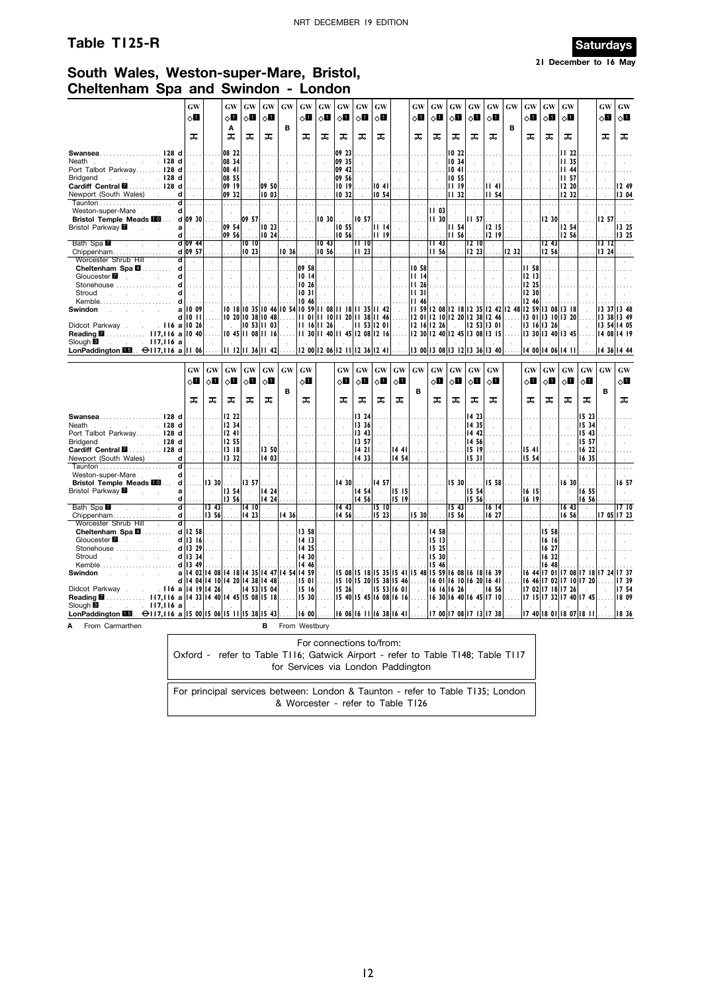### **Table T125-R Saturdays**



**21 December to 16 May**

### **South Wales, Weston-super-Mare, Bristol, Cheltenham Spa and Swindon - London**

|                                                                                                                  | GW                                                        |                             | GW                                 | GW                          | <b>GW</b>           | GW                          | GW                          | GW                          | GW                         | GW                          | GW                                                    |               | GW                                                   | GW                         | GW                                    | GW                      | GW            | GW                                                 | GW                          | GW                         | GW                |                                                                                | GW         | GW           |
|------------------------------------------------------------------------------------------------------------------|-----------------------------------------------------------|-----------------------------|------------------------------------|-----------------------------|---------------------|-----------------------------|-----------------------------|-----------------------------|----------------------------|-----------------------------|-------------------------------------------------------|---------------|------------------------------------------------------|----------------------------|---------------------------------------|-------------------------|---------------|----------------------------------------------------|-----------------------------|----------------------------|-------------------|--------------------------------------------------------------------------------|------------|--------------|
|                                                                                                                  | 60                                                        |                             | √П                                 | ⊘Ц                          | √П                  |                             | 8П                          | √П                          | $\circ$ ii                 | 8П                          | √П                                                    |               | $\circ$ l                                            | √ப                         | $\circ$ o                             | 8П                      | 80            |                                                    | √П                          | ◇П                         | δШ                |                                                                                | ू ।        | $\diamond$ l |
|                                                                                                                  |                                                           |                             | A                                  |                             |                     | B                           |                             |                             |                            |                             |                                                       |               |                                                      |                            |                                       |                         |               | B                                                  |                             |                            |                   |                                                                                |            |              |
|                                                                                                                  | ᠼ                                                         |                             | ᠼ                                  | 工                           | ᠼ                   |                             | ᠼ                           | ᠼ                           | ᠼ                          | ᠼ                           | ᠼ                                                     |               | ᠼ                                                    | ᠼ                          | ᠼ                                     | ᠼ                       | ᅚ             |                                                    | ᠼ                           | ᠼ                          | ᠼ                 |                                                                                | ᠼ          | ᠼ            |
|                                                                                                                  |                                                           |                             |                                    |                             |                     |                             |                             |                             |                            |                             |                                                       |               |                                                      |                            |                                       |                         |               |                                                    |                             |                            |                   |                                                                                |            |              |
| Swansea128 d                                                                                                     |                                                           |                             | 08 22                              |                             |                     |                             |                             |                             | 09 23                      |                             |                                                       |               |                                                      |                            | 10 22                                 |                         |               |                                                    |                             |                            | II 22             |                                                                                |            |              |
| $\therefore$ $\therefore$ $\therefore$ 128 d<br>Neath                                                            |                                                           | $\sim$                      | 08 34                              | $\mathbf{r}$                | $\sim$              | $\sim$                      | $\mathbf{r}$                |                             | 09 35                      | $\mathcal{L}$               | $\sim$                                                |               | $\sim$                                               | $\mathcal{L}$              | 10 34                                 |                         | $\sim$        | $\mathcal{L}$                                      | $\mathcal{L}$               | ÷.                         | 11 35             |                                                                                |            |              |
| Port Talbot Parkway 128 d                                                                                        |                                                           |                             | 08 41                              |                             |                     |                             |                             |                             | 09 42                      |                             |                                                       |               |                                                      |                            | 1041                                  |                         |               |                                                    |                             |                            | <b>II 44</b>      |                                                                                |            |              |
| <b>Bridgend</b><br>$\sim$ $\sim$ $\sim$ $\sim$ 128 d                                                             |                                                           | $\sim$                      | 08 55                              | $\sim$                      | $\sim$              | $\sim$                      | $\sim$                      |                             | 09 56                      | $\mathbf{r}$                | $\sim$                                                |               | $\sim$                                               | $\sim$                     | 10 55                                 |                         | $\sim$        | $\mathcal{L}$                                      | $\sim$                      | $\sim$                     | III 57            |                                                                                |            |              |
| Cardiff Central <b>M</b> 128 d                                                                                   |                                                           |                             | 09 19                              | $\ldots$ .                  | 09 50               | .                           |                             |                             | 10 19                      | $\ldots$                    | 1041                                                  |               |                                                      |                            | <b>III</b> I9                         | .                       | III 41        | .                                                  |                             |                            | 12 20             |                                                                                |            | 1249         |
| Newport (South Wales) .<br>d                                                                                     |                                                           |                             | 09 32                              |                             | 10 03               | $\mathcal{L}$               |                             |                             | 10 32                      |                             | 10 54                                                 |               |                                                      |                            | 1132                                  |                         | II 54         |                                                    |                             |                            | 12 32             |                                                                                |            | 13 04        |
| $\overline{\mathsf{d}}$                                                                                          | .                                                         | .                           | .                                  | .                           | 1.1.1.1             | $\cdots$                    | $\cdots$                    | .                           | T.                         | $\sim$                      | .                                                     | $\ldots$ .    | .                                                    | .                          | .                                     |                         | 1.1.1.1       | .                                                  | $\ldots$ .                  | .                          | .                 |                                                                                | a sa       | .            |
| Weston-super-Mare<br>d                                                                                           | $\sim 10^{-1}$                                            | n.                          | $\ddot{\phantom{a}}$               | $\sim$                      | $\cdot$             |                             |                             | $\sim$                      | $\mathcal{L}$              | $\sim$                      | $\cdot$                                               |               | $\sim$                                               | 11 03                      | $\mathcal{L}$                         |                         | $\sim$        |                                                    | $\mathcal{L}$               |                            | $\mathbf{r}$      |                                                                                |            |              |
| <b>Bristol Temple Meads FO</b>                                                                                   | d 09 30                                                   |                             |                                    | 09 57                       |                     |                             |                             | 1030                        |                            | 10 57                       |                                                       |               |                                                      | 11,30                      |                                       | <b>II 57</b>            |               |                                                    |                             | 12 30                      |                   |                                                                                | 12 57      |              |
| Bristol Parkway <b>M</b><br>a<br>$\sim 10$                                                                       | $\sim 10^{-1}$                                            | $\sim$                      | 09 54                              | $\mathcal{L}_{\mathcal{A}}$ | 0 23                | $\sim$                      | $\mathbf{r}$                | $\sim$                      | 10 55                      | $\mathcal{L}$               | II 14                                                 | $\mathcal{L}$ | $\mathcal{A}$                                        | $\sim$                     | <b>II 54</b>                          |                         | 2  5          | $\overline{a}$                                     | $\mathcal{L}_{\mathcal{A}}$ | $\mathcal{L}_{\mathbf{a}}$ | 12 54             |                                                                                |            | 13 25        |
| d                                                                                                                |                                                           |                             | 09 56                              |                             | 10, 24              |                             |                             |                             | 10 56                      |                             | II 19                                                 |               | $\cdots$                                             |                            | III 56                                |                         | 1219          |                                                    | $\cdots$                    |                            | 12 56             |                                                                                |            | 13 25        |
| Bath Spa                                                                                                         | d 09 44                                                   | $\mathcal{L}$               | $\mathcal{L}_{\mathcal{A}}$        | 1010                        | $\mathcal{L}$       | $\mathcal{L}$               | $\mathcal{L}_{\mathcal{A}}$ | 1043                        | $\sim$                     | II 10                       | $\sim$                                                | $\mathcal{L}$ | $\mathcal{A}$                                        | 43                         | $\mathcal{L}$                         | 12  10                  | $\mathcal{L}$ | $\mathbf{r}$                                       | $\mathcal{L}$               | 12,43                      | $\mathbf{r}$      | $\sim$                                                                         | $13 \; 12$ | $\sim$       |
| Chippenham                                                                                                       | d 09 57                                                   | $\ldots$ .                  | .                                  | 1023                        |                     | 10 36                       |                             | 10, 56                      |                            | 11 23                       |                                                       |               |                                                      | II 56                      |                                       | 1223                    |               | 12 32                                              |                             | 2 56                       |                   |                                                                                | 1324       |              |
| $\overline{\mathsf{d}}$<br>Worcester Shrub Hill<br>$\sim$                                                        | $\sim$                                                    | $\sim$                      | $\mathcal{L}$                      | $\mathcal{L}_{\mathcal{A}}$ | $\mathcal{L}$       | $\mathcal{L}$               | $\sim$                      | $\mathcal{L}$               |                            | $\sim$                      | $\mathcal{L}$                                         | $\mathcal{L}$ | $\sim$                                               | $\mathcal{L}$              | $\mathcal{L}$                         | $\mathcal{A}$           | $\bar{z}$     | $\mathcal{L}$                                      | $\mathbf{r}$                | $\mathcal{L}$              | $\mathcal{L}$     | $\ddot{\phantom{a}}$                                                           | ÷          |              |
| Cheltenham Spa 4<br>d                                                                                            | .                                                         | .                           | .                                  | .                           | .                   | $\mathbf{r}$                | 09 58                       | .                           | .                          | $\cdots$                    | $\sim$                                                |               | 10,58                                                | .                          | .                                     | .                       | $\cdots$      |                                                    | <b>II 58</b>                | .                          | $\ddotsc$         |                                                                                |            |              |
| d                                                                                                                | $\sim$                                                    | $\sim$                      | $\sim$                             | $\sim$ $\sim$               | $\sim$              | $\sim$                      | 1014                        | $\sim$                      | $\sim$                     | $\sim$                      | $\mathcal{L}_{\mathcal{A}}$                           | $\sim$        | II 14                                                | $\sim$                     | $\sim 10^7$                           |                         | $\sim$        | $\sim$                                             | 1213                        | $\sim$                     | $\sim$            | $\sim$                                                                         |            |              |
| d<br>Stonehouse                                                                                                  | 1.1.1.1                                                   | .                           | .                                  | .                           | .                   |                             | 1026                        |                             |                            | .                           | .                                                     |               | $  $ 1 26                                            |                            | 1.1.1.1                               | .                       | .             | .                                                  | 12 25                       |                            |                   |                                                                                |            |              |
| Stroud<br>and the company of the com-<br>d                                                                       | $\sim 10^{-1}$                                            | $\sim 10^{-1}$              | $\sim$                             | $\sim$                      | $\sim$              | $\sim$                      | 1031                        | $\mathcal{L}^{\mathcal{L}}$ |                            |                             | $\sim$                                                |               | <b>III</b> 31                                        | $\sim$                     | $\sim 10$                             |                         | $\sim$        | $\overline{\phantom{a}}$                           | 12 30                       |                            |                   |                                                                                |            |              |
| Kemble<br>d                                                                                                      | .                                                         |                             |                                    |                             |                     |                             | 10 46                       |                             |                            |                             |                                                       |               | <b>II 46</b>                                         |                            |                                       |                         |               |                                                    | 12 46                       |                            |                   |                                                                                |            |              |
| <b>Swindon</b>                                                                                                   | all0 09                                                   | $\sim$                      |                                    |                             |                     |                             |                             |                             |                            |                             | 10 18 10 35 10 46 10 54 10 59 11 08 11 18 11 35 11 42 |               |                                                      |                            |                                       |                         |               | 59  2 08  2 18  2 35  2 42  2 48  2 59  3 08  3 18 |                             |                            |                   |                                                                                |            | 13 37 13 48  |
|                                                                                                                  | d 10 11                                                   | $\cdots$                    |                                    |                             | $1020$ 10 38 10 48  |                             |                             |                             |                            |                             | 01    10    20    38    46                            | .             |                                                      |                            | 12 01 12 10 12 20 12 38 12 46         |                         |               | .                                                  |                             |                            | 13 01 13 10 13 20 |                                                                                |            | 13 38 13 49  |
| . II6 a ∣I0 26<br>Didcot Parkway.                                                                                |                                                           |                             | $\sim$                             |                             | $10$ 53 11 03       | $\sim$                      |                             | $ 11 \t16 11 \t26 $         |                            |                             | 1153 1201                                             | $\sim$        | 12 16 12 26                                          |                            |                                       |                         | 12 53 13 01   | $\sim$                                             | 13 16 13 26                 |                            |                   |                                                                                |            | 13 54 14 05  |
|                                                                                                                  |                                                           |                             |                                    |                             | $1045$  11 08 11 16 |                             |                             |                             |                            |                             | 30    40    45  2 08  2   6                           |               | 2 30  2 40  2 45  3 08  3 15                         |                            |                                       |                         |               |                                                    |                             |                            | 13 30 13 40 13 45 |                                                                                |            | 4 08  4 19   |
| Slough <sup>8</sup><br>$\sim$ 117,116 a                                                                          |                                                           | $\mathcal{L}$               | $ 11 \t12 11 \t36 11 \t42  \ldots$ |                             |                     |                             |                             |                             |                            |                             | $ 12\ 00 12\ 06 12\ 11 12\ 36 12\ 41 $                |               |                                                      |                            | 13 00   13 08   13 12   13 36   13 40 |                         |               |                                                    |                             |                            | 14 00 14 06 14 11 |                                                                                |            | 14 36 14 44  |
| LonPaddington <b>ED</b> . $\Theta$ 117,116 a 11 06                                                               |                                                           | .                           |                                    |                             |                     |                             |                             |                             |                            |                             |                                                       |               |                                                      |                            |                                       |                         |               |                                                    |                             |                            |                   |                                                                                |            |              |
|                                                                                                                  |                                                           |                             |                                    |                             |                     |                             |                             |                             |                            |                             |                                                       |               |                                                      |                            |                                       |                         |               |                                                    |                             |                            |                   |                                                                                |            |              |
|                                                                                                                  |                                                           |                             |                                    |                             |                     |                             |                             |                             |                            |                             |                                                       |               |                                                      |                            |                                       |                         |               |                                                    |                             |                            |                   |                                                                                |            |              |
|                                                                                                                  | <b>GW</b>                                                 | GW                          | <b>GW</b>                          | <b>GW</b>                   | GW                  | GW                          | <b>GW</b>                   |                             | $\boldsymbol{\mathrm{GW}}$ | GW                          | <b>GW</b>                                             | <b>GW</b>     | <b>GW</b>                                            | $\boldsymbol{\mathrm{GW}}$ | <b>GW</b>                             | GW                      | <b>GW</b>     |                                                    | <b>GW</b>                   | GW                         | GW                | GW                                                                             | <b>GW</b>  | GW           |
|                                                                                                                  | 8П                                                        | 80                          | $\circ$ l                          | $\circ$ l                   | $\Diamond$ i        |                             | 0П                          |                             | $\circ$ ii                 | 0П                          |                                                       | $\Diamond$    |                                                      | $\Diamond \blacksquare$    | $\Diamond$                            | $\Diamond \blacksquare$ | 80            |                                                    | 8П                          |                            | $\circ$ l         | $\circ$ l                                                                      |            |              |
|                                                                                                                  |                                                           |                             |                                    |                             |                     |                             |                             |                             |                            |                             | $\diamond$ li                                         |               |                                                      |                            |                                       |                         |               |                                                    |                             | $\diamond$ li              |                   |                                                                                |            | $\diamond$ l |
|                                                                                                                  | ᠼ                                                         |                             |                                    |                             |                     | B                           | ᠼ                           |                             | ᠼ                          | ᠼ                           | ᠼ                                                     | ᠼ             | в                                                    | ᠼ                          |                                       |                         |               |                                                    | ᠼ                           | ᠼ                          | ᠼ                 |                                                                                | в          |              |
|                                                                                                                  |                                                           | ᠼ                           | ᠼ                                  | ᠼ                           | ᠼ                   |                             |                             |                             |                            |                             |                                                       |               |                                                      |                            | ᠼ                                     | ᠼ                       | ᠼ             |                                                    |                             |                            |                   | ᠼ                                                                              |            | ᠼ            |
| Swansea128 d                                                                                                     | .                                                         |                             | 12 22                              | $\sim$                      |                     |                             |                             |                             |                            | 13 24                       |                                                       |               |                                                      |                            |                                       | 14 23                   |               |                                                    | $\sim$ $\sim$               |                            |                   | 15 23                                                                          |            |              |
| $\sim$ 128 d<br>Neath                                                                                            | s.                                                        | $\sim$                      | 12 34                              | $\sim$                      | $\sim$              | $\sim$                      | $\sim$                      | S.                          | $\sim$                     | 13 36                       | $\sim$                                                | $\sim$        | $\sim$                                               | $\sim$                     | $\mathcal{L}$                         | 14 35                   | $\sim$        | $\sim$                                             | $\sim$                      | $\cdot$                    | $\sim$            | 15 34                                                                          |            |              |
|                                                                                                                  |                                                           |                             | 1241                               |                             |                     |                             |                             |                             |                            | 13 43                       |                                                       |               |                                                      |                            |                                       | 14 42                   |               |                                                    |                             |                            |                   | 15 43                                                                          |            |              |
| Port Talbot Parkway 128 d<br><b>Bridgend</b><br>$\sim$ $\sim$ $\sim$ 128 d                                       |                                                           | $\sim$                      | 12 55                              | $\sim$                      | n.                  | $\sim$                      | $\sim$                      | $\mathcal{L}^{\mathcal{L}}$ | $\sim$                     | 13 57                       | $\mathcal{L}$                                         | $\sim$        | $\sim$                                               | $\sim$                     | $\mathbf{r}$                          | 14 56                   | $\sim$        | $\mathbf{r}$                                       | $\sim$                      | $\mathcal{L}$              | $\sim$            | 15 57                                                                          |            |              |
|                                                                                                                  | $\cdots$                                                  | .                           | 3  8                               | $\ldots$                    | 3 50                | .                           | .                           | $\cdots$                    | .                          | 14 21                       | $\cdots$                                              | 14 41         | $\cdots$                                             |                            | .                                     | 15 19                   |               | .                                                  | 15 41                       |                            |                   | 16 22                                                                          |            |              |
| Cardiff Central <b>M</b> 128 d<br>Newport (South Wales).<br>d                                                    |                                                           | $\mathcal{L}_{\mathcal{A}}$ | 13 32                              |                             | 14 03               | $\mathcal{L}^{\mathcal{L}}$ |                             |                             |                            | 14 33                       | $\mathcal{L}$                                         | 14 54         |                                                      |                            |                                       | 1531                    |               |                                                    | 15 54                       |                            |                   | 16 35                                                                          |            |              |
| $\overline{\mathsf{d}}$                                                                                          | .                                                         | .                           | .                                  | .                           | .                   | .                           |                             | .                           | $\cdots$                   | .                           |                                                       | .             |                                                      | .                          | 1.11                                  | .                       | .             |                                                    | .                           |                            | $\sim$            | .                                                                              |            |              |
| d<br>Weston-super-Mare                                                                                           | $\sim$                                                    | $\sim$                      |                                    |                             | $\sim$              | $\sim$                      | $\sim$                      |                             |                            |                             |                                                       |               |                                                      | ÷                          |                                       |                         |               |                                                    | $\sim$                      |                            | $\sim$            | $\mathbf{r}$                                                                   |            |              |
| <b>Bristol Temple Meads III</b><br>d                                                                             | .                                                         | 13 30                       |                                    | 13 57                       | .                   | $\mathbf{r}$                |                             |                             | 14 30                      | .                           | 14 57                                                 |               |                                                      |                            | 15 30                                 |                         | 15 58         |                                                    |                             |                            | 16 30             | .                                                                              |            | 16 57        |
| Bristol Parkway <b>Z</b><br>a                                                                                    | $\sim 10^{-1}$                                            | $\sim$                      | 13 54                              | $\sim$                      | 4 24                | $\mathcal{L}$               | $\mathcal{L}$               |                             | $\mathcal{L}$              | 14 54                       |                                                       | 15 15         | $\mathcal{L}$                                        |                            | $\sim$                                | 15 54                   |               |                                                    | 16 15                       | $\sim$                     |                   | 16 55                                                                          |            |              |
| d                                                                                                                |                                                           | $\sim$                      | 13 56                              |                             | 1424                | $\cdots$                    |                             |                             |                            | 14 56                       |                                                       | 15 19         | $\ldots$                                             |                            |                                       | 15 56                   |               |                                                    | 16   9                      |                            |                   | 16 56                                                                          |            |              |
| Bath Spa<br>d                                                                                                    | $\sim$                                                    | $ 13 \t43$                  | $\sim$                             | 1410                        | $\sim$              | $\sim$                      | $\sim$                      |                             | 14 43                      | $\sim$                      | $ 15 \t10 $                                           | $\sim$        |                                                      | $\mathcal{L}$              | 15 <sub>43</sub>                      | $\sim$                  | 6  4          | $\cdot$                                            | $\sim$                      | $\sim$                     | 16 <sub>43</sub>  | $\sim$                                                                         |            | 1710         |
| Chippenham<br>d                                                                                                  | .                                                         | 3 56                        | .                                  | 1423                        | . 1                 | 14 36                       |                             |                             | 14 56                      | .                           | 5 23                                                  | .             | 1530                                                 | .                          | 15 56                                 |                         | 16 27         |                                                    | $\ldots$                    | .                          | 6 56              | .                                                                              |            | 17 05 17 23  |
| $\overline{\mathsf{d}}$<br>Worcester Shrub Hill                                                                  | $\sim$                                                    | $\mathbb{R}^n$              | $\sim$                             | $\sim$                      | $\mathcal{L}$       | $\mathcal{L}$               |                             |                             | $\sim$                     | $\mathcal{L}_{\mathcal{A}}$ | $\sim$                                                | $\mathcal{L}$ |                                                      | $\mathcal{L}$              | $\mathcal{L}$                         |                         | $\sim$        |                                                    | $\mathcal{L}$               | <b>State</b>               | $\mathcal{L}$     |                                                                                |            |              |
| Cheltenham Spa 4                                                                                                 | $d$   12 58                                               | .                           | .                                  | .                           | .                   | $\mathbf{r}$                | 13 58                       | $\cdots$                    | .                          | $\sim$                      | $\ddot{\phantom{a}}$                                  | $\ldots$      | $\ddot{\phantom{a}}$                                 | 1458                       | $\cdots$                              |                         | .             | $\cdots$                                           | $\mathbf{r}$                | 15 58                      | .                 |                                                                                |            |              |
| Gloucester <b>7</b><br>and the control                                                                           | $d$ 13 $16$                                               | $\sim$                      | $\sim$                             | $\sim$                      | $\sim$              | $\sim$                      | 14 13                       | $\mathcal{L}^{\mathcal{L}}$ | $\sim$                     | $\sim$                      | $\sim$                                                | $\sim$        | $\mathcal{L}$                                        | 1513                       | $\mathcal{L}$                         | $\sim$                  | $\sim$        | $\mathcal{L}$                                      | $\mathcal{A}$               | 16   16                    | $\sim$            |                                                                                |            |              |
| Stonehouse                                                                                                       | d 13 29                                                   |                             |                                    |                             |                     |                             | 14 25                       |                             |                            |                             |                                                       |               |                                                      | 15 25                      |                                       |                         |               |                                                    |                             | 16 27                      |                   |                                                                                |            |              |
| Stroud<br>and the state of the state of                                                                          | d   13 34                                                 | $\mathcal{L}^{\mathcal{L}}$ | $\sim$                             | $\sim$                      | $\sim$              |                             | 14 30                       | $\mathcal{L}$               |                            |                             | $\ddot{\phantom{a}}$                                  |               |                                                      | 15 30                      | $\mathcal{L}$                         | $\sim$                  | $\sim$        | $\ddot{\phantom{a}}$                               | $\sim$                      | 16 32                      |                   |                                                                                |            |              |
| Kemble                                                                                                           | d 13 49                                                   |                             |                                    |                             |                     |                             | 14 46                       |                             |                            |                             |                                                       |               |                                                      | 15 46                      |                                       |                         |               |                                                    |                             | 16 48                      |                   |                                                                                |            |              |
| <b>Swindon</b>                                                                                                   | a   14 02   14 08   14 18   14 35   14 47   14 54   14 59 |                             |                                    |                             |                     |                             |                             | $\mathbb{R}^2$              |                            |                             |                                                       |               | 5 08  5 18  5 35  5 41  5 48  5 59  6 08  6 18  6 39 |                            |                                       |                         |               |                                                    | 16 44                       |                            |                   | 7 01  7 08  7 18  7 24  7 37                                                   |            |              |
|                                                                                                                  | d   14 04   14 10   14 20   14 38   14 48                 |                             |                                    |                             |                     |                             | .    5 0 1                  |                             |                            |                             | $\ldots$   5   0   5   20   5   38   5   46           |               | .                                                    |                            | 16 01 16 10 16 20 16 41               |                         |               |                                                    |                             |                            |                   | $\begin{vmatrix} 16 & 46 & 17 & 02 & 17 & 10 & 17 & 20 & \ldots \end{vmatrix}$ |            | 739          |
| Didcot Parkway.                                                                                                  | $116$ a $14$ $19$ $14$ 26                                 |                             | $\sim$                             |                             | 14 53 15 04         | $\sim$                      | 1516                        | $\sim$                      | 15 26                      | $\sim$                      | 15, 53 16, 01                                         |               | $\sim$                                               |                            | 6   6   6 26                          | <b>College</b>          | 16 56         | $\sim$                                             |                             |                            | 17 02 17 18 17 26 | <b>College</b>                                                                 |            | 754          |
| 117,116 a 14 33 14 40 14 45 15 08 15 18<br>Reading <b>M</b>                                                      |                                                           |                             |                                    |                             |                     |                             | 15, 30                      |                             |                            |                             | 1540 1545 1608 1616                                   |               |                                                      |                            | 16 30 16 40 16 45 17 10               |                         |               |                                                    |                             |                            |                   | 7   5  17 32  17 40  17 45                                                     |            | 18 09        |
| . 117,116 a<br>Slough <sup>8</sup>                                                                               |                                                           |                             |                                    |                             |                     |                             |                             |                             |                            |                             |                                                       |               |                                                      |                            |                                       |                         |               |                                                    |                             |                            |                   |                                                                                |            |              |
| LonPaddington $\overline{1151}$ $\ominus$ 117,116 a 15 00 15 06 15 11 15 38 15 43  16 00<br>From Carmarthen<br>A |                                                           |                             |                                    |                             | B                   | From Westbury               |                             |                             |                            |                             | $\parallel$ 6 06 16 11 16 38 16 41 $\ldots$           |               |                                                      |                            | 1700 1708 1713 1738                   |                         |               |                                                    |                             |                            |                   | 17 40   18 01   18 07   18   11                                                |            | 18 36        |

| For connections to/from:                                                        |
|---------------------------------------------------------------------------------|
| Oxford - refer to Table TI16; Gatwick Airport - refer to Table T148; Table T117 |
| for Services via London Paddington                                              |
|                                                                                 |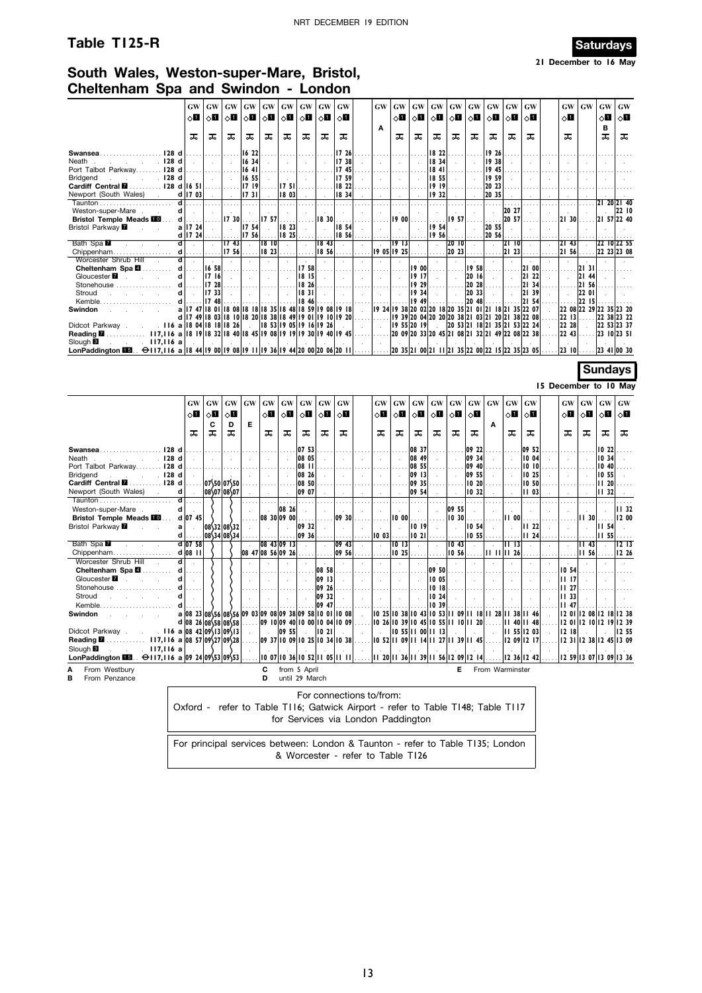# **Table T125-R** Saturdays



**21 December to 16 May**

### **South Wales, Weston-super-Mare, Bristol, Cheltenham Spa and Swindon - London**

|                                                                                                     | GW                                | GW               | GW                                                                        | GW                          | GW                          | GW            | GW                       | GW                            | GW               |                             | GW                                 | GW                          | GW               | GW                                 | GW                                               | GW                   | GW                                                               | GW                          | GW                          |                            | GW                    | GW                      | GW                   | <b>GW</b>        |
|-----------------------------------------------------------------------------------------------------|-----------------------------------|------------------|---------------------------------------------------------------------------|-----------------------------|-----------------------------|---------------|--------------------------|-------------------------------|------------------|-----------------------------|------------------------------------|-----------------------------|------------------|------------------------------------|--------------------------------------------------|----------------------|------------------------------------------------------------------|-----------------------------|-----------------------------|----------------------------|-----------------------|-------------------------|----------------------|------------------|
|                                                                                                     | $\Diamond \blacksquare$           | $\diamond$ l     | ◇О                                                                        | 0П                          | $\diamond$ l                | $\diamond$ l  | $\diamond$ l             | $\diamond$ l                  | $\diamond$ l     |                             |                                    | $\diamond$ l                | ◇Ш               | ◇П                                 | ⊘Ц                                               | оΩ                   | $\diamond$ l                                                     | $\diamond$ l                | $\diamond$ l                |                            | $\diamond$ l          |                         | $\diamond$ l         | ू∏               |
|                                                                                                     |                                   |                  |                                                                           |                             |                             |               |                          |                               |                  |                             | A                                  |                             |                  |                                    |                                                  |                      |                                                                  |                             |                             |                            |                       |                         | B                    |                  |
|                                                                                                     | ᠼ                                 | ᠼ                | ᠼ                                                                         | ᠼ                           | ᠼ                           | ᠼ             | ᠼ                        | ᠼ                             | ᅚ                |                             |                                    | ᠼ                           | ᠼ                | ᠼ                                  | ᠼ                                                | ᠼ                    | ᠼ                                                                | ᅚ                           | ᠼ                           |                            | ᠼ                     |                         | ᠼ                    | ᠼ                |
| Swansea128 d                                                                                        |                                   |                  |                                                                           | 16 22                       |                             |               |                          |                               | 17 26            |                             |                                    |                             |                  | 18 22                              |                                                  |                      | 19 26                                                            |                             |                             |                            |                       |                         |                      |                  |
| $\sim$ $\sim$ $\sim$ $\sim$ 128 d<br>Neath.                                                         | $\sim$                            | $\sim$           | $\mathcal{L}_{\mathcal{A}}$                                               | 16 34                       | ÷.                          | $\mathbf{r}$  | $\mathbf{r}$             |                               | 17 38            |                             |                                    |                             |                  | 1834                               |                                                  | $\mathcal{L}$        | 19 38                                                            | $\mathbf{r}$                |                             |                            |                       |                         | ÷.                   |                  |
| Port Talbot Parkway 128 d                                                                           |                                   |                  |                                                                           | 1641                        |                             |               |                          |                               | 1745             |                             |                                    |                             |                  | 1841                               |                                                  |                      | 19 45                                                            |                             |                             |                            |                       |                         |                      |                  |
| $\sim$ $\sim$ $\sim$ $\sim$ 128 d<br><b>Bridgend</b>                                                | $\sim$                            | $\sim$           | $\sim$                                                                    | 16 55                       | $\sim$                      |               | $\mathbf{r}$             |                               | 759              |                             | $\sim$                             | $\mathbf{r}$                |                  | 18,55                              | $\ddot{\phantom{a}}$                             | $\ddot{\phantom{a}}$ | 1959                                                             | $\mathbf{r}$                | $\mathcal{L}_{\mathbf{a}}$  | $\mathbf{r}$               |                       |                         | ÷.                   |                  |
| Cardiff Central <b>M</b> 128 d 16 51                                                                |                                   |                  |                                                                           | 1719                        |                             | 1751          |                          |                               | 18 22            |                             |                                    | $\sim$ $\sim$               |                  | 1919                               |                                                  |                      | 20 23                                                            |                             |                             |                            |                       |                         |                      |                  |
| Newport (South Wales).                                                                              | d 17 03                           | $\sim$           | $\sim$                                                                    | 1731                        |                             | 18 03         | $\mathbf{r}$             |                               | 18 34            |                             |                                    |                             |                  | 19 32                              |                                                  |                      | 20 35                                                            |                             |                             |                            |                       |                         |                      |                  |
|                                                                                                     | d                                 |                  |                                                                           | .                           |                             | .             |                          |                               | .                |                             |                                    |                             |                  | $\cdots$                           |                                                  |                      | .                                                                |                             |                             |                            |                       |                         | 21 20 21 40          |                  |
| Weston-super-Mare                                                                                   | d<br>d                            |                  | 1730                                                                      |                             | 1757                        |               |                          | 18 30                         | $\mathbf{r}$     |                             |                                    | <b>19 00</b>                |                  | $\mathcal{L}$                      |                                                  |                      | $\mathcal{L}_{\mathcal{A}}$                                      | 20 27<br>20 57              |                             |                            | 2130                  |                         | 21 57 22 40          | 22 10            |
| <b>Bristol Temple Meads FOL</b><br>Bristol Parkway <b>M</b><br><b>Sales State</b>                   | a   17 24                         | $\sim$           | $\sim$                                                                    | 17 54                       | $\sim$                      | 8 23          |                          | $\sim$                        | 1854             |                             |                                    |                             |                  | 1954                               | 19 57<br>$\sim$                                  | $\sim$               | .<br>20 55                                                       | $\mathbf{r}$                |                             |                            |                       |                         |                      |                  |
|                                                                                                     | $d$   17 24                       | .                |                                                                           | 1756                        |                             | 18 25         |                          |                               | 18 56            |                             |                                    |                             |                  | 1956                               |                                                  | $\ldots$ .           | 20 56                                                            |                             |                             |                            |                       |                         |                      |                  |
| Bath Spa                                                                                            | $\overline{\mathbf{d}}$<br>$\sim$ | $\sim$           | 17 <sub>43</sub>                                                          | $\sim$                      | 18  0                       | $\lambda$     | $\cdot$                  | 1843                          | $\sim$           | $\bar{z}$                   |                                    | 19 13                       |                  | $\mathcal{A}$                      | 2010                                             | $\mathcal{L}$        | $\sim$                                                           | 21 10                       | $\sim$                      |                            | 2143                  | $\sim$                  | 22 10 22 55          |                  |
| Chippenham                                                                                          | d                                 |                  | 17 56                                                                     |                             | 18 23                       |               |                          | 1856                          |                  |                             |                                    | 19 05 19 25                 |                  |                                    | 20 23                                            |                      |                                                                  | 21 23                       |                             |                            | 21 56                 |                         | 22 23 23 08          |                  |
| Worcester Shrub Hill .                                                                              | ਰ<br>$\mathcal{L}$                |                  | $\mathcal{L}_{\mathbf{a}}$                                                |                             | $\sim$                      |               |                          | $\cdot$                       | ÷.               | $\bar{z}$                   | $\epsilon$                         |                             |                  | $\mathcal{L}$                      | $\mathcal{L}$                                    |                      |                                                                  | $\bar{z}$                   |                             |                            |                       |                         |                      |                  |
| Cheltenham Spa 4                                                                                    | d<br>.                            | 16 58            | .                                                                         |                             | $\cdots$                    |               | 1758                     | .                             | $\cdots$         | .                           |                                    |                             | 1900             | .                                  |                                                  | 1958                 | .                                                                | $\sim$                      | 21 00                       | $\sim$                     | $\sim$                | 2131                    |                      |                  |
| Gloucester <b>7</b><br>and the company of the                                                       | d l<br>$\sim$                     | 7  6             | $\sim$                                                                    | $\sim$                      | $\sim$                      | $\sim$        | 1815                     | $\sim$                        | $\sim$           | $\sim$                      | $\sim$                             | $\mathcal{L}_{\mathbf{a}}$  | 1917             | $\sim$                             | $\sim$                                           | 20 16                | $\sim$                                                           | $\sim$                      | 21 22                       | $\sim$                     | $\sim$                | 21 44                   | $\ddot{\phantom{a}}$ |                  |
| Stonehouse                                                                                          | $\mathbf d$                       | 7 28 <br>  17 33 | $\cdots$                                                                  |                             | $\ldots$                    |               | 18 26<br>18 31           | $\cdots$                      | $\ldots$         |                             |                                    |                             | 19 29            | $\sim$                             |                                                  | 20 28<br>20 33       | $\cdots$                                                         |                             | 21 34<br>21 39              | $\mathbf{r}$               |                       | 21, 56                  |                      |                  |
| Stroud<br>and the state of the state of<br>Kemble.                                                  | d<br>d                            | 17 48            |                                                                           | $\mathcal{L}_{\mathcal{A}}$ | $\sim$                      |               | 18 46                    | V.<br>1.1.1                   | $\sim$<br>.      | $\sim$                      | $\mathcal{L}_{\mathbf{r}}$<br>.    | $\overline{\phantom{a}}$    | 19 34<br>19 49   | n.                                 | $\mathcal{L}_{\mathbf{a}}$                       | 2048                 | $\sim$<br>$\sim$                                                 | $\mathcal{L}_{\mathcal{A}}$ | 21 54                       | A.                         | .                     | 22 01<br>22 15          |                      |                  |
| <b>Swindon</b>                                                                                      | $\mathbf{a}$                      |                  | 17 47 18 01 18 08 18 18 18 35 18 48 18 59 19 08 19 18                     |                             |                             |               |                          |                               |                  | $\sim$                      |                                    |                             |                  |                                    |                                                  |                      | 19 24  9 38 20 02 20 18 20 35 21 01 21 18 21 35 22 07            |                             |                             | $\sim$                     |                       | 22 08 22 29 22 35 23 20 |                      |                  |
|                                                                                                     |                                   |                  | d   17 49   18 03   18 10   18 20   18 38   18 49   19 01   19 10   19 20 |                             |                             |               |                          |                               |                  |                             | $\cdots$                           |                             |                  |                                    |                                                  |                      | 19 39 20 04 20 20 20 38 21 03 21 20 21 38 22 08                  |                             |                             |                            | 22 13                 | 1.1.1                   |                      | 22 38 23 22      |
| $. 116$ a $18$ 04 $18$ 18 $18$ 26<br>Didcot Parkway                                                 |                                   |                  |                                                                           | $\sim$                      |                             |               |                          | 8 53  9 05  9 16  9 26        | $\sim 10^{-1}$   | $\sim$                      | $\sim$                             |                             | 19 55 20 19      | $\sim$                             |                                                  |                      | 20 53 21 18 21 35 21 53 22 24                                    |                             |                             | $\sim$                     | 22 28                 | $\mathcal{A}$           |                      | 22 53 23 37      |
| Reading <b>M</b> 117,116 a 18 19 18 32 18 40 18 45 19 08 19 19 19 30 19 40 19 45                    |                                   |                  |                                                                           |                             |                             |               |                          |                               |                  |                             |                                    |                             |                  |                                    |                                                  |                      | 20 09 20 33 20 45 21 08 21 32 21 49 22 08 22 38                  |                             |                             |                            | $ 22 \t43 $           |                         | $ 23 \t10 23 \t51$   |                  |
| Slough <sup>8</sup><br>. 117,116 a                                                                  |                                   |                  |                                                                           |                             |                             |               |                          |                               |                  |                             |                                    |                             |                  |                                    |                                                  |                      |                                                                  |                             |                             |                            |                       |                         |                      |                  |
| LonPaddington <b>EE</b> EL. <b>⊖117,116 a 18 44 19 00 19 08 19 11 19 36 19 44 20 00 20 06 20 11</b> |                                   |                  |                                                                           |                             |                             |               |                          |                               |                  |                             |                                    |                             |                  |                                    |                                                  |                      | 20 35  2 00  2 1    1    2    35   22 00   22 15   22 35   23 05 |                             |                             |                            | 2310                  |                         | 23 41 00 30          |                  |
|                                                                                                     |                                   |                  |                                                                           |                             |                             |               |                          |                               |                  |                             |                                    |                             |                  |                                    |                                                  |                      |                                                                  |                             |                             |                            |                       |                         |                      |                  |
|                                                                                                     |                                   |                  |                                                                           |                             |                             |               |                          |                               |                  |                             |                                    |                             |                  |                                    |                                                  |                      |                                                                  |                             |                             |                            |                       |                         | Sundays              |                  |
|                                                                                                     |                                   |                  |                                                                           |                             |                             |               |                          |                               |                  |                             |                                    |                             |                  |                                    |                                                  |                      |                                                                  |                             |                             |                            |                       |                         |                      |                  |
|                                                                                                     |                                   |                  |                                                                           |                             |                             |               |                          |                               |                  |                             |                                    |                             |                  |                                    |                                                  |                      |                                                                  |                             |                             |                            |                       |                         |                      |                  |
|                                                                                                     |                                   |                  |                                                                           |                             |                             |               |                          |                               |                  |                             |                                    |                             |                  |                                    |                                                  |                      |                                                                  |                             |                             |                            | 15 December to 10 May |                         |                      |                  |
|                                                                                                     |                                   |                  |                                                                           |                             |                             |               |                          |                               |                  |                             |                                    |                             |                  |                                    |                                                  |                      |                                                                  |                             |                             |                            |                       |                         |                      |                  |
|                                                                                                     | GW                                | GW               | GW                                                                        | GW                          | GW                          | GW            | <b>GW</b>                | <b>GW</b>                     | <b>GW</b>        |                             | GW                                 | GW                          | <b>GW</b>        | GW                                 | $\boldsymbol{\mathbf{G}}\boldsymbol{\mathbf{W}}$ | GW                   | GW                                                               | GW                          | <b>GW</b>                   |                            | GW                    | <b>GW</b>               | GW                   | <b>GW</b>        |
|                                                                                                     | 8П                                | √П               | √П                                                                        |                             | √П                          | ू∏            | 8П                       | ू∏                            | ू∏               |                             | ⊘Ш                                 | оШ                          | 8П               | $\diamond$ l                       | ⊘Ц                                               | ◇Ш                   |                                                                  | √П                          | ⊘Ш                          |                            | ू∏                    | ू∏                      | оΩ                   | ू∏               |
|                                                                                                     |                                   | C                | D                                                                         | E                           |                             |               |                          |                               |                  |                             |                                    |                             |                  |                                    |                                                  |                      | Α                                                                |                             |                             |                            |                       |                         |                      |                  |
|                                                                                                     | ᠼ                                 | ᠼ                | ᅚ                                                                         |                             | ᠼ                           | ᠼ             | ᠼ                        | ᅚ                             | ᠼ                |                             | ᠼ                                  | ᠼ                           | ᠼ                | ᠼ                                  | ᅚ                                                | ᠼ                    |                                                                  | ᠼ                           | ᠼ                           |                            | ᠼ                     | ᠼ                       | ᠼ                    | ᠼ                |
|                                                                                                     |                                   |                  |                                                                           |                             |                             |               |                          |                               |                  |                             |                                    |                             |                  |                                    |                                                  |                      |                                                                  |                             |                             |                            |                       |                         |                      |                  |
| Swansea128 d                                                                                        |                                   |                  |                                                                           |                             |                             |               | 07 53                    |                               |                  |                             |                                    |                             | 08 37            |                                    |                                                  | 09 22                |                                                                  |                             | 09 52                       |                            |                       |                         | 10 22                |                  |
| $\sim$ $\sim$ $\sim$ $\sim$ 128 d<br>Neath.                                                         | $\sim$                            | $\sim$           | $\mathcal{L}_{\mathcal{L}}$                                               | $\mathcal{L}$               | $\sim$<br>$\sim$            | $\mathcal{L}$ | 08 05                    |                               | $\mathcal{L}$    | $\mathcal{L}$               | $\mathcal{L}$                      | $\overline{a}$              | 08 49            | $\sim$                             | $\mathcal{L}$                                    | 09 34<br>09 40       |                                                                  |                             | 1004<br>1010                |                            | $\sim$                |                         | 10 34                |                  |
| Port Talbot Parkway 128 d                                                                           | $\mathcal{L}_{\mathbf{a}}$        |                  |                                                                           |                             | $\sim$                      | $\sim$        | 08 11<br>08 26           |                               | $\mathcal{L}$    | $\sim$                      | $\ddot{\phantom{a}}$               | $\mathcal{L}_{\mathcal{A}}$ | 08 55<br>09 13   | $\sim$                             | $\sim$                                           | 09 55                |                                                                  | $\mathcal{L}_{\mathcal{A}}$ | 10 25                       |                            | $\mathbf{r}$          |                         | 10,40<br>10 55       |                  |
| Bridgend<br>$\ldots$ and $\ldots$ 128 d<br>Cardiff Central <b>M</b> 128 d                           |                                   |                  |                                                                           |                             |                             |               | 08 50                    |                               |                  |                             |                                    |                             | 09 35            |                                    |                                                  | 1020                 |                                                                  |                             | 10,50                       |                            |                       |                         | 11 20                |                  |
| Newport (South Wales).                                                                              | d                                 |                  | 0750 0750 <br>08\07 08\07                                                 |                             | $\sim$                      |               | 09 07                    |                               |                  |                             |                                    |                             | 09 54            |                                    |                                                  | 10 32                |                                                                  |                             | 103                         |                            |                       |                         | 11 32                |                  |
|                                                                                                     | ď                                 |                  |                                                                           |                             |                             |               | .                        |                               |                  |                             |                                    |                             | .                |                                    |                                                  | .                    |                                                                  |                             | .                           |                            |                       |                         | $\sim$               |                  |
| Weston-super-Mare                                                                                   | d                                 |                  |                                                                           |                             | $\mathcal{L}$               | 08 26         |                          |                               | ÷                |                             | $\ddot{\phantom{a}}$               |                             | $\mathbf{r}$     | $\sim$                             | 09 55                                            | $\mathcal{L}$        |                                                                  |                             | $\mathcal{A}$               |                            |                       |                         | ÷                    | 11 32            |
| <b>Bristol Temple Meads FO </b>                                                                     | d 07 45                           |                  |                                                                           |                             |                             | 08 30 09 00   |                          |                               | 09 30            |                             |                                    | 10 00                       |                  |                                    | 10 30                                            |                      |                                                                  | 1100                        |                             |                            |                       | <b>III</b> 30           |                      | 12 00            |
| Bristol Parkway <b>Z</b><br><b>Service</b>                                                          | a<br>$\mathcal{L}_{\mathcal{A}}$  |                  | $ 08\frac{32}{08}32$                                                      | $\sim$                      | $\mathcal{L}_{\mathcal{A}}$ |               | 09 32                    |                               | ÷                |                             | n.                                 |                             | 10 19            | $\mathcal{L}_{\mathbf{a}}$         | $\mathbf{r}$                                     | 10 54                |                                                                  | $\overline{a}$              | 122                         | $\mathcal{L}_{\mathbf{r}}$ |                       |                         | <b>III 54</b>        |                  |
|                                                                                                     | d                                 |                  | $ 08\sqrt{34} 08\sqrt{34} $                                               |                             |                             |               | 09 36                    |                               |                  |                             | 10 03                              |                             | 10 <sub>21</sub> |                                    |                                                  | 10 55                |                                                                  |                             | 124                         |                            |                       |                         | III 55               |                  |
| Bath Spa                                                                                            | $d$ 07 58                         |                  |                                                                           |                             |                             | 08 43 09 13   | $\overline{\phantom{a}}$ | ÷.                            | 09 <sub>43</sub> |                             | $\mathcal{L}$                      | 10 <sub>13</sub>            | $\mathcal{L}$    | $\mathcal{L}$                      | 10 <sub>43</sub>                                 | $\bar{z}$            |                                                                  | 1113                        | $\mathcal{L}_{\mathcal{A}}$ | $\mathcal{L}$              |                       | $\overline{1143}$       | $\mathcal{A}$        | 12 <sub>13</sub> |
| Chippenham                                                                                          | $d$ 08 $H$                        |                  |                                                                           |                             | 08 47 08 56 09 26           |               |                          |                               | 09 56            |                             |                                    | 10 25                       |                  |                                    | 10 56                                            |                      |                                                                  | $11$ $11$ $11$ 26           |                             |                            |                       | 1156                    |                      | 12 26            |
| Worcester Shrub Hill                                                                                | d.<br>$\mathcal{L}$               |                  |                                                                           |                             |                             |               | $\mathcal{A}$            |                               | $\mathcal{L}$    |                             | $\mathcal{L}$                      | $\sim$                      | $\mathcal{A}$    | $\sim$                             | $\sim$                                           | $\sim$               | $\bar{z}$                                                        | $\mathcal{L}$               | $\mathcal{A}$               | $\mathcal{L}$              |                       | $\bar{z}$               | $\bar{z}$            |                  |
| Cheltenham Spa 4                                                                                    | $\mathbf d$                       |                  |                                                                           |                             |                             |               |                          | 08 58                         |                  |                             |                                    | $\sim$                      |                  | 09 50                              | .                                                |                      |                                                                  |                             | .                           |                            | 10,54                 |                         |                      |                  |
| Gloucester <b>7</b><br>and the company                                                              | d                                 |                  |                                                                           |                             |                             |               | $\mathcal{L}$            | 09 13                         | $\sim$           | $\mathcal{L}_{\mathcal{A}}$ | $\mathcal{L}$                      | $\mathcal{L}_{\mathcal{A}}$ | $\sim$           | 1005                               | $\sim$                                           | $\sim$               | $\sim$                                                           | $\mathcal{L}$               | $\mathcal{A}$               | ÷                          | 1117                  |                         | $\mathcal{L}$        |                  |
| Stonehouse                                                                                          | d                                 |                  |                                                                           |                             |                             |               |                          | 09 26                         |                  |                             |                                    |                             |                  | $10$ $18$                          |                                                  |                      |                                                                  |                             |                             |                            | 11,27                 |                         |                      |                  |
| Stroud<br>Ч                                                                                         |                                   |                  |                                                                           |                             |                             |               |                          | 09 32                         | $\mathcal{L}$    |                             |                                    |                             |                  | 1024                               |                                                  |                      |                                                                  |                             |                             |                            | 11 33                 |                         |                      |                  |
| Kemble.                                                                                             |                                   |                  |                                                                           |                             |                             |               |                          | 09 47                         | $\sim$           |                             |                                    |                             |                  | 1039                               |                                                  |                      |                                                                  |                             |                             |                            | 1147                  |                         |                      |                  |
| <b>Swindon</b><br><b>Contractor</b>                                                                 |                                   |                  | a 08 23 08 56 08 56 09 03 09 08 09 38 09 58 10 01 10 08                   |                             |                             |               |                          |                               |                  | $\sim$ $\sim$               |                                    |                             |                  |                                    |                                                  |                      | 0 25  0 38  0 43  0 53  1 09  1 18  1 28  1 38  1 46             |                             |                             | $\sim$                     |                       | 2 01  2 08  2 18  2 38  |                      |                  |
|                                                                                                     |                                   |                  | d 08 26 08 58 08 58                                                       | .                           |                             |               |                          | 09 10 09 40 10 00 10 04 10 09 |                  |                             |                                    |                             |                  | 0 26  0 39  0 45  0 55  1 10  1 20 |                                                  |                      | .                                                                |                             | 11 40 11 48                 | .                          |                       | 12 01 12 10 12 19 12 39 |                      |                  |
| . II6 a 08 42 09 \13 09 \13<br>Didcot Parkway.                                                      |                                   |                  |                                                                           | $\mathcal{L}^{\mathcal{L}}$ | $\sim$                      | 09 55         |                          | $\frac{1}{2}$ 10 21           | $\sim 10^{-1}$   | $\mathcal{L}_{\mathcal{A}}$ | $\sim$                             |                             |                  | 1055 1100 1113                     | $\sim$                                           | $\sim 10^{-1}$       | $\mathcal{L}$                                                    |                             | II 55  2 03                 | $\sim$                     | 12 18                 | $\mathbb{R}^2$          | n.                   | 12 55            |
| Reading M  117,116 a 08 57 09 27 09 28                                                              |                                   |                  |                                                                           |                             |                             |               |                          | 09 37 10 09 10 25 10 34 10 38 |                  |                             | 0 52  1 09  1 14  1 27  1 39  1 45 |                             |                  |                                    |                                                  |                      |                                                                  |                             | 2 09  2   7                 |                            |                       | 2 3  12 38  2 45  3 09  |                      |                  |
| Slough <b>B</b><br>$\sim$ 117,116 a                                                                 |                                   |                  |                                                                           |                             |                             |               |                          |                               |                  |                             |                                    |                             |                  |                                    |                                                  |                      |                                                                  |                             |                             |                            |                       |                         |                      |                  |
| LonPaddington $\Box$ $\Box$ $\ominus$ 117, 116 a 09 24 09 53 09 53<br>A<br>From Westbury            |                                   |                  |                                                                           |                             | C                           |               | from 5 April             | 1007 1036 1052 1105 1111      |                  |                             | 20    36    39    56  2 09  2 14   |                             |                  |                                    | Е                                                |                      | From Warminster                                                  |                             | 12 36 12 42                 |                            |                       | 2 59  3 07  3 09  3 36  |                      |                  |

| For connections to/from:                                                        |
|---------------------------------------------------------------------------------|
| Oxford - refer to Table TI16; Gatwick Airport - refer to Table TI48; Table TI17 |
| for Services via London Paddington                                              |
|                                                                                 |
| For principal services between: London & Taunton - refer to Table T135; London  |
| & Worcester - refer to Table T126                                               |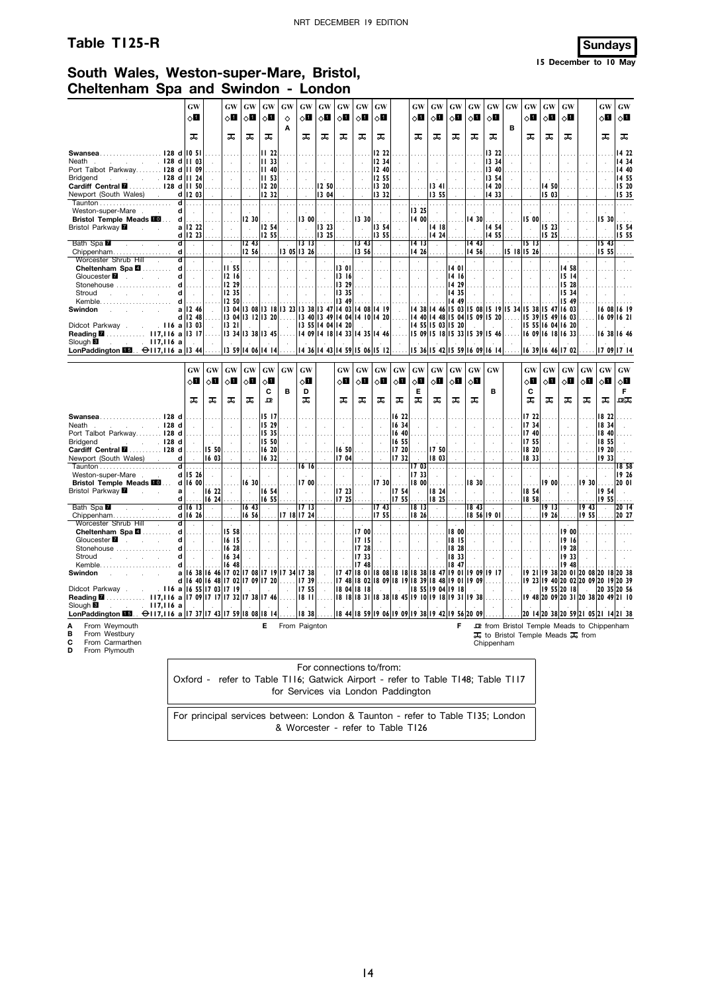### **Table T125-R Sundays**

**15 December to 10 May**

## **South Wales, Weston-super-Mare, Bristol, Cheltenham Spa and Swindon - London**

|                                                                                                                       |                              | GW                    |                            | <b>GW</b>                   | GW                            | <b>GW</b>               | GW                                                                              | GW                      | <b>GW</b>                                                    | GW                          | GW                          | <b>GW</b>        |                                                     | <b>GW</b>                                   | GW                  | GW                                                             | <b>GW</b>               | GW                          | <b>GW</b>                          | GW                          | GW                      | <b>GW</b>          |                                                  | GW                                         | GW                                  |
|-----------------------------------------------------------------------------------------------------------------------|------------------------------|-----------------------|----------------------------|-----------------------------|-------------------------------|-------------------------|---------------------------------------------------------------------------------|-------------------------|--------------------------------------------------------------|-----------------------------|-----------------------------|------------------|-----------------------------------------------------|---------------------------------------------|---------------------|----------------------------------------------------------------|-------------------------|-----------------------------|------------------------------------|-----------------------------|-------------------------|--------------------|--------------------------------------------------|--------------------------------------------|-------------------------------------|
|                                                                                                                       |                              | ◇Ø                    |                            | 0П                          | ू∏                            | $\Diamond \blacksquare$ | ♦<br>A                                                                          | $\Diamond \blacksquare$ | ⊘Ш                                                           | ू∏                          | $\diamond$ li               | $\diamond$ l     |                                                     | ⊘П                                          | ⊘⊡                  | ू∏                                                             | $\Diamond \blacksquare$ | ⊘Ш                          | в                                  | $\Diamond \blacksquare$     | $\Diamond$ i            | $\Diamond$ l       |                                                  | 8П                                         | ⊘∐                                  |
|                                                                                                                       |                              | ᠼ                     |                            | ᠼ                           | ᠼ                             | ᠼ                       |                                                                                 | ᠼ                       | ᠼ                                                            | ᠼ                           | ᠼ                           | ᠼ                |                                                     | ᠼ                                           | ᠼ                   | ᠼ                                                              | ᠼ                       | ᅚ                           |                                    | ᠼ                           | ᠼ                       | ᠼ                  |                                                  | ᠼ                                          | ᠼ                                   |
| Swansea128 d                                                                                                          |                              | 10 <sub>51</sub>      |                            |                             |                               | II 221                  | $\sim 100$                                                                      |                         |                                                              |                             |                             | 1222             |                                                     | $\cdots$                                    |                     |                                                                |                         | 13 22                       |                                    |                             |                         |                    |                                                  |                                            | 14 22                               |
| $\sim$ $\sim$ $\sim$ $\sim$ 128 d<br>Neath<br>$\sim$                                                                  |                              | <b>III</b> 03         | $\sim$                     | $\mathcal{L}$               | $\sim$                        | II 33 <br> 1140         | $\sim$                                                                          | $\sim$                  | $\sim$                                                       | $\sim$                      | $\mathcal{L}_{\mathcal{A}}$ | 12, 34           | $\sim$                                              | $\sim$                                      | $\sim 10^{-1}$      | $\sim$                                                         |                         | 13 34<br>  13 40            | $\sim$                             | $\sim$                      | $\sim$                  | $\sim$             |                                                  |                                            | 14 34                               |
| Port Talbot Parkway 128 d<br>$\sim$ $\sim$ $\sim$ $\sim$ 128 d<br><b>Bridgend</b>                                     |                              | <b>II 09</b><br>II 24 | 1.11<br>$\sim$             | $\cdots$<br>$\sim$          | $\sim$ $\sim$<br>$\sim$       | III 531                 | $\cdots$<br>$\mathcal{L}$                                                       | $\cdots$<br>$\sim$      | .                                                            | $\cdots$<br>$\sim$          | $\ldots$<br>$\sim$ $\sim$   | 2 40 <br> 12, 55 | .<br>$\sim$                                         | $\cdots$<br>$\sim$                          | .<br>$\sim 10^{-1}$ | $\ldots$<br>$\sim$                                             | $\sim$                  | 13 54                       | $\sim$                             | $\cdots$<br>$\sim$          | .<br>$\sim 10^7$        | $\cdots$<br>$\sim$ | $\sim$                                           |                                            | 14 40<br>14 55                      |
| Cardiff Central <b>M</b> 128 d                                                                                        |                              | III 50                | .                          | .                           |                               | 12, 20                  | .                                                                               |                         | .   <b>12 50</b>                                             |                             |                             | 13, 20           | 1.1.1                                               | .                                           | 1341                | .                                                              | 1.1.1.1                 | 14 20                       | .                                  | .                           | 14 50                   | .                  |                                                  |                                            | 15 20                               |
| Newport (South Wales).                                                                                                |                              | $d$   12 03           | $\sim$                     | $\sim$                      | $\sim 10$                     | 2 32                    | $\sim$                                                                          | $\sim$                  | 1304                                                         | $\sim$                      | $\sim$ $\sim$               | $ 13 \t32 $      | $\sim$                                              | $\sim$                                      | 13 55               | $\sim$                                                         | $\sim$                  | 1433                        |                                    | $\sim$                      | 5 03                    | $\sim$             | $\sim$                                           |                                            | 15 35                               |
|                                                                                                                       | ď                            | .                     |                            |                             |                               | .                       |                                                                                 |                         | .                                                            |                             |                             | .                |                                                     |                                             | .                   |                                                                |                         | .                           |                                    |                             | .                       |                    |                                                  |                                            | .                                   |
| Weston-super-Mare                                                                                                     | d                            | $\sim$                | $\sim$                     | $\sim$                      | $\sim$                        | $\sim$                  | $\mathcal{L}$                                                                   |                         | $\sim$                                                       |                             | $\sim$                      | $\sim$           | $\sim$                                              | 13 25                                       | $\sim$              | $\sim$                                                         |                         | $\sim$                      |                                    | $\sim$                      | $\sim$                  |                    |                                                  | $\sim$                                     | $\sim$                              |
| Bristol Temple Meads <b>10</b>                                                                                        | d                            | .                     | .                          |                             | 2, 30                         | .                       | $\cdots$                                                                        | 13 OO                   | $\cdots$                                                     | $\cdots$                    | 13 30                       | $\cdots$         |                                                     | 1400                                        | .                   | $\cdots$                                                       | 1430                    | .                           | $\cdots$                           | 15 00                       |                         | $\cdots$           |                                                  | 15 30                                      | $\cdots$                            |
| Bristol Parkway <b>Z</b><br>$\mathcal{L}^{\text{max}}$                                                                |                              | a 12 22               | $\mathcal{L}$              | $\mathcal{L}_{\mathcal{A}}$ | $\sim$                        | 12,54                   | $\mathcal{L}$                                                                   |                         | 3 23<br>13 25                                                | $\mathcal{L}_{\mathcal{A}}$ |                             | 13,54<br> 13, 55 | $\sim$                                              | $\sim$                                      | 14 18               | $\mathcal{L}$                                                  |                         | 14 54                       |                                    |                             | 15 23<br>15 25          | $\mathcal{L}$      | $\sim$                                           |                                            | 15 54                               |
| Bath Spa                                                                                                              | ď                            | d 12 23<br>$\sim$     | $\mathcal{L}$              | $\sim$                      | 12,43                         | 12, 55 <br>$\sim$       | $\mathbf{r}$                                                                    | $13 \ 13$               | $\sim$                                                       | $\sim$                      | 343                         | $\sim$           | $\bar{L}$                                           | 14 13                                       | 14 24 <br>$\bar{z}$ | $\mathcal{L}$                                                  | 1443                    | 14 55<br>$\bar{z}$          | $\mathcal{L}$                      | 1513                        | $\sim$                  | $\mathcal{L}$      | $\mathcal{A}$                                    | 15 <sub>43</sub>                           | 15 55<br>$\sim$                     |
| Chippenham                                                                                                            | d                            | .                     | .                          |                             | 12,56                         |                         | .   3 05  3 26                                                                  |                         | .                                                            |                             | 13 56                       | .                |                                                     |                                             | $1426$              | .                                                              | 14 56                   | .                           |                                    | $15$ $18$ $15$ $26$         |                         |                    |                                                  | 15 55                                      |                                     |
| Worcester Shrub Hill                                                                                                  | ਰ                            | $\sim$                | $\mathcal{L}_{\mathbf{r}}$ |                             | $\sim$                        | $\sim$                  | $\sim$                                                                          | $\sim$                  |                                                              | $\sim$                      | $\sim$                      | $\sim$           |                                                     | $\sim$                                      | $\sim$              | $\sim$                                                         | $\sim$                  | $\sim$                      | $\sim$                             | $\sim$                      |                         | $\sim$             |                                                  | $\sim$                                     |                                     |
| Cheltenham Spa 4                                                                                                      | d                            | .                     | .                          | 11,55                       | .                             |                         | .                                                                               |                         | .                                                            | 1301                        | .                           | .                | .                                                   | .                                           | .                   | 14 01                                                          | 1.1.1.1                 | .                           | .                                  | .                           | .                       | 14 58              |                                                  |                                            |                                     |
| Gloucester <b>7</b><br>and the company of the                                                                         | d                            | $\sim 10^{-1}$        | $\sim$                     | 1216                        | $\sim$                        | $\sim 10^{-1}$          | $\mathbb{R}$                                                                    | $\sim 10^{-1}$          | $\mathbf{1}$                                                 | 13 16                       | $\sim$                      | $\sim 10^{-1}$   | $\sim$                                              | $\sim$                                      | $\sim 10^7$         | 14 16                                                          | $\sim$                  | $\sim 10^{-11}$             | $\sim$                             | $\sim$                      | $\sim$                  | 15 14              |                                                  |                                            |                                     |
| Stonehouse                                                                                                            | d                            |                       |                            | 12 29                       |                               |                         |                                                                                 |                         |                                                              | 329                         |                             |                  |                                                     |                                             |                     | 14 29                                                          |                         |                             |                                    |                             |                         | 15 28              |                                                  |                                            |                                     |
| Stroud<br>and the company of the company                                                                              | d<br>d                       | $\sim$                | $\sim$                     | 12 35                       | $\sim$                        | $\sim$                  | $\sim$                                                                          | $\sim$                  | $\sim$                                                       | 3 35                        | $\sim$                      | $\sim 10^7$      | $\sim$                                              | $\sim$ $\sim$                               | $\sim$              | 14 35                                                          |                         | $\sim$                      | $\sim$                             | $\sim$                      | $\sim$                  | 15 34              |                                                  |                                            |                                     |
| Swindon                                                                                                               |                              | a 12 46               |                            | 12 50                       | .                             |                         | 13 04 13 08 13 18 13 23                                                         |                         | 13 38 13 47 14 03 14 08 14 19                                | 349                         | .                           |                  |                                                     |                                             |                     | 14 49<br>14 38 14 46 15 03 15 08 15 19 15 34 15 38 15 47 16 03 |                         |                             |                                    |                             |                         | 15 49              |                                                  |                                            | 16 08 16 19                         |
|                                                                                                                       |                              | d 12 48               | .                          |                             | 13 04 13 12 13 20             |                         | .                                                                               |                         | $13 \t40 \t13 \t49 \t14 \t04 \t14 \t10 \t14 \t20 \t$         |                             |                             |                  |                                                     |                                             |                     | 14 40 14 48 15 04 15 09 15 20                                  |                         |                             | 1.1.1.1                            |                             | 15 39 15 49 16 03       |                    |                                                  |                                            | 16 09 16 21                         |
| Didcot Parkway.                                                                                                       | . 116 a    3 03              |                       | $\sim$                     | 13 21                       | <b>Contract</b>               | $\sim 10^{-11}$         | $\sim$                                                                          |                         | 13 55 14 04 14 20                                            |                             |                             | $\sim 10^{-11}$  | $\sim$                                              |                                             |                     | 14 55 15 03 15 20                                              | <b>College</b>          | $\sim 10^{-1}$              | $\sim$                             |                             | 15 55 16 04 16 20       |                    |                                                  |                                            |                                     |
| Reading 2 117,116 a                                                                                                   |                              | 13 17                 |                            |                             | 13 34 13 38 13 45             |                         |                                                                                 |                         | 14 09 14 18 14 33 14 35 14 46                                |                             |                             |                  |                                                     | $ 15 \t09 15 \t18 15 \t33 15 \t39 15 \t46 $ |                     |                                                                |                         |                             |                                    |                             | 16 09 16 18 16 33       |                    |                                                  |                                            | 16 38 16 46                         |
| Slough <b>B</b><br>∴ II7,II6 a                                                                                        |                              |                       | $\sim$                     | $\sim$                      |                               |                         |                                                                                 |                         |                                                              |                             |                             |                  |                                                     |                                             |                     |                                                                |                         |                             |                                    |                             |                         |                    |                                                  |                                            |                                     |
| LonPaddington <b>16.</b> $\Theta$ 117,116 a 13 44                                                                     |                              |                       | .                          |                             | 3 59  4 06  4 14              |                         | .                                                                               |                         | 14 36 14 43 14 59 15 06 15 12                                |                             |                             |                  | .                                                   |                                             |                     | $ 15 \t36 15 \t42 15 \t59 16 \t09 16 \t14 $                    |                         |                             |                                    |                             | 16 39 16 46 17 02       |                    |                                                  |                                            | 17 09 17 14                         |
|                                                                                                                       |                              |                       |                            |                             |                               |                         |                                                                                 |                         |                                                              |                             |                             |                  |                                                     |                                             |                     |                                                                |                         |                             |                                    |                             |                         |                    |                                                  |                                            |                                     |
|                                                                                                                       |                              | GW                    | <b>GW</b>                  | GW                          | GW                            | GW                      | <b>GW</b>                                                                       | <b>GW</b>               |                                                              | GW                          | <b>GW</b>                   | <b>GW</b>        | <b>GW</b>                                           | <b>GW</b>                                   | GW                  | $\boldsymbol{\mathsf{G}}\boldsymbol{\mathsf{W}}$               | GW                      | <b>GW</b>                   |                                    | <b>GW</b>                   | GW                      | <b>GW</b>          | $\boldsymbol{\mathsf{G}}\boldsymbol{\mathsf{W}}$ | <b>GW</b>                                  | <b>GW</b>                           |
|                                                                                                                       |                              | ∧П                    | $\Diamond \blacksquare$    | оΩ                          | $\circ$ l                     | $\Diamond \blacksquare$ |                                                                                 | √П                      |                                                              |                             |                             |                  |                                                     |                                             | $\Diamond$          |                                                                |                         |                             |                                    | 0П                          |                         |                    | $\Diamond$ l                                     | $\circ$ 0                                  | ⊘Ц                                  |
|                                                                                                                       |                              |                       |                            |                             |                               |                         |                                                                                 |                         |                                                              | $\Diamond \blacksquare$     | $\Diamond \blacksquare$     | оΩ               | $\circ$ l                                           | оΩ                                          |                     | ू∏                                                             | $\circ$ ii              |                             |                                    |                             | $\Diamond \blacksquare$ | √⊔                 |                                                  |                                            |                                     |
|                                                                                                                       |                              |                       |                            |                             |                               |                         |                                                                                 |                         |                                                              |                             |                             |                  |                                                     |                                             |                     |                                                                |                         |                             |                                    |                             |                         |                    |                                                  |                                            |                                     |
|                                                                                                                       |                              | ᠼ                     | ᅚ                          | ᠼ                           | ᠼ                             | C<br>卫                  | в                                                                               | D<br>ᠼ                  |                                                              | ᠼ                           | ᠼ                           | ᠼ                | ᠼ                                                   | Е<br>ᅚ                                      | ᅚ                   | ᠼ                                                              | ᠼ                       | в                           |                                    | C<br>ᠼ                      | ᠼ                       | ᠼ                  | ᠼ                                                | ᠼ                                          | F.<br>굔                             |
|                                                                                                                       |                              |                       |                            |                             |                               |                         |                                                                                 |                         |                                                              |                             |                             |                  |                                                     |                                             |                     |                                                                |                         |                             |                                    |                             |                         |                    |                                                  |                                            |                                     |
| Swansea128 d                                                                                                          |                              |                       | .                          | .                           | .                             | 15 17                   |                                                                                 |                         |                                                              | .                           |                             |                  | 16 22                                               | $\sim 100$                                  |                     | .                                                              |                         |                             |                                    | 17 22                       |                         |                    |                                                  | 18 22                                      |                                     |
| .128d<br>Neath<br>and the company of the com-                                                                         |                              | $\sim$                | $\sim 10^7$                | $\sim$                      | $\sim$                        | 15 29                   | $\sim$                                                                          | $\sim$                  | $\sim$                                                       | $\sim$                      | $\sim$                      | $\sim$           | 16 34                                               | $\sim$                                      | $\sim 10^{-1}$      | $\sim$                                                         | $\sim$                  | $\sim$                      | $\ddot{\phantom{a}}$               | 17 34                       |                         | $\sim$             |                                                  | 18 34                                      |                                     |
| Port Talbot Parkway 128 d                                                                                             |                              |                       | .                          |                             |                               | 15 35                   |                                                                                 |                         |                                                              | .                           |                             |                  | 16 40                                               |                                             |                     |                                                                |                         |                             |                                    | 17 40                       |                         |                    |                                                  | 1840                                       |                                     |
| $\sim$ $\sim$ $\sim$ $\sim$ 128 d<br>Bridgend                                                                         |                              |                       | $\sim 10^{-1}$             | $\sim$                      | $\sim$                        | 5 50                    | $\sim$                                                                          | $\sim$                  | $\sim$                                                       | $\sim$                      | $\sim$                      | $\sim$           | 16 55                                               | $\sim$                                      | $\sim 10^{-1}$      | $\sim$                                                         | $\sim 10^{-1}$          | $\sim$                      | $\sim$                             | 1755                        | $\sim$                  | $\sim$             | $\sim$                                           | 18,55                                      |                                     |
| Cardiff Central <b>M</b> 128 d                                                                                        |                              | .                     |                            | 15 50                       | .                             | 1620                    | $\cdots$                                                                        |                         |                                                              | 16 50                       |                             | .                | 17 20                                               | .                                           | 17 50               | .                                                              | .                       | .                           | .                                  | 1820                        |                         |                    |                                                  | 1920                                       |                                     |
| Newport (South Wales).                                                                                                | d<br>$\overline{\mathsf{d}}$ | $\sim$                | 16 03                      | $\sim$                      | $\sim$                        | 1632                    | $\mathcal{L}^{\mathcal{L}}$                                                     | $\sim 10^{-1}$          |                                                              | 17 04                       | $\sim$                      | $\sim$           | 1732                                                |                                             | 18 03               | $\sim$                                                         |                         | $\mathcal{L}^{\mathcal{L}}$ | $\mathcal{L}_{\mathcal{A}}$        | 1833                        |                         | $\sim$             | $\sim$                                           | 19 33<br>.                                 | 1858                                |
| Weston-super-Mare                                                                                                     |                              | .<br>d 15 26          | .<br>$\sim 10^{-1}$        | .<br>$\sim$                 | .<br>$\sim 10^{-1}$           | .<br>$\sim$             | .<br>$\sim$                                                                     | $\sim$                  | $\overline{16}$ $\overline{16}$ $\overline{\ldots}$ $\ldots$ | ㅠ.<br>$\sim$                | .<br>$\sim$                 | .<br>$\sim$      | .<br>$\sim$                                         | 17 33                                       | $1703$<br>$\sim$    | .<br>$\sim$                                                    | .<br>$\sim 10^{-1}$     | .<br>$\sim$                 | .<br>$\sim$                        | .<br>$\sim$                 | .<br>$\sim$             | $\cdots$<br>$\sim$ | .<br>$\sim$                                      | $\sim$                                     | 19 26                               |
| <b>Bristol Temple Meads FOL</b>                                                                                       |                              | $d$ 16 00             | .                          | .                           | 1630                          | 1.1.1.1                 |                                                                                 | 17 OO                   |                                                              |                             |                             |                  | $17.30$                                             |                                             | $1800$              |                                                                | 18 30                   |                             |                                    | .                           | 1900                    |                    |                                                  | $19.30$                                    | 20 01                               |
| Bristol Parkway <b>M</b><br><b>Carl Carl</b>                                                                          | $\mathbf{a}$                 | $\sim$                | 6 22                       | $\sim$                      | $\sim$ $\sim$                 | 16 54                   | $\sim$                                                                          | $\sim$                  | n.                                                           | 17 23                       | $\sim$                      | $\sim$           | 1754                                                | $\sim$                                      | 18 24               | $\sim$                                                         | $\sim 10^7$             | $\sim$                      | $\sim$                             | 18,54                       | $\sim$                  | $\sim$             | $\sim$                                           | 1954                                       | $\sim$                              |
|                                                                                                                       | d                            |                       |                            | $1624$                      |                               | 1655                    |                                                                                 |                         |                                                              | $1725$                      |                             |                  | 17 55                                               |                                             | $1825$              |                                                                |                         |                             |                                    | 1858                        |                         |                    |                                                  | 1955                                       |                                     |
| Bath Spa                                                                                                              |                              | d 16 13               | $\sim$                     | $\sim$                      | 16 <sub>43</sub>              | $\sim$                  |                                                                                 | 1713                    |                                                              | $\sim$                      | $\sim$                      | 1743             | $\sim$                                              | 8 13                                        | $\sim$              | $\bar{z}$                                                      | 18 <sub>43</sub>        |                             | $\sim$                             | $\mathcal{L}$               | 1913                    | $\sim$             | 1943                                             | $\sim$                                     | 20 14                               |
| Chippenham                                                                                                            |                              |                       | $d$ 16 26                  | .                           |                               |                         | $ 16 \t56  \ldots  17 \t18 17 \t24  \ldots$                                     |                         |                                                              | .                           | $\ldots$                    | 17.55            | .                                                   |                                             | $1826$              | .                                                              |                         | 8 56  9 01                  | .                                  | .                           | 1926                    | .                  | 1955                                             |                                            | 20 27                               |
| Worcester Shrub Hill<br><b>Contractor</b>                                                                             | ਰ                            | $\sim 10^{-1}$        | $\sim$                     | $\sim$                      | $\sim$                        | $\sim$                  | $\sim$                                                                          | $\sim$                  | $\sim$                                                       | $\sim$                      | $\sim$                      | $\sim$           | $\sim$                                              | $\sim$                                      | $\mathcal{L}$       | $\sim$                                                         | $\sim$                  | $\sim$                      | $\sim$                             | $\mathcal{L}_{\mathcal{A}}$ | $\sim$                  | $\sim$             | $\sim$                                           | $\mathcal{L}$                              |                                     |
| Cheltenham Spa <b>2</b><br>Gloucester <b>7</b><br>and the company                                                     | d<br>d                       | $\sim 10^{-1}$        | .<br>$\sim$                | 15 58<br>$16$ $15$          | $\ldots$ .<br>$\sim 10^7$     | $\sim 10^{-1}$          | $\sim 10^{-1}$                                                                  | $\sim$                  | $\sim 10^{-1}$                                               |                             | 17 00<br>17 15              | $\sim$           | $\sim 10^{-1}$                                      | $\cdots$<br>$\sim 10^{-1}$                  | $\sim 10$           | 18 00<br>18 15                                                 | $\sim 10^{-1}$          | $\sim$                      | $\sim 10^{-1}$                     | $\cdots$<br>$\sim$          | $\sim$                  | 19 00<br>1916      |                                                  |                                            |                                     |
| Stonehouse                                                                                                            |                              | .                     | .                          | 16 28                       |                               |                         | .                                                                               | .                       | .                                                            | $\sim$<br>.                 | 17 28                       | .                |                                                     | $\cdots$                                    |                     | 18 28                                                          |                         | .                           | .                                  | .                           | .                       | 19 28              |                                                  |                                            |                                     |
| Stroud<br>and the company of the company                                                                              |                              |                       | $\mathcal{L}$              | 16 34                       | $\mathcal{L}^{\mathcal{L}}$   |                         |                                                                                 | $\sim$                  | $\sim$                                                       | $\mathcal{L}_{\mathcal{A}}$ | 1733                        | $\mathcal{L}$    |                                                     | $\sim$                                      |                     | 18 33                                                          | $\sim$                  | $\sim$                      | $\sim$ $\sim$                      | $\sim$                      |                         | 1933               |                                                  |                                            |                                     |
|                                                                                                                       | d                            | .                     | 1.                         | 16 48                       |                               |                         |                                                                                 |                         | . 1                                                          |                             | 17 48                       |                  |                                                     |                                             |                     | 18 47                                                          | .                       |                             | . 1.                               | .                           |                         | 19 48              |                                                  |                                            |                                     |
| Swindon<br>and the company of the com-                                                                                |                              |                       |                            |                             |                               |                         | a 16 38 16 46 17 02 17 08 17 19 17 34 17 38                                     |                         | $\sim 10^{-1}$                                               |                             |                             |                  | 17 47 18 01 18 08 18 18 18 38 18 47                 |                                             |                     |                                                                |                         | 19 01 19 09 19 17           | $\sim$                             |                             |                         |                    |                                                  | 19 21 19 38 20 01 20 08 20 18 20 38        |                                     |
|                                                                                                                       | d                            |                       |                            |                             | 16 40 16 48 17 02 17 09 17 20 |                         |                                                                                 | 1739                    | .                                                            |                             |                             |                  | 7 48  8 02  8 09  8 19  8 39  8 48  9 01  9 09      |                                             |                     |                                                                |                         | .                           |                                    |                             |                         |                    |                                                  | 19 23 19 40 20 02 20 09 20 19 20 39        |                                     |
| Didcot Parkway.                                                                                                       |                              |                       |                            | . II6 a 16 55 17 03 17 19   |                               |                         |                                                                                 | 1755                    | $\sim$                                                       |                             | 18 04 18 18                 | $\sim$           | $\sim 10^{-1}$                                      |                                             |                     | 18 55 19 04 19 18                                              |                         | $\sim$                      | $\sim$                             |                             | 19 55 20 18             |                    |                                                  |                                            | 20 35 20 56                         |
| Reading <b>M</b> 117,116 a 17 09 17 17 17 32 17 38 17 46<br>Slough <b>B</b>                                           |                              |                       |                            |                             |                               |                         |                                                                                 |                         | $18$ $11$                                                    |                             |                             |                  | 8   8   8 3  18 38  8 45  9   0  9   8  9 31  19 38 |                                             |                     |                                                                |                         | .                           | $\cdots$                           |                             |                         |                    |                                                  |                                            | 19 48 20 09 20 31 20 38 20 49 21 10 |
| $\therefore$ $\therefore$ 117,116 a<br>LonPaddington $\boxed{13}$ . $\ominus$ 117,116 a 17 37 17 43 17 59 18 08 18 14 |                              |                       |                            |                             |                               |                         |                                                                                 |                         | $1838$                                                       |                             |                             |                  | 8 44  8 59  9 06  9 09  9 38  9 42  9 56  20 09     |                                             |                     |                                                                |                         |                             |                                    |                             |                         |                    |                                                  | 20 14 20 38 20 59 21 05 21 14 21 38        |                                     |
|                                                                                                                       |                              |                       |                            |                             |                               |                         |                                                                                 |                         |                                                              |                             |                             |                  |                                                     |                                             |                     |                                                                |                         |                             |                                    |                             |                         |                    |                                                  |                                            |                                     |
| From Weymouth                                                                                                         |                              |                       |                            |                             |                               | E                       | From Paignton                                                                   |                         |                                                              |                             |                             |                  |                                                     |                                             |                     |                                                                |                         |                             |                                    |                             |                         |                    |                                                  | De from Bristol Temple Meads to Chippenham |                                     |
| в<br>From Westbury<br>С<br>From Carmarthen                                                                            |                              |                       |                            |                             |                               |                         |                                                                                 |                         |                                                              |                             |                             |                  |                                                     |                                             |                     |                                                                |                         |                             | To to Bristol Temple Meads To from |                             |                         |                    |                                                  |                                            |                                     |
| D<br>From Plymouth                                                                                                    |                              |                       |                            |                             |                               |                         |                                                                                 |                         |                                                              |                             |                             |                  |                                                     |                                             |                     |                                                                |                         | Chippenham                  |                                    |                             |                         |                    |                                                  |                                            |                                     |
|                                                                                                                       |                              |                       |                            |                             |                               |                         |                                                                                 |                         |                                                              |                             |                             |                  |                                                     |                                             |                     |                                                                |                         |                             |                                    |                             |                         |                    |                                                  |                                            |                                     |
|                                                                                                                       |                              |                       |                            |                             |                               |                         |                                                                                 |                         | For connections to/from:                                     |                             |                             |                  |                                                     |                                             |                     |                                                                |                         |                             |                                    |                             |                         |                    |                                                  |                                            |                                     |
|                                                                                                                       |                              |                       |                            |                             |                               |                         |                                                                                 |                         |                                                              |                             |                             |                  |                                                     |                                             |                     |                                                                |                         |                             |                                    |                             |                         |                    |                                                  |                                            |                                     |
|                                                                                                                       |                              |                       |                            |                             |                               |                         | Oxford - refer to Table T116; Gatwick Airport - refer to Table T148; Table T117 |                         |                                                              |                             |                             |                  |                                                     |                                             |                     |                                                                |                         |                             |                                    |                             |                         |                    |                                                  |                                            |                                     |
|                                                                                                                       |                              |                       |                            |                             |                               |                         | for Services via London Paddington                                              |                         |                                                              |                             |                             |                  |                                                     |                                             |                     |                                                                |                         |                             |                                    |                             |                         |                    |                                                  |                                            |                                     |
|                                                                                                                       |                              |                       |                            |                             |                               |                         |                                                                                 |                         |                                                              |                             |                             |                  |                                                     |                                             |                     |                                                                |                         |                             |                                    |                             |                         |                    |                                                  |                                            |                                     |
|                                                                                                                       |                              |                       |                            |                             |                               |                         | For principal services between: London & Taunton - refer to Table T135; London  |                         |                                                              |                             |                             |                  |                                                     |                                             |                     |                                                                |                         |                             |                                    |                             |                         |                    |                                                  |                                            |                                     |